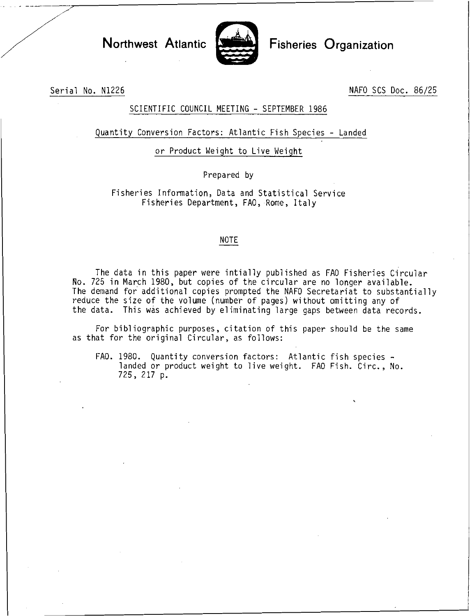

Northwest Atlantic Fisheries Organization

Serial No. N1226 NAFO SCS Doc. 86/25

## SCIENTIFIC COUNCIL MEETING - SEPTEMBER 1986

## Quantity Conversion Factors: Atlantic Fish Species - Landed

or Product Weight to Live Weight

Prepared by

Fisheries Information, Data and Statistical Service Fisheries Department, FAO, Rome, Italy

## NOTE

The data in this paper were intially published as FAO Fisheries Circular No. 725 in March 1980, but copies of the circular are no longer available. The demand for additional copies prompted the NAFO Secretariat to substantially reduce the size of the volume (number of pages) without omitting any of the data. This was achieved by eliminating large gaps between data records.

For bibliographic purposes, citation of this paper should be the same as that for the original Circular, as follows:

FAO. 1980. Quantity conversion factors: Atlantic fish species landed or product weight to live weight. FAO Fish. Circ., No. 725, 217 p.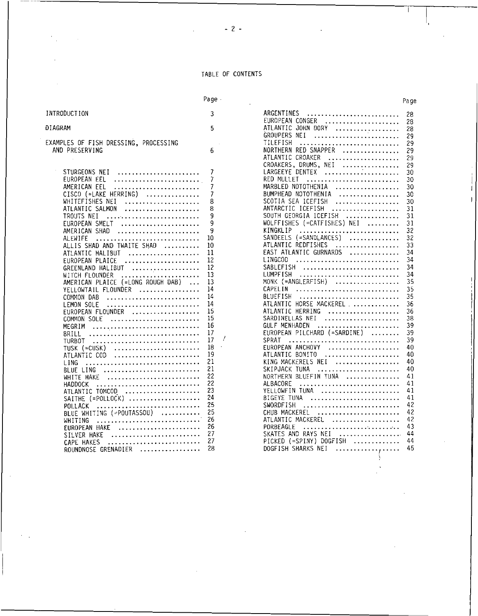TABLE OF CONTENTS

|                                                                                                                                                                                                                                                                                                                                                                                                                                                                                                                                          | Page -                                                                                                                                     |                                                                                                                                                                                                                                                                                                                                                                                                                                                                                                                                                                                                                                                                                                    | Page                                                                                                                                                           |
|------------------------------------------------------------------------------------------------------------------------------------------------------------------------------------------------------------------------------------------------------------------------------------------------------------------------------------------------------------------------------------------------------------------------------------------------------------------------------------------------------------------------------------------|--------------------------------------------------------------------------------------------------------------------------------------------|----------------------------------------------------------------------------------------------------------------------------------------------------------------------------------------------------------------------------------------------------------------------------------------------------------------------------------------------------------------------------------------------------------------------------------------------------------------------------------------------------------------------------------------------------------------------------------------------------------------------------------------------------------------------------------------------------|----------------------------------------------------------------------------------------------------------------------------------------------------------------|
| INTRODUCTION                                                                                                                                                                                                                                                                                                                                                                                                                                                                                                                             | 3                                                                                                                                          | ARGENTINES<br>.                                                                                                                                                                                                                                                                                                                                                                                                                                                                                                                                                                                                                                                                                    | 28                                                                                                                                                             |
| DIAGRAM                                                                                                                                                                                                                                                                                                                                                                                                                                                                                                                                  | 5                                                                                                                                          | EUROPEAN CONGER<br>. <i>. .</i><br>ATLANTIC JOHN DORY<br>.                                                                                                                                                                                                                                                                                                                                                                                                                                                                                                                                                                                                                                         | 28<br>28                                                                                                                                                       |
| EXAMPLES OF FISH DRESSING, PROCESSING<br>AND PRESERVING                                                                                                                                                                                                                                                                                                                                                                                                                                                                                  | 6                                                                                                                                          | GROUPERS NEI<br>TILEFISH<br>.<br>NORTHERN RED SNAPPER<br>.<br>ATLANTIC CROAKER<br>.                                                                                                                                                                                                                                                                                                                                                                                                                                                                                                                                                                                                                | 29<br>29<br>29<br>29                                                                                                                                           |
| STURGEONS NEI<br>EUROPEAN EEL<br>.<br>AMERICAN EEL<br>.<br>CISCO (=LAKE HERRING)<br>.<br>WHITEFISHES NEI<br>ATLANTIC SALMON<br>TROUTS NEI<br>EUROPEAN SMELT<br>AMERICAN SHAD<br>ALEWIFE<br>ALLIS SHAD AND TWAITE SHAD<br>ATLANTIC HALIBUT<br>.<br>EUROPEAN PLAICE<br>GREENLAND HALIBUT<br>.<br>WITCH FLOUNDER<br>AMERICAN PLAICE (=LONG ROUGH DAB)<br>$\ddotsc$<br>YELLOWTAIL FLOUNDER<br>. <i>.</i> .<br>COMMON DAB<br>LEMON SOLE<br>EUROPEAN FLOUNDER<br>.<br>COMMON SOLE<br>MEGRIM<br>BRILL<br>TURBOT<br>TUSK (≕CUSK)<br>ATLANTIC COD | 7<br>7<br>7<br>8<br>8<br>q<br>9<br>9<br>10<br>10<br>11<br>12<br>12<br>13<br>13<br>14<br>14<br>14<br>15<br>15<br>16<br>17<br>17<br>18<br>19 | CROAKERS, DRUMS, NEI<br>.<br>LARGEEYE DENTEX<br>RED MULLET<br>MARBLED NOTOTHENIA<br>. <i>.</i><br>BUMPHEAD NOTOTHENIA<br>. . <i>.</i> .<br>SCOTIA SEA ICEFISH<br>. <i>. . .</i><br>ANTARCTIC ICEFISH<br>.<br>SOUTH GEORGIA ICEFISH<br>. <i>. .</i><br>WOLFFISHES (=CATFISHES) NEI<br>KINGKLIP<br>SANDEELS (=SANDLANCES)<br>.<br>ATLANTIC REDFISHES<br>.<br>EAST ATLANTIC GURNARDS<br>.<br>LINGCOD<br>SABLEFISH<br>LUMPFISH<br>MONK (=ANGLERFISH)<br>.<br>CAPEL IN<br>BLUEFISH<br>ATLANTIC HORSE MACKEREL<br>ATLANTIC HERRING<br>.<br>SARDINELLAS NEI<br>GULF MENHADEN<br>. <i>.</i><br>EUROPEAN PILCHARD (=SARDINE)<br>.<br>SPRAT<br><u>.</u><br>EUROPEAN ANCHOVY<br>. <i>.</i><br>ATLANTIC BONITO | 29<br>30<br>30<br>30<br>30<br>30<br>31<br>31<br>31<br>32<br>32<br>33<br>34<br>34<br>34<br>34<br>35<br>35<br>35<br>36<br>36<br>38<br>39<br>39<br>39<br>40<br>40 |
| LING<br>BLUE LING<br>WHITE HAKE<br>HADDOCK<br>$\cdots$<br>ATLANTIC TOMCOD<br>$SAITHE$ (=POLLOCK)<br>POLLACK<br>.<br>BLUE WHITING (=POUTASSOU)<br>WHITING<br>EUROPEAN HAKE<br>.<br>SILVER HAKE<br>CAPE HAKES<br>.<br>ROUNDNOSE GRENADIER                                                                                                                                                                                                                                                                                                  | 21<br>21<br>22<br>22<br>23<br>24<br>25<br>25<br>26<br>26<br>27<br>27<br>28                                                                 | KING MACKERELS NEI<br>. <i>.</i><br>SKIPJACK TUNA<br>NORTHERN BLUEFIN TUNA<br>. <i>.</i><br>ALBACORE<br>YELLOWFIN TUNA<br>BIGEYE TUNA<br>SWORDFISH<br>CHUB MACKEREL<br>ATLANTIC MACKEREL<br>. . <i>.</i><br>PORBEAGLE<br>. <i>.</i><br>SKATES AND RAYS NEI<br>. <i>. .</i><br>PICKED (=SPINY) DOGFISH<br>. . <i>.</i><br>DOGFISH SHARKS NEI<br>.                                                                                                                                                                                                                                                                                                                                                   | 40<br>40<br>41<br>41<br>41<br>41<br>42<br>42<br>42<br>43<br>44<br>44<br>45                                                                                     |

 $\gamma_{\rm{in}}$ 

 $\sim 100$ 

| ge ·           |                                                                  | Page           |
|----------------|------------------------------------------------------------------|----------------|
| 3              | <b>ARGENTINES</b><br>EUROPEAN CONGER                             | 28<br>28       |
| 5              | ATLANTIC JOHN DORY<br>GROUPERS NEI<br>TILEFISH                   | 28<br>29<br>29 |
| 6              | NORTHERN RED SNAPPER<br>ATLANTIC CROAKER<br>CROAKERS, DRUMS, NEI | 29<br>29<br>29 |
| 7              | LARGEEYE DENTEX                                                  | 30             |
| 7              | RED MULLET                                                       | 30             |
| 7              | MARBLED NOTOTHENIA                                               | 30             |
| 7              | BUMPHEAD NOTOTHENIA                                              | 30             |
| 8              | SCOTIA SEA ICEFISH                                               | 30             |
| 8              | ANTARCTIC ICEFISH                                                | 31             |
| q              | SOUTH GEORGIA ICEFISH                                            | 31             |
| 9              | WOLFFISHES (=CATFISHES) NEI                                      | 31             |
| 9              | <b>KINGKLIP</b>                                                  | 32             |
| በ              | SANDEELS (=SANDLANCES)                                           | 32             |
| 0              | ATLANTIC REDFISHES                                               | 33             |
| 1              | EAST ATLANTIC GURNARDS                                           | 34             |
| $\overline{c}$ | LINGCOD                                                          | 34             |
| 2              | SABLEFISH                                                        | 34             |
| 3              | LUMPFISH                                                         | 34             |
| 3              | MONK (=ANGLERFISH)                                               | 35             |
| 4              | CAPELIN                                                          | 35             |
| 4              | BLUEFISH                                                         | 35             |
| 4              | ATLANTIC HORSE MACKEREL                                          | 36             |
| 5              | ATLANTIC HERRING                                                 | 36             |
| 5              | SARDINELLAS NEI                                                  | 38             |
| 6              | GULF MENHADEN                                                    | 39             |
| 7              | EUROPEAN PILCHARD (=SARDINE)                                     | 39             |
| 7<br>ä.        | SPRAT                                                            | 39             |
| 8<br>9         | EUROPEAN ANCHOVY                                                 | 40<br>40       |
| 1              | ATLANTIC BONITO<br>KING MACKERELS NEI                            | 40             |
| $\mathbf 1$    | SKIPJACK TUNA                                                    | 40             |
|                | NORTHERN BLUEFIN TUNA                                            | 41             |
| 2<br>2         | ALBACORE                                                         | 41             |
| 3              | YELLOWFIN TUNA                                                   | 41             |
| 4              | BIGEYE TUNA                                                      | 41             |
| 5              | SWORDFISH                                                        | 42             |
| 5              | CHUB MACKEREL                                                    | 42             |
| 6              | ATLANTIC MACKEREL                                                | -42            |
| 6              | PORBEAGLE                                                        | -43            |
| 7              | SKATES AND RAYS NEI                                              | 44             |
| 7              | $PICKED$ (=SPINY) $DOGFISH$                                      | 44             |
| 8              | DOGFISH SHARKS NEI                                               | 45             |
|                |                                                                  |                |

 $\bar{\mathcal{A}}$ 

 $-2-$ 

 $\overline{a}$ 

 $\bar{\beta}$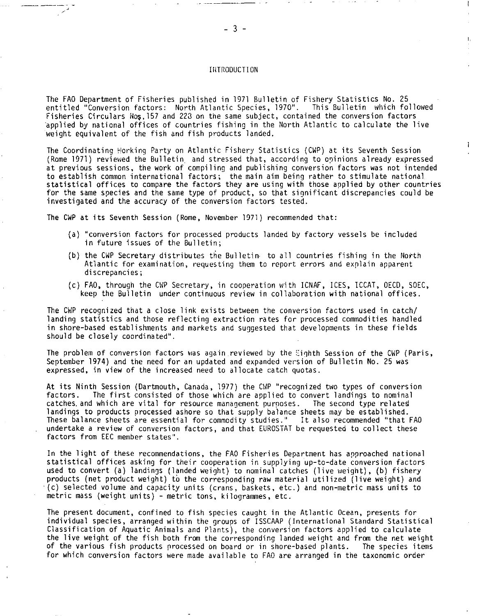## INTRODUCTION

The FAO Department of Fisheries published in 1971 Bulletin of Fishery Statistics No. 25 entitled "Conversion factors: North Atlantic Species, 1970". This Bulletin which followed Fisheries Circulars Nos.157 and 223 on the same subject, contained the conversion factors applied by national offices of countries fishing in the North Atlantic to calculate the live weight equivalent of the fish and fish products landed.

The Coordinating Morking Party on Atlantic Fishery Statistics (CWP) at its Seventh Session (Rome 1971) reviewed the Bulletin and stressed that, according to opinions already expressed at previous sessions, the work of compiling and publishing conversion factors was not intended to establish common international factors; the main aim being rather to stimulate national statistical offices to compare the factors they are using with those applied by other countries for the same species and the same type of product, so that significant discrepancies could be investigated and the accuracy of the conversion factors tested.

The CWP at its Seventh Session (Rome, November 1971) recommended that:

- (a) "conversion factors for processed products landed by factory vessels be included in future issues of the Bulletin;
- (b) the CWP Secretary distributes the Bulletin• to all countries fishing in the North Atlantic for examination, requesting them to report errors and explain apparent discrepancies;
- (c) FAO, through the CWP Secretary, in cooperation with ICNAF, ICES, ICCAT, OECD, SOEC, keep the Bulletin under continuous review in collaboration with national offices.

The CWP recognized that a close link exists between the conversion factors used in catch/ landing statistics and those reflecting extraction rates for processed commodities handled in shore-based establishments and markets and suggested that developments in these fields should be closely coordinated".

The problem of conversion factors was again reviewed by the Eighth Session of the CWP (Paris, September 1974) and the need for an updated and expanded version of Bulletin No. 25 was expressed, in view of the increased need to allocate catch quotas.

At its Ninth Session (Dartmouth, Canada, 1977) the CWP "recognized two types of conversion factors. The first consisted of those which are applied to convert landings to nominal catches. and which are vital for resource management purposes. The second type related landings to products processed ashore so that supply balance sheets may be established. These balance sheets are essential for commodity studies." It also recommended "that FAO undertake a review of conversion factors, and that EUROSTAT be requested to collect these factors from EEC member states".

In the light of these recommendations, the FAO Fisheries Department has approached national statistical offices asking for their cooperation in supplying up-to-date conversion factors used to convert (a) landings (landed weight) to nominal catches (live weight), (b) fishery products (net product weight) to the corresponding raw material utilized (live weight) and (c) selected volume and capacity units (crans, baskets, etc.) and non-metric mass units to metric mass (weight units) - metric tons, kilogrammes, etc.

The present document, confined to fish species caught in the Atlantic Ocean, presents for individual species, arranged within the groups of ISSCAAP (International Standard Statistical Classification of Aquatic Animals and Plants), the conversion factors applied to calculate the live weight of the fish both from the corresponding landed weight and from the net weight of the various fish products processed on board or in shore-based plants. The species items for which conversion factors were made available to FAO are arranged in the taxonomic order

 $\mathbf{I}$ 

 $\mathbf{I}$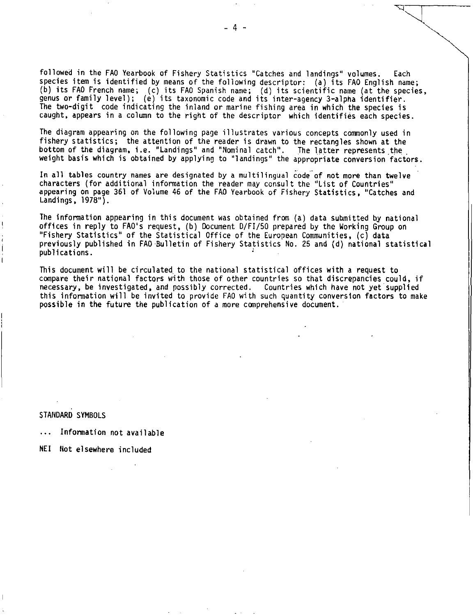followed in the FAO Yearbook of Fishery Statistics "Catches and landings" volumes. Each species item is identified by means of the following descriptor: (a) its FAO English name; (b) its FAO French name; (c) its FAO Spanish name; (d) its scientific name (at the species, genus or family level); (e) its taxonomic code and its inter-agency 3-alpha identifier. The two-digit code indicating the inland or marine fishing area in which the species is caught, appears in a column to the right of the descriptor which identifies each species.

The diagram appearing on the following page illustrates various concepts commonly used in fishery statistics; the attention of the reader is drawn to the rectangles shown at the bottom of the diagram, i.e. "Landings" and "Nominal catch". The latter represents the weight basis which is obtained by applying to "landings" the appropriate conversion factors.

In all tables country names are designated by a multilingual code of not more than twelve characters (for additional information the reader may consult the "List of Countries" appearing on page 361 of Volume 46 of the FAO Yearbook of Fishery Statistics, "Catches and Landings, 1978").

The information appearing in this document was obtained from (a) data submitted by national offices in reply to FAO's request, (b) Document D/FI/50 prepared by the Working Group on "Fishery Statistics" of the Statistical Office of the European Communities, (c) data previously published in FAO Bulletin of Fishery Statistics No. 25 and (d) national statistical publications. •

This document will be circulated to the national statistical offices with a request to compare their national factors with those of other countries so that discrepancies could, if necessary, be investigated, and possibly corrected. Countries which have not yet supplied this information will be invited to provide FAO with such quantity conversion factors to make possible in the future the publication of a more comprehensive document.

STANDARD SYMBOLS

Information not available

NEI Not elsewhere included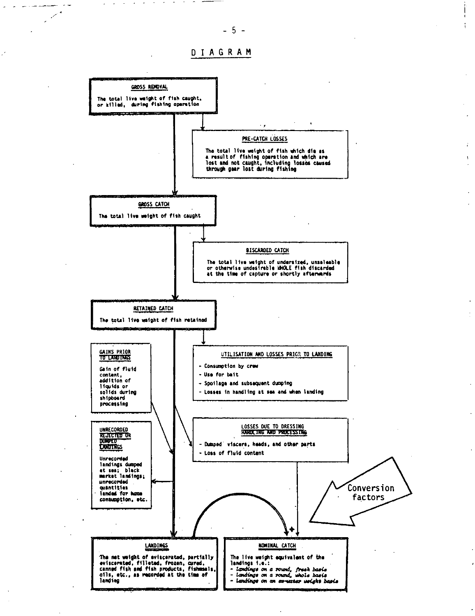$\mathbb{R}^2$ 

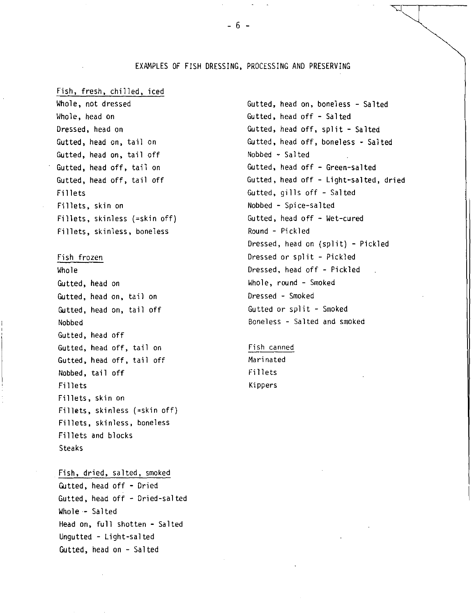## EXAMPLES OF FISH DRESSING, PROCESSING AND PRESERVING

## Fish, fresh, chilled, iced

Whole, not dressed Whole, head on Dressed, head on Gutted, head on, tail on Gutted, head on, tail off Gutted, head off, tail on Gutted, head off, tail off Fillets Fillets, skin on Fillets, skinless (=skin off) Fillets, skinless, boneless

Fish frozen Whole Gutted, head on Gutted, head on, tail on Gutted, head on, tail off Nobbed Gutted, head off Gutted, head off, tail on Gutted, head off, tail off Nobbed, tail off Fillets Fillets, skin on Fillets, skinless (=skin off) Fillets, skinless, boneless Fillets and blocks Steaks

Fish, dried, salted, smoked Gutted, head off - Dried Gutted, head off - Dried-salted Whole- Salted Head on, full shotten - Salted Ungutted - Light-salted Gutted, head on - Salted

Gutted, head on, boneless - Salted Gutted, head off - Salted Gutted, head off, split - Salted Gutted, head off, boneless - Salted Nobbed  $\div$  Salted Gutted, head off - Green-salted Gutted, head off - Light-salted, dried Gutted, gills off - Salted Nobbed - Spice-salted Gutted, head off - Wet-cured Round - Pickled Dressed, head on (split) - Pickled Dressed or split - Pickled Dressed, head off - Pickled Whole, round - Smoked Dressed - Smoked Gutted or split - Smoked Boneless - Salted and smoked

Fish canned Marinated Fillets Kippers

 $-6 -$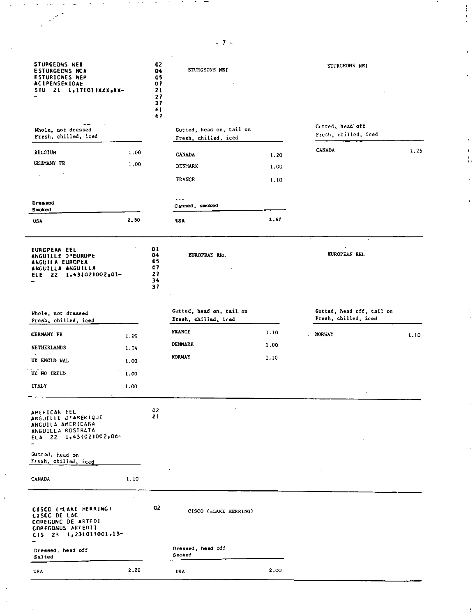| <b>STURGEONS NET</b><br><b>ESTURGEONS NCA</b><br><b>ESTURICNES NEP</b><br><b>ACTPENSERIDAE</b><br>STU 21 1,17(01)XXX,XX-   |      | 02<br>04<br>G 5<br>07<br>21<br>27<br>37<br>61<br>67 | STURGEONS NEI                                    |      | STURGEONS NEI                                     |      |
|----------------------------------------------------------------------------------------------------------------------------|------|-----------------------------------------------------|--------------------------------------------------|------|---------------------------------------------------|------|
| Whole, not dressed<br>Fresh, chilled, iced                                                                                 |      |                                                     | Gutted, head on, tail on<br>Fresh, chilled, iced |      | Gutted, head off<br>Fresh, chilled, iced          |      |
| <b>BELGIUM</b>                                                                                                             | 1.00 |                                                     | <b>CANADA</b>                                    | 1.20 | CANADA                                            | 1.25 |
| GERMANY FR                                                                                                                 | 1.00 |                                                     | <b>DENMARK</b>                                   | 1.00 |                                                   |      |
|                                                                                                                            |      |                                                     | FRANCE                                           | 1.10 |                                                   |      |
| Dressed                                                                                                                    |      |                                                     | .<br>Canned, smoked                              |      |                                                   |      |
| Smoked<br><b>USA</b>                                                                                                       | 2,50 |                                                     | <b>USA</b>                                       | 1.67 |                                                   |      |
| <b>EURCPEAN EEL</b><br><b>ANGUILLE D'EUROPE</b><br>ANGUILA EUROPEA<br>ANGUILLA ANGUILLA<br>22 1,43(02)002,01-<br>EL E.     |      | 01<br>04<br>05<br>07<br>27<br>34<br>37              | EUROPEAN EEL                                     |      | $\cdot$<br>EUROPEAN EEL                           |      |
| Whole, not dressed<br>Fresh, chilled, iced                                                                                 |      |                                                     | Gutted, head on, tail on<br>Fresh, chilled, iced |      | Gutted, head off, tail on<br>Fresh, chilled, iced |      |
| <b>GERMANY FR</b>                                                                                                          | 1.00 |                                                     | <b>FRANCE</b>                                    | 1.10 | <b>NORWAY</b>                                     | 1 10 |
| <b>NETHERLANDS</b>                                                                                                         | 1.04 |                                                     | DENMARK                                          | 1,00 |                                                   |      |
| UK ENGLD WAL                                                                                                               | 1.00 |                                                     | <b>NORWAY</b>                                    | 1.10 |                                                   |      |
| UK NO IRELD                                                                                                                | 1.00 |                                                     |                                                  |      |                                                   |      |
| <b>ITALY</b>                                                                                                               | 1.00 |                                                     |                                                  |      |                                                   |      |
| AMERICAN EEL<br>ANGUILLE D'AMERIQUE<br>ANGUILA AMERICANA<br>ANGUILLA ROSTRATA<br>ELA 22 1,43(02)002,06-<br>-               |      | 02<br>21                                            |                                                  |      |                                                   |      |
| Gutted, head on<br>Fresh, chilled, iced                                                                                    |      |                                                     |                                                  |      |                                                   |      |
| <b>CANADA</b>                                                                                                              | 1.10 |                                                     |                                                  |      |                                                   |      |
| CISCO (=LAKE HERRING)<br><b>CISCC DE LAC</b><br><b>COREGONC DE ARTEDI</b><br>COREGONUS ARTEDII<br>$C15$ 23 1,23(01)001,13- |      | $C2 -$                                              | CISCO (=LAKE HERRING)                            |      |                                                   |      |
| Dressed, head off<br>Salted                                                                                                |      |                                                     | Dressed, head off<br>Snoked                      |      |                                                   |      |
| USA                                                                                                                        | 2,22 |                                                     | USA                                              | 2,00 |                                                   |      |

 $-7 -$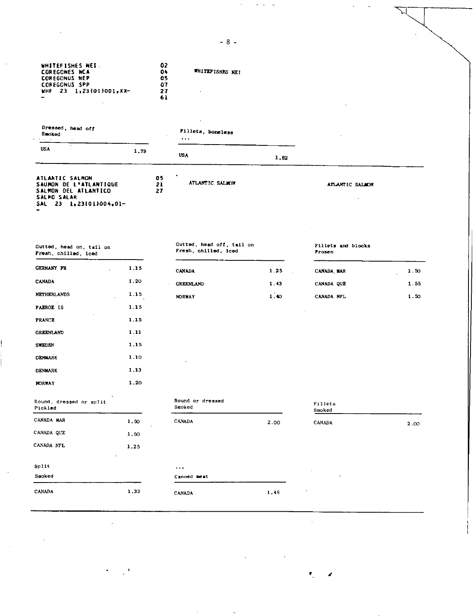| WHITEFISHES NEI<br><b>COREGONES NCA</b><br><b>COREGONUS NEP</b><br><b>COREGONUS SPP</b><br>WHE $23 - 1, 23 (01)001, 100$ |      | 02<br>$0+$<br>05<br>07<br>27<br>61 | WHITEFISHES NEI                                   |      |                              |      |
|--------------------------------------------------------------------------------------------------------------------------|------|------------------------------------|---------------------------------------------------|------|------------------------------|------|
| Dressed, head off<br>Smoked<br>e a ca                                                                                    |      |                                    | Fillets, boneless<br>$\cdots$                     |      |                              |      |
| <b>USA</b>                                                                                                               | 1.79 |                                    | <b>USA</b>                                        | 1,82 |                              |      |
| ATLANTIC SALMON<br>SAUMON DE L'ATLANTIQUE<br><b>SALMON DEL ATLANTICO</b><br><b>SALMO SALAR</b><br>SAL 23 1,23(01)004,01- |      | 05<br>21<br>27                     | ATLANTIC SALMON                                   |      | ATLANTIC SALMON              |      |
| Gutted, head on, tail on<br>Fresh, chilled, iced                                                                         |      |                                    | Gutted, head off, tail on<br>Fresh, chilled, iced |      | Pillets and blocks<br>Prozen |      |
| <b>GERMANY FR</b>                                                                                                        | 1.15 |                                    | <b>CANADA</b>                                     | 1.25 | CANADA MAR                   | 1.50 |
| <b>CANADA</b>                                                                                                            | 1.20 |                                    | <b>GREENLAND</b>                                  | 1.43 | CANADA QUE                   | 1.55 |
| <b>NETHERLANDS</b>                                                                                                       | 1.15 |                                    | <b>NORWAY</b>                                     | 1.40 | CANADA NFL                   | 1.50 |
| <b>FAEROE IS</b>                                                                                                         | 1.15 |                                    |                                                   |      |                              |      |
| <b>PRANCE</b>                                                                                                            | 1.15 |                                    |                                                   |      |                              |      |
| <b>GREENLAND</b>                                                                                                         | 1.11 |                                    |                                                   |      |                              |      |
| <b>SWEDEN</b>                                                                                                            | 1.15 |                                    |                                                   |      |                              |      |
| <b>DENMARK</b>                                                                                                           | 1.10 |                                    |                                                   |      |                              |      |
| <b>DENMARK</b>                                                                                                           | 1.13 |                                    |                                                   |      |                              |      |
| <b>NORWAY</b>                                                                                                            | 1.20 |                                    |                                                   |      |                              |      |
| Round, dressed or split<br>Pickled                                                                                       |      |                                    | Round or dressed<br>Smoked                        |      | Fillets<br>Smoked            |      |
| CANADA MAR                                                                                                               | 1.50 |                                    | CANADA                                            | 2.00 | CANADA                       | 2.00 |
| CANADA QUE                                                                                                               | 1.50 |                                    |                                                   |      |                              |      |
| CANADA NFL                                                                                                               | 1.25 |                                    |                                                   |      |                              |      |
| Split                                                                                                                    |      |                                    | $\ddotsc$                                         |      |                              |      |
| Smoked                                                                                                                   |      |                                    | Canned meat                                       |      |                              |      |
| CANADA                                                                                                                   | 1.33 |                                    | CANADA                                            | 1.46 |                              |      |

 $-8-$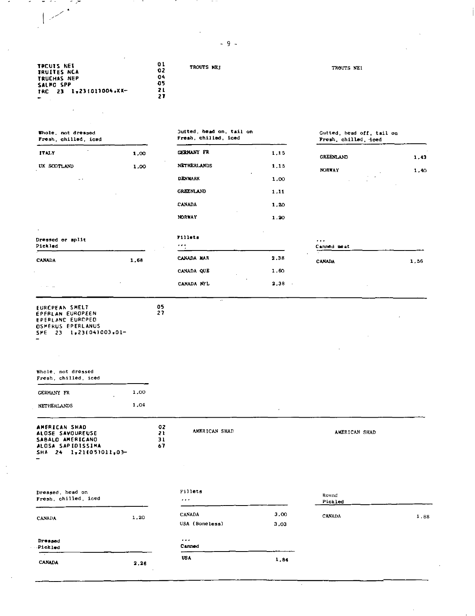TROUTS NEI TROUTS NEI **TRCUTS NEI TRUITESNCA TRUCHAS** *NEP*  **Sian SPP TRC 23 1.23 1011004 <sup>e</sup> XA-**

 $\mathbb{R}^2$ 

- 2

 $\Delta$ 

 $\ddot{\phantom{1}}$ 

# Whole, not dressed **Jutted, head on, tail on** Gutted, head off, tail on Fresh, chilled, iced **Fresh, chilled, iced** Fresh, chilled, iced Fresh, chilled, iced Fresh, chilled, iced **Fresh**, chilled, iced **Fresh**, chilled, ic

**05 27** 

| Fresh, chilled, iced               |      | Fresh, chilled, iced |      |  |
|------------------------------------|------|----------------------|------|--|
| <b>ITALY</b>                       | 1.00 | <b>CERMANY FR</b>    | 1,15 |  |
| UK SCOTLAND                        | 1.00 | <b>NETHERLANDS</b>   | 1.15 |  |
| $\cdots$                           |      | <b>DENMARK</b>       | 1.00 |  |
|                                    |      | <b>GREENLAND</b>     | 1.11 |  |
|                                    |      | <b>CANADA</b>        | 1.20 |  |
|                                    |      | <b>NORWAY</b>        | 1.20 |  |
| ٠                                  |      | Fillets              |      |  |
| <b>Dressed or split</b><br>Pickled |      |                      |      |  |
| CANADA                             | 1.68 | CANADA MAR           | 2.35 |  |

| ___, _   -<br>Fresh chilled iced |  |  |  |      |  |  |  |
|----------------------------------|--|--|--|------|--|--|--|
|                                  |  |  |  |      |  |  |  |
| <b>GREENLAND</b>                 |  |  |  | 1.43 |  |  |  |

| <b>NORWAY</b> |   | ٠           | 1.40 |
|---------------|---|-------------|------|
|               | ٠ | ٠<br>٠<br>٠ |      |
|               |   |             | ٠    |
|               |   |             |      |

CANADA 1.56

| Dressed or split<br>Pickled                  |         | <b>Fillets</b><br>$\begin{array}{cccccccccccccc} \bullet & \bullet & \bullet & \bullet & \bullet \end{array}$ |                | $\cdots$<br>Canned meat  |
|----------------------------------------------|---------|---------------------------------------------------------------------------------------------------------------|----------------|--------------------------|
| <b>CANADA</b>                                | 1.68    | CANADA MAR                                                                                                    | 2.35           | $\cdot$<br><b>CANADA</b> |
|                                              |         | CANADA QUE<br>$\sim$                                                                                          | 1.60           |                          |
| $\overline{\phantom{a}}$<br>$\sim$<br>$\sim$ | $\cdot$ | CANADA NFL                                                                                                    | 2,38<br>$\sim$ |                          |

# EURCPEAN SMELT<br>EPFRLAN EUROPEEN<br>EPERLANC EUROPEO<br>OSMERUS EPERLANUS<br>SME 23 1,23(04)003,01-

| Whole, not dressed |  |
|--------------------|--|
| Fresh chilled iced |  |

| <b>GERMANY FR</b>  | ٠ | 1.00 |
|--------------------|---|------|
| <b>NETHERLANDS</b> |   | 1.04 |

| AMERICAN SHAD          | 02 |
|------------------------|----|
| ALOSE SAVOUREUSE       | 21 |
| SABALO AMERICANO       | 31 |
| ALOSA SAPIDISSIMA      | 67 |
| SHA 24 1.21(05)011.03- |    |

AMERICAN SHAD AMERICAN SHAD

 $\lambda$ 

| Dressed, head on<br>Fresh chilled iced |                   | <b>Fillets</b><br>$\cdots$      |              | Round<br>Pickled |      |
|----------------------------------------|-------------------|---------------------------------|--------------|------------------|------|
| <b>CANADA</b>                          | 1.20              | <b>CANADA</b><br>USA (Boneless) | 3,00<br>3,03 | CANADA           | 1.88 |
| Dressed<br>Pickled                     |                   | $\cdots$<br>Canned              |              |                  |      |
| $\sim$<br><b>CANADA</b>                | 2.26<br>$\bullet$ | <b>USA</b>                      | 1.84         |                  |      |

 $\epsilon$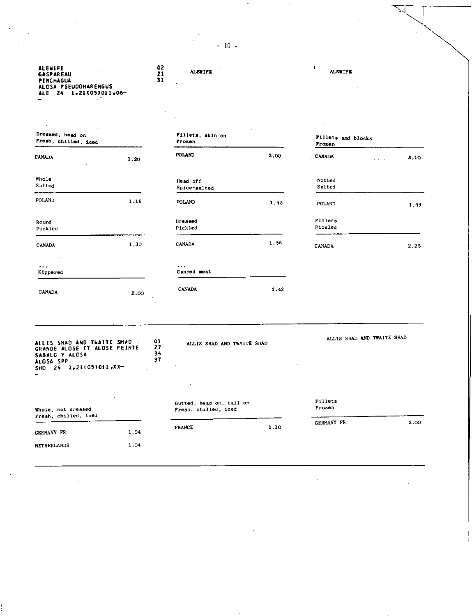- 10-

| ALEWIFE<br>GASPAREAU<br>PINCHAGUA<br>ALOSA PSEUDOHARENGUS<br>ALE 24 1,21(05)011,06-       |      | 02<br>21<br>31       | <b>ALEWIFE</b>                                   |      | 1<br><b>ALEWIFE</b>          |                              |
|-------------------------------------------------------------------------------------------|------|----------------------|--------------------------------------------------|------|------------------------------|------------------------------|
| Dressed, head on<br>Fresh, chilled, iced                                                  |      |                      | Fillets, skin on<br>Frozen                       |      | Fillets and blocks<br>Prozen |                              |
| <b>CANADA</b>                                                                             | 1.20 |                      | POLAND                                           | 2.00 | <b>CANADA</b>                | 3.10<br>$\sim$ $\sim$ $\sim$ |
| Whole<br>Salted                                                                           |      |                      | Head off<br>Spice-salted                         |      | Nobbed<br>Salted             |                              |
| <b>POLAND</b>                                                                             | 1.16 |                      | POLAND                                           | 1,45 | POLAND                       | 1.49                         |
| Round<br>Pickled                                                                          |      |                      | Dressed<br>Pickled                               |      | Fillets<br>Pickled           |                              |
| CANADA                                                                                    | 1,30 |                      | CANADA                                           | 1.56 | CANADA                       | 2.25                         |
| <br>Kippered                                                                              |      |                      | $\cdots$<br>Canned meat                          |      |                              |                              |
| CANADA                                                                                    | 2.00 |                      | <b>CANADA</b>                                    | 1 43 |                              |                              |
| ALLIS SHAD AND TWAITE SHAD<br>GRANDE ALOSE ET ALOSE FEINTE<br>SABALG Y ALOSA<br>ALGSA SPP |      | 01<br>27<br>34<br>37 | ALLIS SHAD AND TWAITE SHAD                       |      | ALLIS SHAD AND TWAITE SHAD   |                              |
| 24 1,21(05)011,XX-<br><b>SHD</b>                                                          |      |                      |                                                  |      |                              |                              |
| Whole, not dressed<br>Fresh, chilled, iced                                                |      |                      | Gutted, head on, tail on<br>Fresh, chilled, iced |      | Fillets<br>Frozen            |                              |
| GERMANY FR                                                                                | 1.04 |                      | <b>FRANCE</b>                                    | 1,10 | GERMANY FR                   | 2,00                         |
| <b>NETHERLANDS</b>                                                                        | 1,04 |                      |                                                  |      |                              |                              |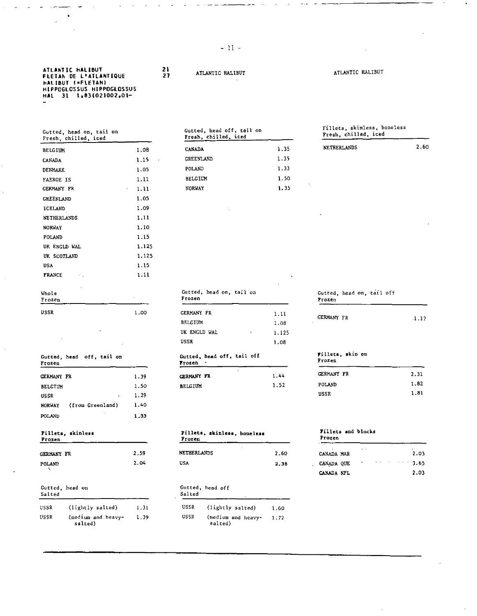## **ATLANTIC HALIBUT FLETAN DE L'ATLANTIOUE HALIBUT (•FLETAN) HIPAGGLOSSUS HIPPUGLOSSUS HAL 31 1031021002901-**

| Gutted, head on, tail on |  |  |
|--------------------------|--|--|
| Fresh, chilled, iced     |  |  |

| Whole<br>Frozen                |                 | Gutted, head on, tail on<br>Frozen |           | Gutted, head on, tail off<br>Frozen |
|--------------------------------|-----------------|------------------------------------|-----------|-------------------------------------|
| <b>FRANCE</b><br>$\sim$ $\sim$ | 1.11            |                                    | $\bullet$ |                                     |
| <b>USA</b>                     | 1.15            |                                    |           |                                     |
| UK SCOTLAND                    | 1.125           |                                    |           |                                     |
| UK ENGLD WAL                   | 1.125           |                                    |           |                                     |
| POLAND                         | 1.15            |                                    |           |                                     |
| <b>NORWAY</b>                  | 1.10            |                                    |           |                                     |
| <b>NETHERLANDS</b>             | 1.11            |                                    |           |                                     |
| ICELAND                        | 1.09            |                                    |           |                                     |
| GREENLAND                      | 1.05            |                                    |           |                                     |
| <b>GERMANY FR</b>              | 1.11<br>$\sim$  | <b>NORWAY</b>                      | 1.35      |                                     |
| FAEROE IS                      | 1.11            | <b>BELGIUM</b>                     | 1.50      | ٠                                   |
| DENMARK                        | 1 05            | POLAND                             | 1.33      |                                     |
| CANADA                         | 1.15<br>$\cdot$ | GREENLAND                          | 1.35      |                                     |
| <b>BELGIUM</b>                 | 1.08            | <b>CANADA</b>                      | 1.35      | NETHERLANDS                         |

 $\sim$ 

Gutted, head off, tail on Gutted, head off, tail off Fillets, skin on Gutted, head off, tail off Frozen Frozen - $\texttt{USSR} \quad \texttt{1.29} \quad \texttt{1.81}$ NORWAY (from Greenland) 1.40 POLAND 1,33 Fillets, skinless Fillets, skinless, boneless Fillets and blocks<br>Frozen <u>Frozen</u> Frozen Frozen Frozen Frozen Frozen Frozen Frozen Frozen Frozen Frozen Frozen Frozen Frozen Frozen (h. 1888). Gutted, head on Gutted, head off Salted Salted

| USSR | (lightly salted)              | 1.31 |
|------|-------------------------------|------|
| USSR | (medium and heavy-<br>salted) | 1.39 |

**271ANTIC HALIBUT ATLANTIC HALIBUT** 

| Gutted, head on, tail on<br>Fresh, chilled, iced |      | Gutted, head off, tail on<br>Fresh, chilled, iced |      | Fillets, skinless, boneless<br>Fresh, chilled, iced |      |
|--------------------------------------------------|------|---------------------------------------------------|------|-----------------------------------------------------|------|
| BELGIUM                                          | 1.08 | <b>CANADA</b>                                     | 1.35 | <b>NETHERLANDS</b>                                  | 2.60 |
| CANADA                                           | 1.15 | GREENLAND                                         | 1.35 |                                                     |      |
| DENMARK                                          | 1.05 | POLAND                                            | 1.33 |                                                     |      |
| FAEROE IS                                        | 1.11 | <b>BELGIUM</b>                                    | 1.50 |                                                     |      |
| GERMANY FR                                       | 1.11 | <b>NORWAY</b>                                     | 1.35 |                                                     |      |
|                                                  |      |                                                   |      |                                                     |      |

| Gutted, head on, tail on<br>Frozen |       |
|------------------------------------|-------|
| CERMANY FR                         | 1.11  |
| BELGIUM                            | 1.08  |
| UK ENGLD WAL                       | 1.125 |
| USSR                               | 1.08  |

| .                 |      | .              |      |                   |           |
|-------------------|------|----------------|------|-------------------|-----------|
| <b>CERMANY FR</b> | 1.39 | CERMANY FR     | 1.44 | <b>GERMANY FR</b> | 2.31      |
| BELGIUM           | 1.50 | <b>BELGIUM</b> | 1.52 | POLAND            | 1.82      |
|                   |      |                |      |                   | _________ |

| Fillets, skinless, boneless |  |
|-----------------------------|--|
|                             |  |

| <b>GERMANY FR</b> | 2.59 | NETHERLANDS | 2.60 | CANADA MAR | $\sim$ | 2.03    |
|-------------------|------|-------------|------|------------|--------|---------|
| POLAND            | 2.04 | USA         | 2,38 | CANADA QUE |        | $-2.65$ |

## Salted

| USSR | (lightly salted)              | 131   | USSR | (lightly salted)                     | 1.60 |
|------|-------------------------------|-------|------|--------------------------------------|------|
| USSR | (medium and heavy-<br>salted) | -1.39 | USSR | (medium and heavy- $1.72$<br>salted) |      |

| Fillets, skinless, boneless |  |
|-----------------------------|--|
| Fresh, chilled, iced        |  |

| NETHERLANDS | 2.6 |
|-------------|-----|
|             |     |
|             |     |

| Gutted, head on, tail off |  |  |  |
|---------------------------|--|--|--|
| Frozen                    |  |  |  |
|                           |  |  |  |

| USSR | 1.00<br>---- | <b>GERMANY FR</b> | .    | <b>GERMANY FR</b> | $\rightarrow$ |
|------|--------------|-------------------|------|-------------------|---------------|
|      |              | <b>BELGIUM</b>    | 1.08 | r v               | .             |

## Frozen

|             | .    |
|-------------|------|
| POLAND      | 1.82 |
| <b>USSR</b> | 1.81 |

| ٠<br>CANADA MAR | . . |             |  | 2.03          |
|-----------------|-----|-------------|--|---------------|
| CANADA OUE      | ٠   | $\cdot$ $-$ |  | $\cdots$ 3.65 |
| CANADA NFL      |     |             |  | 2.03          |

 $-11 -$ 

**21**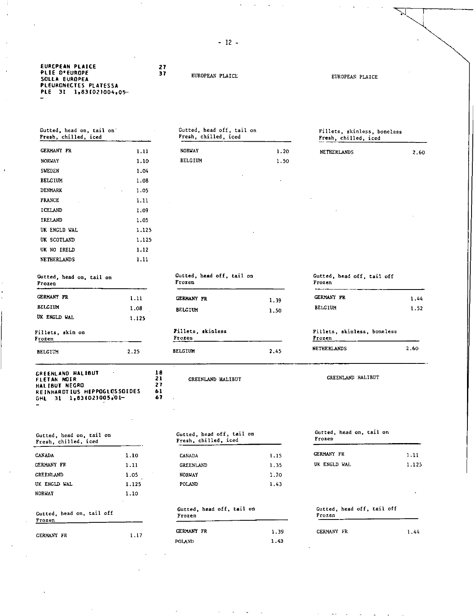- 12-

| EURCPEAN PLAICE<br>PLIE O°EUROPE |  |
|----------------------------------|--|
| <b>SOLLA EUROPEA</b>             |  |
| <b>PLEURONECTES PLATESSA</b>     |  |
| PLE 31 1,83(02)004,05-           |  |

## **EUROPEAN PLAICE** EUROPEAN PLAICE

Fresh, chilled, iced

**27** 

Fillets, skinless, boneless Fresh, chilled, iced

Gutted, head on, tail on Fresh, chilled, iced on Gutted, head off, tail on GERMANY FR NORWAY SWEDEN BELGIUM DENMARK FRANCE ICELAND IRELAND UK ENGLD WAL UK SCOTLAND UK NO IRELD NETHERLANDS 1.11 1.10 1.04 1.08 1.05 1.11 1.09 1.05 1.125 1.125 1.12 1.11

Frozen

| <b>GERMANY FR</b>                                                                                                             | 1.11                       | <b>NORWAY</b>                                     | 1.20 | NETHERLANDS                           | 2.60  |
|-------------------------------------------------------------------------------------------------------------------------------|----------------------------|---------------------------------------------------|------|---------------------------------------|-------|
| <b>NORWAY</b>                                                                                                                 | 1.10                       | <b>BELGIUM</b>                                    | 1.50 |                                       |       |
| SWEDEN                                                                                                                        | 1.04                       |                                                   |      |                                       |       |
| <b>BELGIUM</b>                                                                                                                | 1.08                       |                                                   |      |                                       |       |
| DENMARK                                                                                                                       | 1.05                       |                                                   |      |                                       |       |
| <b>FRANCE</b>                                                                                                                 | 1.11                       |                                                   |      |                                       |       |
| ICELAND                                                                                                                       | 1.09                       |                                                   |      |                                       |       |
| IRELAND                                                                                                                       | 1.05                       |                                                   |      |                                       |       |
| UK ENGLD WAL                                                                                                                  | 1,125                      |                                                   |      |                                       |       |
| UK SCOTLAND                                                                                                                   | 1.125                      |                                                   |      |                                       |       |
| UK NO IRELD                                                                                                                   | 1.12                       |                                                   |      |                                       |       |
| NETHERLANDS                                                                                                                   | 1.11                       |                                                   |      |                                       |       |
| Gutted, head on, tail on<br>Frozen                                                                                            |                            | Gutted, head off, tail on<br>Frozen               |      | Gutted, head off, tail off<br>Frozen  |       |
| <b>CERMANY FR</b>                                                                                                             | 1.11                       | <b>GERMANY FR</b>                                 | 1.39 | GERMANY FR                            | 1,44  |
| <b>BELGIUM</b>                                                                                                                | 1.08                       | <b>BELGIUM</b>                                    | 1.50 | <b>BELGIUM</b>                        | 1.52  |
| UK ENGLD WAL                                                                                                                  | 1.125                      |                                                   |      |                                       |       |
| Fillets, skin on<br>Frozen                                                                                                    |                            | Fillets, skinless<br>Frozen                       |      | Fillets, skinless, boneless<br>Frozen |       |
| <b>BELCIUM</b>                                                                                                                | 2.25                       | <b>BELGIUM</b>                                    | 2.45 | NETHERLANDS                           | 2.60  |
| GREENLAND HALIBUT<br>FLETAN NOIR<br><b>HALIBUT NEGRO</b><br>REINHARDTIUS HIPPOGLOSSOIDES<br>$31 \quad 1,83(02)005,01$<br>GHL. | 18<br>21<br>27<br>61<br>67 | GREENLAND HALIBUT                                 |      | <b>CREENLAND HALIBUT</b>              |       |
| Gutted, head on, tail on<br>Fresh, chilled, iced                                                                              |                            | Gutted, head off, tail on<br>Fresh, chilled, iced |      | Gutted, head on, tail on<br>Frozen    |       |
| CANADA                                                                                                                        | 1.10                       | CANADA                                            | 1.15 | <b>GERMANY FR</b>                     | 1.11  |
| GERMANY FR                                                                                                                    | 1.11                       | GREENLAND                                         | 1.35 | UK ENGLD WAL                          | 1.125 |
| GREENLAND                                                                                                                     | 1.05                       | <b>NORWAY</b>                                     | 1.20 |                                       |       |
| UK ENGLD WAL                                                                                                                  | 1.125                      | POLAND                                            | 1.43 |                                       |       |
| NORWAY                                                                                                                        | 1.10                       |                                                   |      |                                       |       |
| Gutted, head on, tail off<br>Frozen                                                                                           |                            | Gutted, head off, tail on<br>Frozen               |      | Gutted, head off, tail off<br>Frozen  |       |
|                                                                                                                               |                            | <b>GERMANY FR</b>                                 | 1.39 | GERMANY FR                            | 1.44  |

1.43

1.44 GERMANY FR 1.17 1.39 GERMANY FR Gutted, head on, tail off Frozen

POLAND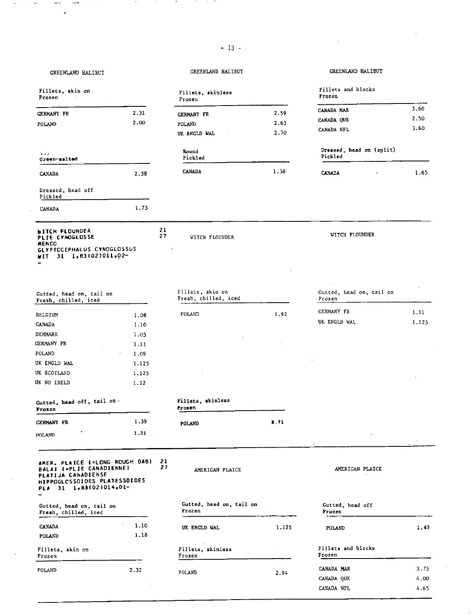| GREENLAND HALIBUT                                                                                                                          |              |          | GREENLAND HALIBUT                        |       | GREENLAND HALIBUT                   |       |
|--------------------------------------------------------------------------------------------------------------------------------------------|--------------|----------|------------------------------------------|-------|-------------------------------------|-------|
| Fillets, skin on<br>Frozen                                                                                                                 |              |          | Fillets, skinless<br>Frozen              |       | Fillets and blocks<br>Prozen        |       |
| <b>GERMANY FR</b>                                                                                                                          | 2.31         |          | GERMANY FR                               | 2.59  | CANADA MAR                          | 3.60  |
| POLAND                                                                                                                                     | 2.00         |          | POLAND                                   | 2.63  | CANADA QUE                          | 2.50  |
|                                                                                                                                            |              |          | UK ENGLD WAL                             | 2.70  | CANADA NFL                          | 3.60  |
| $\cdots$<br>Green-salted                                                                                                                   |              |          | Round<br>Pickled                         |       | Dressed, head on (split)<br>Pickled |       |
| CANADA                                                                                                                                     | 2.38         |          | <b>CANADA</b>                            | 1.38  | <b>CANADA</b>                       | 1.65  |
| Dressed, head off<br>Pickled                                                                                                               |              |          |                                          |       |                                     |       |
| CANADA                                                                                                                                     | 1.73         |          |                                          |       |                                     |       |
| <b>WITCH FLOUNDER</b><br>PLIE CYNOGLOSSE<br>MENDO<br><b>GLYPTOCEPHALUS CYNOGLOSSUS</b><br>31 1,63(02)011,02-<br>81 T                       |              | 21<br>27 | <b>WITCH FLOUNDER</b>                    |       | WITCH FLOUNDER                      |       |
| Gutted, head on, tail on<br>Fresh, chilled, iced                                                                                           |              |          | Fillets, skin on<br>Fresh, chilled, iced |       | Gutted, head on, tail on<br>Frozen  |       |
| <b>BELCIUM</b>                                                                                                                             | 1.08         |          | <b>POLAND</b>                            | 1.92  | GERMANY FR                          | 1.11  |
| CANADA                                                                                                                                     | 1.10         |          |                                          |       | UK ENGLD WAL                        | 1,125 |
| DENMARK                                                                                                                                    | 1.05         |          |                                          |       |                                     |       |
| GERMANY FR                                                                                                                                 | 1.11         |          |                                          |       |                                     |       |
| POLAND                                                                                                                                     | 1.09         |          |                                          |       |                                     |       |
| UK ENGLD WAL                                                                                                                               | 1.125        |          |                                          |       |                                     |       |
| UK SCOTLAND                                                                                                                                | 1.125        |          |                                          |       |                                     |       |
| UK NO IRELD                                                                                                                                | 1.12         |          |                                          |       |                                     |       |
|                                                                                                                                            |              |          |                                          |       |                                     |       |
| Gutted, head off, tail on.<br>Frozen                                                                                                       |              |          | Fillets, skinless<br>frozen              |       |                                     |       |
| <b>GERMANY FR</b>                                                                                                                          | 1.39         |          | POLAND                                   | 3.71  |                                     |       |
| POLAND                                                                                                                                     | 1,31         |          |                                          |       |                                     |       |
| AMER. PLAICE (=LONG ROUGH DAB)<br>BALAI (=PLIE CANADIENNE)<br>PLATIJA CANADIENSE<br>HIPPOGLOSSOIDES PLATESSOIDES<br>PLA 31 1,83(02)014,01- |              | 21<br>27 | AMERICAN PLAICE                          |       | AMERICAN PLAICE                     |       |
| Gutted, head on, tail on<br>Fresh, chilled, iced                                                                                           |              |          | Gutted, head on, tail on<br>Frozen       |       | Gutted, head off<br>Frozen          |       |
| CANADA<br>POLAND                                                                                                                           | 1.10<br>1.18 |          | UK ENGLD WAL                             | 1,125 | POLAND                              | 1,43  |
| Fillets, skin on<br>Frozen                                                                                                                 |              |          | Fillets, skinless<br>Frozen              |       | Fillets and blocks<br>Frozen        |       |
| POLAND                                                                                                                                     | 2.32         |          |                                          |       | CANADA MAR                          | 3.75  |
|                                                                                                                                            |              |          | POLAND                                   | 2.94  | CANADA QUE                          | 4.00  |
|                                                                                                                                            |              |          |                                          |       | CANADA NFL                          | 4.65  |

 $\sim$ 

 $\ddot{\phantom{0}}$ 

ă.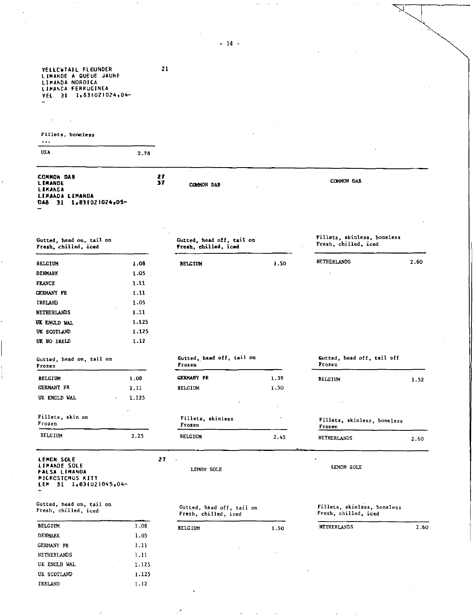YELLCWTAIL FLOUNDER **21**  LIMANDE A QUEUE JAUNE LIMANDA NOROICA LIMANCA FERRUGINEA YEL 31 1,831021024.04—

| Fillets, boneless |  |
|-------------------|--|
|                   |  |
|                   |  |

USA 2.78

**COMMON DAB LIMANDE LIMANDA LIMANDA LIMANDA**  DAB 31 1.831021024.05-**27 37** COMMON DAB

Gutted, head on, tail on Fresh, chilled, iced

|                   |       |                |      | NETHERLANDS | 2.60 |
|-------------------|-------|----------------|------|-------------|------|
| <b>BELGIUM</b>    | 1.08  | <b>BELCIUM</b> | 1.50 |             |      |
| <b>DENMARK</b>    | 1.05  |                |      | $\cdot$     |      |
| <b>FRANCE</b>     | 1.11  |                |      |             |      |
| <b>GERMANY FR</b> | 1.11  |                |      |             |      |
| IRELAND<br>$\sim$ | 1.05  |                |      |             |      |
| NETHERLANDS       | 1.11  |                |      |             |      |
| UK ENGLD WAL      | 1.125 |                |      |             |      |
| UK SCOTLAND       | 1.125 |                |      |             |      |
| UK NO IRELD       | 1.12  |                |      |             |      |

| Gutted, head on, tail on<br>Frozen |  |  |  |
|------------------------------------|--|--|--|
| <b>BELGIUM</b>                     |  |  |  |

| <b>RETCTIN</b>    |         | n ne  | $n_{\rm{H}}$ $n_{\rm{H}}$ | - - - |
|-------------------|---------|-------|---------------------------|-------|
| Frozen            |         |       | Frozen                    |       |
| Fillets, skin on  |         |       | Fillets, skinless         |       |
|                   |         | ٠     |                           |       |
| UK ENGLD WAL      | $\cdot$ | 1.125 | $\cdot$                   |       |
| <b>GERMANY FR</b> |         | 1.11  | <b>BELGIUM</b>            | 1.50  |

LEMON SOLE<br>LIMANDE SOLE<br>FALSA LIMANDA MICROSTCMUS KITT LEM 31 1,831021045,04—

Gutted, head on, Gutted, head on, tail on<br>Fresh, chilled, iced

| <b>BELGIUM</b> | 1.08  |
|----------------|-------|
| <b>DENMARK</b> | 1.05  |
| GERMANY FR     | 1.11  |
| NETHERLANDS    | 1.11  |
| UK ENGLD WAL   | 1.125 |
| UK SCOTIAND    | 1.125 |
| <b>IRELAND</b> | 1.12  |

LEMON SOLE LEMON SOLE

Gutted, head off, tail on Fresh, chilled, *iced* 

| BELGIUM | 1.50 | NETHERLANDS | 2.60 |
|---------|------|-------------|------|
|         |      |             |      |
|         |      |             |      |

Fillets, skinless, boneless Fresh, chilled, iced

Gutted, head off, tail off Frozen BELGIUM 1.08 GERMANY PR 1.39 BELGIUM 1.52 Fillets, skinless, boneless

CANNON DAB

Fillets, skinless, boneless Fresh, chilled, iced

Frozen BELGIUM 2.25 BELGIUM 2.45 NETHERLANDS 2.60

 $-14-$ 

Gutted, head off, tail on Fresh, chilled, iced

Gutted, head off, tail on

Frozen

*2?* 

 $\sim$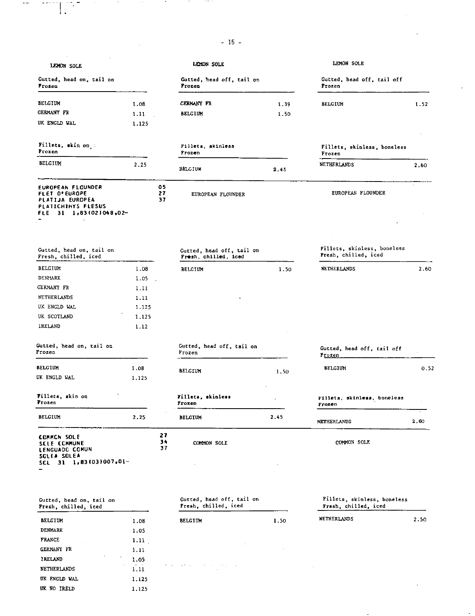|                                                                                                                            |          |                | $-15 -$                                           |      |                                                     |                |
|----------------------------------------------------------------------------------------------------------------------------|----------|----------------|---------------------------------------------------|------|-----------------------------------------------------|----------------|
| LEMON SOLE                                                                                                                 |          |                | LEMON SOLE                                        |      | LEMON SOLE                                          |                |
| Gutted, head on, tail on<br><b>Frozen</b>                                                                                  |          |                | Gutted, head off, tail on<br>Frozen               |      | Gutted, head off, tail off<br>Frozen                |                |
| <b>BELGIUM</b>                                                                                                             | 1.08     |                | <b>GERMANY FR</b>                                 | 1.39 | <b>BELGIUM</b>                                      | 1.52           |
| <b>GERMANY FR</b>                                                                                                          | 1.11     |                | <b>BELGIUM</b>                                    | 1.50 |                                                     |                |
| UK ENGLD WAL                                                                                                               | 1.125    |                |                                                   |      |                                                     |                |
| Fillets, skin on :<br>Frozen                                                                                               |          |                | Fillets, skinless<br>Frozen                       |      | Fillets, skinless, boneless<br>Frozen               |                |
| <b>BELGIUM</b>                                                                                                             | 2.25     |                | <b>BELGIUM</b>                                    | 2.45 | NETHERLANDS                                         | 2.60           |
| <b>EUROPEAN FLOUNDER</b><br><b>FLET D'EUROPE</b><br><b>PLATIJA EUROPEA</b><br>PLATICHINYS FLESUS<br>FLE 31 1,83(02)048,02- |          | 05<br>27<br>37 | EUROPEAN FLOUNDER                                 |      | EUROPEAN FLOUNDER                                   |                |
| Gutted, head on, tail on<br>Fresh, chilled, iced                                                                           |          |                | Gutted, head off, tail on<br>Fresh, chilled, iced |      | Fillets, skinless, boneless<br>Fresh, chilled, iced |                |
| BELGIUM                                                                                                                    | 1.08     |                | BELGIUM                                           | 1.50 | NETHERLANDS                                         | 2.60           |
| DENMARK                                                                                                                    | $1.05$ . |                |                                                   |      |                                                     |                |
| CERMANY FR                                                                                                                 | 1.11     |                |                                                   |      |                                                     |                |
| NETHERLANDS                                                                                                                | 1.11     |                |                                                   |      |                                                     |                |
| UK ENGLD WAL                                                                                                               | 1.125    |                |                                                   |      |                                                     |                |
| UK SCOTLAND                                                                                                                | 1.125    |                |                                                   |      |                                                     |                |
| IRELAND                                                                                                                    | 1.12     |                |                                                   |      |                                                     |                |
| Gutted, head on, tail on<br>Frozen                                                                                         |          |                | Gutted, head off, tail on<br>Frozen               |      | Gutted, head off, tail off<br><u>Frozen</u>         |                |
| <b>BELGIUM</b>                                                                                                             | 1.08     |                |                                                   |      | <b>BELGIUM</b>                                      | 0.52           |
| UK ENGLD WAL                                                                                                               | 1.125    |                | <b>BELGIUM</b>                                    | 1.50 |                                                     |                |
| Fillets, skin on<br>Frozen                                                                                                 |          |                | Fillets, skinless<br>Frozen                       | ò.   | Fillets, skinless, boneless<br>Frozen               |                |
| <b>BELGIUM</b>                                                                                                             | 2.25     |                | <b>BELGIUM</b>                                    | 2.45 | <b>NETHERLANDS</b>                                  | $\sim$<br>2.60 |
| COMMON SOLE<br><b>SELE COMMUNE</b><br>LENGUADO COMUN<br><b>SOLEA SOLEA</b>                                                 |          | 27<br>34<br>37 | COMMON SOLE                                       |      | COMMON SOLE                                         |                |
| SCL 31 1,83(03)007,01-                                                                                                     |          |                |                                                   |      |                                                     |                |
| Gutted, head on, tail on<br>Fresh, chilled, iced                                                                           |          |                | Gutted, head off, tail on<br>Fresh, chilled, iced |      | Fillets, skinless, boneless<br>Fresh, chilled, iced |                |

**BELGIUM 1.08 DENMARK** 1.05 FRANCE 1.11 GERMANY FR 1.11 **IRELAND 1.05**  NETHERLANDS 1.11 UK ENGLD WAL **1.125 UK NO IRELD** 1.125

 $\mathbb{R}^n \times \mathbb{R}^n$ 

 $\sim$ 

 $\sim$ 

- 11

 $\sim$ 

 $\sim$   $-$ 

**BELGIUM 1.50** NETHERLANDS 2.50  $\alpha\neq 0$  .  $\gamma$ **11**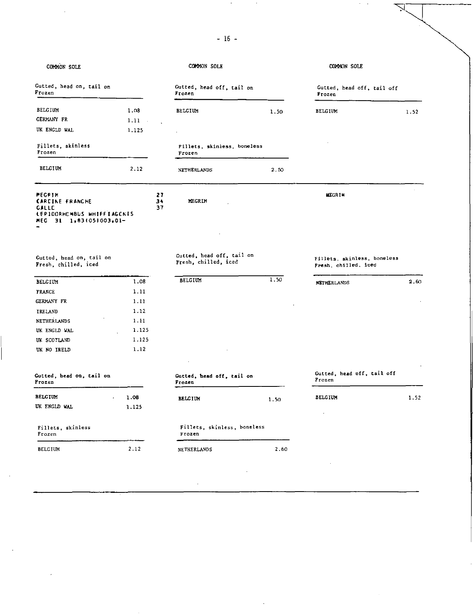| COMMON SOLE                                                                                           |          |                | COMMON SOLE                                       |      | COMMON SOLE                                         |      |
|-------------------------------------------------------------------------------------------------------|----------|----------------|---------------------------------------------------|------|-----------------------------------------------------|------|
| Gutted, head on, tail on<br>Frozen                                                                    |          |                | Gutted, head off, tail on<br>Frozen               |      | Gutted, head off, tail off<br>Frozen                |      |
| <b>BELGIUM</b>                                                                                        | 1.08     |                | <b>BELGIUM</b>                                    | 1.50 | <b>BELGIUM</b>                                      | 1.52 |
| GERMANY FR                                                                                            | $1.11 -$ |                |                                                   |      |                                                     |      |
| UK ENGLD WAL                                                                                          | 1.125    |                |                                                   |      |                                                     |      |
| Fillets, skinless<br>Frozen                                                                           |          |                | Fillets, skinless, boneless<br>Frozen             |      |                                                     |      |
| <b>BELGIUM</b>                                                                                        | 2.12     |                | <b>NETHERLANDS</b>                                | 2.50 |                                                     |      |
| MEGRIM<br><b>CARCINE FRANCHE</b><br>GALLC<br>LEPIOORHOMBUS WHIFFIAGONIS<br>MEG.<br>31 1,83(05)003,01- |          | 27<br>34<br>37 | MEGRIM                                            |      | <b>MEGRIM</b>                                       |      |
| Gutted, head on, tail on<br>Fresh, chilled, iced                                                      |          |                | Gutted, head off, tail on<br>Fresh, chilled, iced |      | Fillets, skinless, boneless<br>Fresh, chilled, iced |      |
| <b>BELGIUM</b>                                                                                        | 1.08     |                | <b>BELCIUM</b>                                    | 1.50 | <b>NETHERLANDS</b>                                  | 2.60 |
| <b>FRANCE</b>                                                                                         | 1.11     |                |                                                   |      |                                                     |      |
| <b>GERMANY FR</b>                                                                                     | 1.11     |                |                                                   |      |                                                     |      |
| IRELAND                                                                                               | 1.12     |                |                                                   |      |                                                     |      |
| NETHERLANDS                                                                                           | 1.11     |                |                                                   |      |                                                     |      |
| UK ENGLD WAL                                                                                          | 1.125    |                |                                                   |      |                                                     |      |
| UK SCOTLAND                                                                                           | 1.125    |                |                                                   |      |                                                     |      |
| UK NO IRELD                                                                                           | 1.12     |                |                                                   |      |                                                     |      |
|                                                                                                       |          |                |                                                   |      |                                                     |      |
| Gutted, head on, tail on<br>Frozen                                                                    |          |                | Gutted, head off, tail on<br>Frozen               |      | Gutted, head off, tail off<br>Frozen                |      |
| <b>BELCIUM</b>                                                                                        | 1.08     |                | <b>BELGIUM</b>                                    | 1.50 | <b>BELGIUM</b>                                      | 1.52 |
| UK ENGLD WAL                                                                                          | 1.125    |                |                                                   |      |                                                     |      |
| Fillets, skinless<br>Frozen                                                                           |          |                | Fillets, skinless, boneless<br>Frozen             |      |                                                     |      |
|                                                                                                       |          |                |                                                   |      |                                                     |      |

- 16-

J,

 $\gamma \rightarrow$ 

 $\checkmark$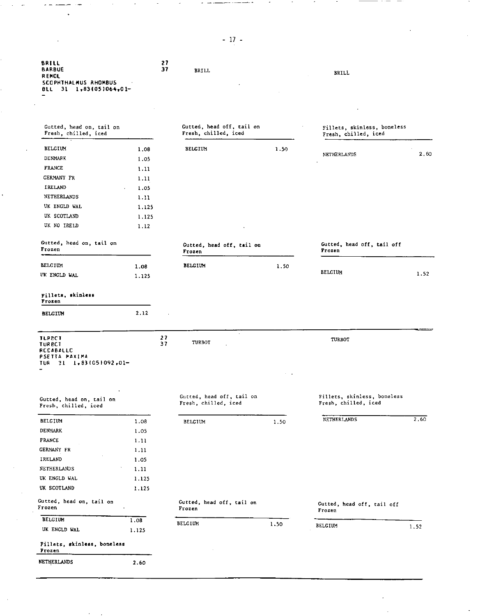| <b>BRILL</b><br><b>BARBUE</b><br>REMOL<br>SCOPHTHALMUS RHOMBUS<br>BLL 31 1,83(05)064,01-           |       | 27<br>37 | BRILL                                             |      | <b>BRILL</b>                                        |      |
|----------------------------------------------------------------------------------------------------|-------|----------|---------------------------------------------------|------|-----------------------------------------------------|------|
| Gutted, head on, tail on<br>Fresh, chilled, iced                                                   |       |          | Gutted, head off, tail on<br>Fresh, chilled, iced |      | Fillets, skinless, boneless<br>Fresh, chilled, iced |      |
| <b>BELGIUM</b>                                                                                     | 1.08  |          | <b>BELGIUM</b>                                    | 1.50 |                                                     |      |
| DENMARK                                                                                            | 1.05  |          |                                                   |      | NETHERLANDS                                         | 2.60 |
| <b>FRANCE</b>                                                                                      | 1.11  |          |                                                   |      |                                                     |      |
| GERMANY FR                                                                                         | 1.11  |          |                                                   |      |                                                     |      |
| IRELAND                                                                                            | 1.05  |          |                                                   |      |                                                     |      |
| NETHERLANDS                                                                                        | 1.11  |          |                                                   |      |                                                     |      |
| UK ENGLD WAL                                                                                       | 1.125 |          |                                                   |      |                                                     |      |
| UK SCOTLAND                                                                                        | 1.125 |          |                                                   |      |                                                     |      |
| UK NO IRELD                                                                                        | 1.12  |          |                                                   |      |                                                     |      |
| Gutted, head on, tail on<br>Frozen                                                                 |       |          | Gutted, head off, tail on<br>Frozen               |      | Gutted, head off, tail off<br>Frozen                |      |
| <b>BELGIUM</b>                                                                                     | 1.08  |          | <b>BELGIUM</b>                                    | 1.50 |                                                     |      |
| UK ENGLD WAL                                                                                       | 1.125 |          |                                                   |      | BELGIUM                                             | 1.52 |
| Fillets, skinless<br>Frozen                                                                        |       |          |                                                   |      |                                                     |      |
| <b>BELGIUM</b>                                                                                     | 2.12  |          |                                                   |      |                                                     |      |
| <b>TLPPCT</b><br><b>TURECT</b><br>RCCABALLC<br>PSETTA MAXIMA<br>$21 \quad 1.831051092.01-$<br>TURI |       | 27<br>37 | TURBOT                                            |      | TURBOT                                              |      |
| Gutted, head on, tail on<br>Fresh, chilled, iced                                                   |       |          | Gutted, head off, tail on<br>Fresh, chilled, iced |      | Fillets, skinless, boneless<br>Fresh, chilled, iced |      |
| <b>BELGIUM</b>                                                                                     | 1.08  |          | BELGIUM                                           | 1.50 | NETHERLANDS                                         | 2,60 |
| DENMARK                                                                                            | 1.05  |          |                                                   |      |                                                     |      |
| FRANCE                                                                                             | 1.11  |          |                                                   |      |                                                     |      |
| <b>GERMANY FR</b>                                                                                  | 1.11  |          |                                                   |      |                                                     |      |
| IRELAND                                                                                            | 1.05  |          |                                                   |      |                                                     |      |
| NETHERLANDS                                                                                        | 1.11  |          |                                                   |      |                                                     |      |
| UK ENGLD WAL                                                                                       | 1.125 |          |                                                   |      |                                                     |      |
| UK SCOTLAND                                                                                        | 1.125 |          |                                                   |      |                                                     |      |
| Gutted, head on, tail on<br>Frozen                                                                 |       |          | Gutted, head off, tail on<br>Frozen               |      | Gutted, head off, tail off<br>Frozen                |      |
| <b>BELGIUM</b>                                                                                     | 1.08  |          | BELGIUM                                           |      |                                                     |      |
| UK ENGLD WAL                                                                                       | 1.125 |          |                                                   | 1.50 | <b>BELGIUM</b>                                      | 1.52 |
| Fillets, skinless, boneless<br>Frozen                                                              |       |          |                                                   |      |                                                     |      |
| NETHERLANDS                                                                                        | 2.60  |          |                                                   |      |                                                     |      |

- 17-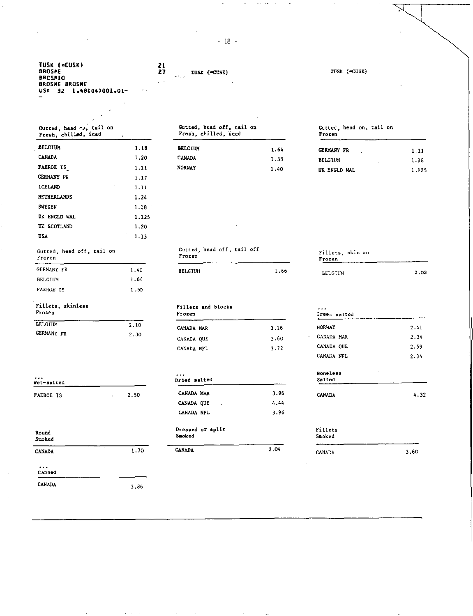- 18-

**TUSK (=CUSK) 21<br>BROSHE 27 TUSK (-CUSK)** TUSK (=CUSK) **BRCSMIO BROSME BROSME USK 32 1,481041001,01-**  Gutted, head off, tail on tail on Gutted, head on, tail on Gutted, head ro, Fresh, chilled, iced Frozen iced Fresh, chilled, **SELGIUM** BELGIUM 1.18 **BELGIUM** 1.64 **GERMANY FR** 1.11 CANADA 1.20 CANADA 1.38 BELGIUM 1.18 FAEROE IS 1.11 NORWAY 1.40 UK ENGLD WAL 1.125 GERMANY FR 1.17 ICELAND 1.11 NETHERLANDS 1.24 SWEDEN 1.18 UK ENGLD WAL 1.125 UK SCOTLAND 1.20 USA 1.13 Gutted, head off, tail off Gutted, head off, tail on Fillets, skin on Frozen Frozen Frozen GERMANY FR 1.40 BELGIUM RELGIUM 1.66 BELGIUM 2.03 BELGIUM 1.64 FAEROE IS 1.50 Fillets, skinless Fillets and blocks<br>Frozen Frozen Frozen Frozen Green salted BELGIUM 2.10 CANADA MAR 3.18 NORWAY 2.41 GERMANY FR 2.30 CANADA QUE 3.60 CANADA MAR 2.34<br>CANADA NET 3.72 CANADA QUE 2.59 CANADA NFL 3.72 CANADA QUE 2.59 CANADA NFL 2.34 Boneless<br>Salted . • • Dried salted Salted Wet-salted FAEROE IS 2.50 CANADA MAR 3.96 CANADA 4.32 CANADA QUE 4.44 CANADA NFL 3.96 Round **Dressed or split** Fillets<br>Smoked Smoked Smoked Fillets Smoked Smoked Smoked CANADA 1.70 CANADA 2.04 CANADA 2.04 CANADA 3.60  $\ddotsc$ 

Canned

CANADA 3.86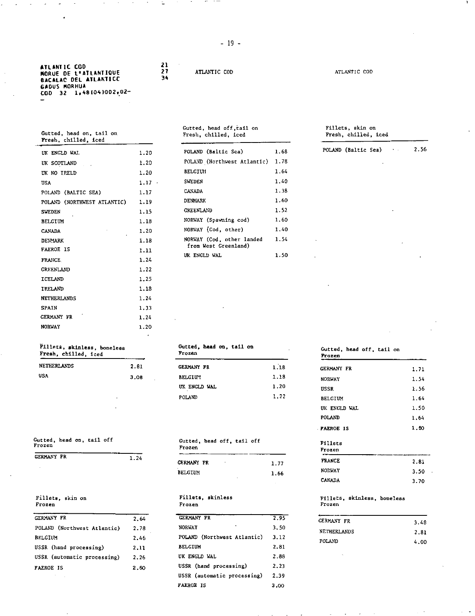| ATLANTIC COD        |                              |
|---------------------|------------------------------|
|                     | <b>MORUE DE L'ATLANTIQUE</b> |
|                     | <b>BACALAC DEL ATLANTICC</b> |
| <b>GADUS MORHUA</b> |                              |
|                     | COD 32 1,48(04)002,02-       |
|                     |                              |

# Gutted, head on, tail on Fresh, chilled, iced

| UK ENGLD WAL                | 1.20     | POLAND (Baltic Sea)         | 1.68 |
|-----------------------------|----------|-----------------------------|------|
| UK SCOTLAND                 | 1.20     | POLAND (Northwest Atlantic) | 1.78 |
| UK NO IRELD                 | 1.20     | <b>BELGIUM</b>              | 1.64 |
| USA                         | $1.17 -$ | <b>SWEDEN</b>               | 1.40 |
| POLAND (BALTIC SEA)         | 1.17     | <b>CANADA</b>               | 1.38 |
| POLAND (NORTHWEST ATLANTIC) | 1.19     | DENMARK                     | 1.60 |
| <b>SWEDEN</b>               | 1.15     | <b>CREENLAND</b>            | 1.52 |
| <b>BELGIUM</b>              | 1.18     | NORWAY (Spawning cod)       | 1.60 |
| <b>CANADA</b>               | 1.20     | NORWAY (Cod, other)         | 1.40 |
| <b>DENMARK</b>              | 1.18     | NORWAY (Cod, other landed   | 1.54 |
| <b>FAEROE IS</b>            | 1.11     | from West Greenland)        |      |
| FRANCE.                     | 1.24     | UK ENGLD WAL                | 1.50 |
| <b>GREENLAND</b>            | 1.22     |                             |      |
| <b>ICELAND</b>              | 1.25     |                             |      |
| IRELAND                     | 1.18     |                             |      |
| <b>NETHERLANDS</b>          | 1.24     |                             |      |
| <b>SPAIN</b>                | 1.33     |                             |      |
| <b>GERMANY FR</b>           | 1.24     |                             |      |
| <b>NORWAY</b>               | 1.20     |                             |      |
|                             |          |                             |      |

### Fillets, skinless, boneless Fresh, chilled, iced

| NETHERLANDS | 2.81 |
|-------------|------|
| USA         | 3.08 |

Gutted, head on, tail off Frozen

| GERMANY FR | 1.24 |
|------------|------|
|            |      |

## Fillets, skin on Frozen

| <b>GERMANY FR</b>           | 2.64 |
|-----------------------------|------|
| POLAND (Northwest Atlantic) | 2.78 |
| <b>BELGIUM</b>              | 2.46 |
| USSR (hand processing)      | 2.11 |
| USSR (automatic processing) | 2.26 |
| <b>FAEROE IS</b>            | 2.60 |

21 27 34

ATLANTIC COD ATLANTIC COD

## Gutted, head off,tail on Fresh, chilled, iced

| POLAND (Baltic Sea)                               | 1.68 |
|---------------------------------------------------|------|
| POLAND (Northwest Atlantic)                       | 1.78 |
| <b>BELGTUM</b>                                    | 1.64 |
| <b>SWEDEN</b>                                     | 1.40 |
| CANADA                                            | 1.38 |
| <b>DENMARK</b>                                    | 1.60 |
| <b>CREENLAND</b>                                  | 1.52 |
| NORWAY (Spawning cod)                             | 1.60 |
| NORWAY (Cod. other)                               | 1.40 |
| NORWAY (Cod, other landed<br>from West Greenland) | 1.54 |
| UK ENGLD WAL                                      | 1.50 |

## Fillets, skin on Fresh, chilled, iced POLAND (Baltic Sea) 2.56

### Gutted, **head on, tall on**  Frozen GERMANY FR **BELGIUM** UK ENGLD WAL POLAND 1.18 1.18 1.20 1.22

### Gutted, head off, tail off Frozen

| CERMANY FR | ٠ | 1.77 |
|------------|---|------|
| BELGIUM    |   | 1.66 |
|            | ٠ |      |

### Fillets, skinless Frozen

| <b>GERMANY FR</b>           | 2.95 |
|-----------------------------|------|
| <b>NORWAY</b>               | 3.50 |
| POLAND (Northwest Atlantic) | 3.12 |
| <b>BELCIUM</b>              | 2.81 |
| UK ENGLD WAL                | 2.88 |
| USSR (hand processing)      | 2.23 |
| USSR (automatic processing) | 2.39 |
| <b>FAEROE IS</b>            | 3.00 |

### Gutted, head off, tail on Frozen GERMANY FR NORWAY USSR BELGIUM. UK ENGLD WAL POLAND FAEROE IS Fillets Frozen 1.71 1.54 1.56 1.64 1.50 1.64 1.50

| $\cdot$ |
|---------|
|         |
|         |

## Fillets, skinless, boneless Frozen

| 3.48 |
|------|
| 2.81 |
| 4.00 |
|      |

- 19 -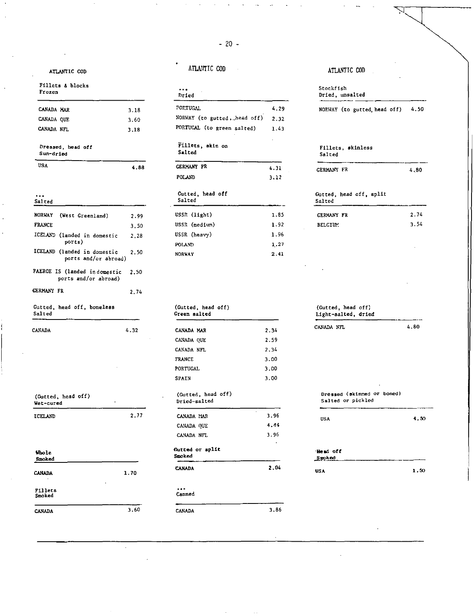## -20-

## Fillets 8 blocks Frozen

| CANADA MAR                     | 3.18 |
|--------------------------------|------|
| CANADA OUE                     | 3.60 |
| CANADA NFL                     | 3.18 |
| Dressed, head off<br>Sun-dried |      |

## $\ddotsc$

| NORWAY (West Greenland)                                   | 2.99 | USSR (light)                       | 1.8  |
|-----------------------------------------------------------|------|------------------------------------|------|
| <b>FRANCE</b>                                             | 3.50 | USSR (medium)                      | 1.9  |
| ICELAND (landed in domestic                               | 2.28 | USSR (heavy)                       | 1.9  |
| ports)                                                    |      | POLAND                             | 1.2  |
| ICELAND (landed in domestic<br>ports and/or abroad)       | 2.50 | <b>NORWAY</b>                      | 2.4  |
| FAEROE IS (landed indomestic 2.50<br>ports and/or abroad) |      |                                    |      |
| <b>GERMANY FR</b>                                         | 2.74 |                                    |      |
| Gutted, head off, boneless<br>Salted                      |      | (Gutted, head off)<br>Green salted |      |
| CANADA                                                    | 4.32 | CANADA MAR                         | 2.34 |
|                                                           |      |                                    |      |

| (Gutted, head off)<br>Wet-cured |      | (Gutted, head off)<br>Dried-salted |
|---------------------------------|------|------------------------------------|
|                                 | 2.77 |                                    |
| ICELAND                         |      | CANADA MAR                         |

| Whole<br>Snoked   |      |
|-------------------|------|
| CANADA<br>٠       | 1.70 |
| Fillets<br>Smoked | ٠    |
| <b>CANADA</b>     | 3.60 |

 $\hat{\mathcal{L}}$ 

## ATLANTIC COD ATLANTIC COD ATLANTIC COD

| ٠ |  |       |  |
|---|--|-------|--|
|   |  | Dried |  |

•

| CANADA MAR                                          | 3.18 | <b>PORTUGAL</b>              | 4.29 | <b>NORWAY</b>       |
|-----------------------------------------------------|------|------------------------------|------|---------------------|
| CANADA QUE                                          | 3.60 | NORWAY (to gutted, head off) | 2.32 |                     |
| CANADA NFL                                          | 3.18 | PORTUCAL (to green salted)   | 1.43 |                     |
| Dressed, head off<br>Sun-dried                      |      | Fillets, skin on<br>Salted   |      | Fillets<br>Salted   |
| <b>USA</b>                                          | 4.88 | GERMANY FR                   | 4.31 | <b>GERMANY</b>      |
|                                                     |      | POLAND                       | 3:12 |                     |
| $\cdots$<br>Salted                                  |      | Gutted, head off<br>Salted   |      | Gutted, h<br>Salted |
| NORWAY<br>(West Greenland)                          | 2.99 | USSR (light)                 | 1.85 | GERMANY             |
| <b>FRANCE</b>                                       | 3.50 | USSR (medium)                | 1.92 | <b>BELGIUM</b>      |
| ICELAND (landed in domestic                         | 2.28 | USSR (heavy)                 | 1.96 |                     |
| ports)                                              |      | POLAND                       | 1.27 |                     |
| ICELAND (landed in domestic<br>ports and/or abroad) | 2.50 | <b>NORWAY</b>                | 2.41 |                     |

|      | (Gutted, head off)<br>Green salted |      | (Gutted, head off)<br>Light-salted, dried       |      |
|------|------------------------------------|------|-------------------------------------------------|------|
| 4.32 | CANADA MAR                         | 2.34 | CANADA NFL                                      | 4.80 |
|      | CANADA QUE                         | 2.59 |                                                 |      |
|      | CANADA NFL                         | 2.34 |                                                 |      |
|      | <b>FRANCE</b>                      | 3.00 |                                                 |      |
|      | <b>PORTUGAL</b>                    | 3.00 |                                                 |      |
|      | SPAIN                              | 3.00 |                                                 |      |
|      | (Gutted, head off)<br>Dried-salted |      | Dressed (skinned or boned)<br>Salted or pickled |      |
| 2.77 | CANADA MAR                         | 3.96 | <b>USA</b>                                      | 4.50 |
|      | CANADA QUE                         | 4.44 |                                                 |      |
|      | CANADA NFL                         | 3.96 |                                                 |      |
|      | Gutted or split<br>Smoked          |      | Head off<br>Smoked                              |      |
| 1.70 | <b>CANADA</b>                      | 2.04 | <b>USA</b>                                      | 1.50 |
|      | $\cdots$<br>Canned                 |      |                                                 |      |
| 3.60 | <b>CANADA</b>                      | 3.86 |                                                 |      |

## NORWAY (to gutted, head off) 4.50 Fillets, skinless Salted GERMANY FR 4.80 Gutted, head off, split<br>Salted GERMANY FR 2.74 3.54 Stockfish Dried, unsalted

# - Head **off Smoked**  USA 4.50 CANADA NFL 4.80 Dressed (skinned or boned) Salted or pickled

| ٠ | $\sim$ $\sim$ |  |
|---|---------------|--|
|   |               |  |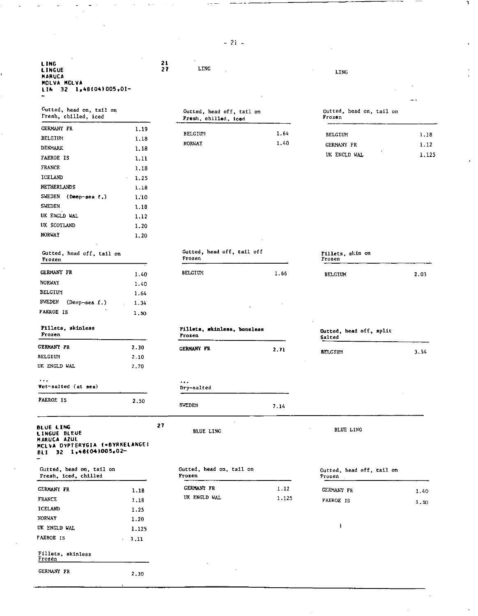-21-

LING 21<br>LINGUE 27 LINGUE 27 LING LING LING LING MARUCA MOLVA MCLVA<br>LIN 32 l,481041005,01-

| Gutted, head on, tail on<br>Fresh, chilled, iced |      | Gutted, head off, tail on<br>Fresh, chilled, iced |      | Gutted, head on, tail on<br>Frozen |       |
|--------------------------------------------------|------|---------------------------------------------------|------|------------------------------------|-------|
| <b>GERMANY FR</b>                                | 1.19 |                                                   | 1.64 |                                    |       |
| <b>BELGIUM</b>                                   | 1,18 | <b>BELGIUN</b>                                    |      | <b>BELGIUM</b>                     | 1.18  |
| <b>DENMARK</b>                                   | 1.18 | <b>NORWAY</b>                                     | 1.40 | <b>GERMANY FR</b>                  | 1.12  |
| <b>FAEROE IS</b>                                 | 1.11 |                                                   |      | UK ENGLD WAL                       | 1,12. |
| <b>FRANCE</b>                                    | 1.18 |                                                   |      |                                    |       |
| ICELAND                                          | 1.25 |                                                   |      |                                    |       |
| <b>NETHERLANDS</b>                               | 1.18 |                                                   |      |                                    |       |
| SWEDEN (Deep-sea f.)                             | 1.10 |                                                   |      |                                    |       |
| <b>SWEDEN</b>                                    | 1.18 |                                                   |      |                                    |       |
| UK ENGLD WAL                                     | 1.12 |                                                   |      |                                    |       |
| UK SCOTLAND                                      | 1.20 |                                                   |      |                                    |       |
| <b>NORWAY</b>                                    | 1.20 |                                                   |      |                                    |       |

| Gutted, head off, tail on<br>Frozen |      | Gutted, head off, tail off<br>Frozen | Fillet:<br>Frozen |               |
|-------------------------------------|------|--------------------------------------|-------------------|---------------|
| <b>GERMANY FR</b>                   | 1.40 | <b>BELGIUM</b>                       | 1.66              | <b>BELGII</b> |
| <b>NORWAY</b>                       | 1.40 |                                      |                   |               |
| <b>BELGIUM</b>                      | 1.64 |                                      |                   |               |
| <b>SWEDEN</b><br>$(Deep-sea f.)$    | 1.34 |                                      |                   |               |
| <b>FAEROE IS</b>                    | 1.50 |                                      |                   |               |
| Fillets, skinless                   |      | Pillets, skinless, boneless          |                   | .             |

| TITTEFO' GYTHTEOD |  |
|-------------------|--|
| Frozen            |  |

| <b>GERMANY FR</b> | 2.30 |
|-------------------|------|
| <b>BELGIUM</b>    | 2.10 |
| UK ENGLD WAL      | 2.70 |

| Wet-salted (at sea) |      | Dry-salted      |
|---------------------|------|-----------------|
| <b>FAEROE IS</b>    | 2.50 | <b>SUPPLIED</b> |

BLUE LING L1NGUE BLEUE MARUCA AZUL MCLVA DYFIERYGIA laBYRKELANGEI BLI 32 1.481041005.0227

. . .

Gutted, head on, tail Fresh, iced, chilled

| ---------                   | <b>L.LO</b> |              | _______ | <b>CONTRACT LE</b> | 1.40 |
|-----------------------------|-------------|--------------|---------|--------------------|------|
| <b>FRANCE</b>               | 1,18        | UK ENGLD WAL | 1.125   | <b>FAEROE IS</b>   | 1.50 |
| ICELAND                     | 1.25        |              |         |                    |      |
| <b>NORVAY</b>               | 1.20        |              |         |                    |      |
| UK ENGLD WAL                | 1.125       |              |         |                    |      |
| <b>FAEROE IS</b>            | 1,11        |              |         |                    |      |
| Fillets, skinless<br>Frozen |             |              |         |                    |      |
| <b>GERMANY FR</b>           | 2.30        | $\sim$       |         |                    |      |

| Gutted, head off, tail on |
|---------------------------|
| Fresh, chilled, iced      |
|                           |

# NORWAY 1.40 GERMANY FR 1,12

## Gutted, head on, tail on Frozen

 $\sim$   $\sim$ 

٦

| Gutted, head off, tail on<br>Frozen |      | Gutted, head off, tail off<br>Frozen | Fillets, skin on<br>Frozen |  |
|-------------------------------------|------|--------------------------------------|----------------------------|--|
| <b>JORWAY</b>                       | 1.20 |                                      |                            |  |
| <b>JK SCOTLAND</b>                  | 1.20 |                                      |                            |  |
| <b>JK ENGLD WAL</b>                 | 1.12 |                                      |                            |  |
| <b>WEDEN</b>                        | 1.18 |                                      |                            |  |
| SWEDEN<br>$(Deep-sea f.)$           | 1.10 |                                      |                            |  |

| .               |            | -------        |      | ------         |      |
|-----------------|------------|----------------|------|----------------|------|
|                 |            |                |      |                |      |
| GERMANY FR      | 1.40       | <b>BELGIUM</b> | 1.66 | <b>BELGIUM</b> | 2.03 |
| NORWAY          | 1.40       |                |      |                |      |
| <b>BELGTIPI</b> | $\epsilon$ |                |      |                |      |

| Fillets, skinless<br>Frozen<br>_______ |      | Frozen            | Pillets, skinless, boneless |                | Gutted, head off, split<br>Salted |  |
|----------------------------------------|------|-------------------|-----------------------------|----------------|-----------------------------------|--|
| <b>GERMANY FR</b>                      | 2.30 | <b>GERMANY FR</b> | 2.71                        |                | 3.54                              |  |
| REI CIIDE                              | חו ר |                   |                             | <b>BELCIUM</b> |                                   |  |

# Gutted, head off, split Salted

SWEDEN 7.14

 $\bar{z}$ 

BLUE LING BLUE LING

| Gutted, head on, tail on<br>Fresh, iced, chilled |      | Gutted, head on, tail on<br>Frozen |       | Gutted, head off, tail on<br>Frozen |      |
|--------------------------------------------------|------|------------------------------------|-------|-------------------------------------|------|
| <b>CERMANY FR</b>                                | 1.18 | <b>GERMANY FR</b>                  | 1.12  | <b>GERMANY FR</b>                   | 1.40 |
| FRANCE                                           | 1.18 | UK ENGLD WAL                       | 1.125 | <b>FAEROE IS</b>                    | 1.50 |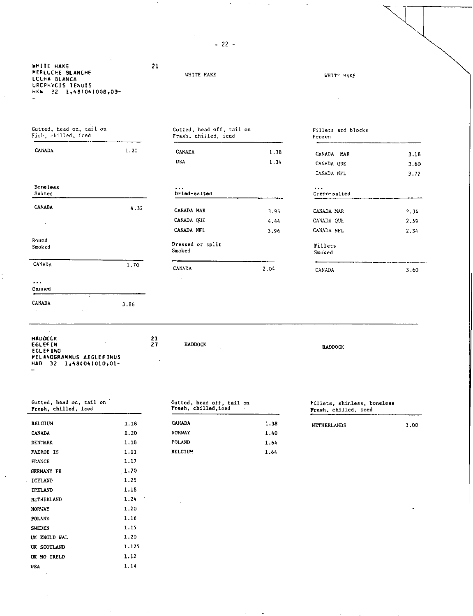| $\mathcal{L}$<br><b>WHITE HAKE</b><br><b>PERLUCHE BLANCHE</b><br>LCCHA BLANCA<br>URCPHYCIS TENUIS<br>HKh 32 1,48(04)008,03-<br>$\overline{\phantom{0}}$ | 21   | WHITE HAKE                                        |      | WHITE HAKE                   |      |
|---------------------------------------------------------------------------------------------------------------------------------------------------------|------|---------------------------------------------------|------|------------------------------|------|
| Gutted, head on, tail on<br>Fish, chilled, iced                                                                                                         |      | Gutted, head off, tail on<br>Fresh, chilled, iced |      | Fillets and blocks<br>Frozen |      |
| CANADA                                                                                                                                                  | 1.20 | <b>CANADA</b>                                     | 1.38 | CANADA MAR                   | 3.16 |
|                                                                                                                                                         |      | USA.                                              | 1.34 | CANADA QUE                   | 3.60 |
|                                                                                                                                                         |      |                                                   |      | CANADA NFL                   | 3.72 |
| Boneless<br>Salted                                                                                                                                      |      | .<br>Dried-salted                                 |      | $\cdots$<br>Green-salted     |      |
| CANADA                                                                                                                                                  | 4.32 | CANADA MAR                                        | 3.96 | CANADA MAR                   | 2.34 |
|                                                                                                                                                         |      | CANADA QUE                                        | 4.44 | CANADA QUE                   | 2.59 |
|                                                                                                                                                         |      | CANADA NFL                                        | 3.96 | CANADA NFL                   | 2.34 |
| Round<br>Smoked                                                                                                                                         |      | Dressed or split<br>Smoked                        |      | Fillets<br>Smoked            |      |
| CANADA                                                                                                                                                  | 1.70 | CANADA                                            | 2.04 | CANADA                       | 3.60 |

-22-

| Gutted, head on, tail on |  |  |  |
|--------------------------|--|--|--|

3.86

HADDCCK<br>EGLEFING<br>EGLEFING<br>PELANOGRAMMUS AEGLEFINUS<br>MAD 32 1,481041010,01-

 $\ddot{\phantom{a}}$ 

Canned CANADA

 $\ldots$ 

 $\sim$ 

Ì,

 $\bar{ }$ 

| Fresh, chilled, iced |       | Fresh, chilled, iced | $\sim$ | Fresh, chilled, iced |      |
|----------------------|-------|----------------------|--------|----------------------|------|
| <b>BELGIUM</b>       | 1.18  | <b>CANADA</b>        | 1.38   | <b>NETHERLANDS</b>   | 3.00 |
| <b>CANADA</b>        | 1.20  | <b>NORUAY</b>        | 1.40   |                      |      |
| <b>DENMARK</b>       | 1.18  | POLAND               | 1.64   |                      |      |
| FAEROE IS            | 1.11  | <b>BELGIUM</b>       | 1.64   |                      |      |
| <b>FRANCE</b>        | 1.17  |                      |        |                      |      |
| GERMANY FR           | 1.20  |                      |        |                      |      |
| ICELAND              | 1.25  |                      |        |                      |      |
| IPELAND              | 1.18  |                      |        |                      |      |
| NETHERLAND           | 1.24  |                      |        |                      |      |
| <b>NORWAY</b>        | 1.20  |                      |        |                      | ٠    |
| <b>POLAND</b>        | 1.16  |                      |        |                      |      |
| <b>SWEDEN</b>        | 1.15  |                      |        |                      |      |
| UK ENGLD WAL         | 1.20  |                      |        |                      |      |
| UK SCOTLAND          | 1.125 |                      |        |                      |      |
| UK NO IRELD          | 1.12  |                      |        |                      |      |
| <b>USA</b>           | 1.14  |                      |        |                      |      |
|                      |       |                      |        |                      |      |

## Gutted, head off, tail Fresh, chilled,iced

 $\ddot{\phantom{a}}$ 

 $\mathcal{L}$ 

| <b>CANADA</b>  | 1.38 |
|----------------|------|
| NORUAY         | 1.40 |
| POLAND         | 1.64 |
| <b>BELGIUM</b> | 1.64 |

 $\sim 100$ 

-

### on Fillets, skinless, boneless Fresh, chilled, iced

HADDOCK

 $\mathcal{A}$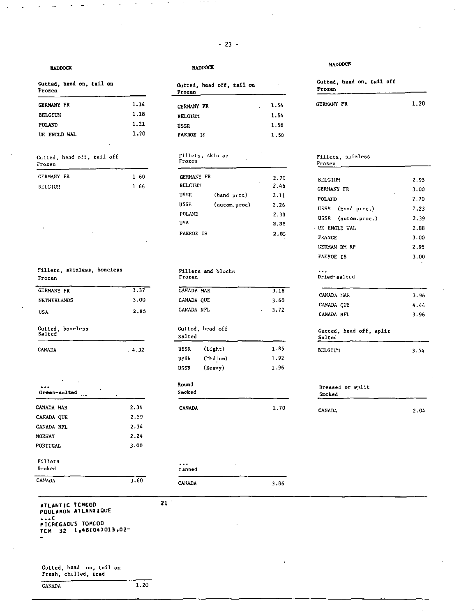### HADDOCK

| Gutted, head on, tail on<br>Frozen |      | Gutted, head off, tail on<br>Frozen |      | Gutted, head on, tall off<br>Frozen |      |  |
|------------------------------------|------|-------------------------------------|------|-------------------------------------|------|--|
| <b>CERMANY FR</b>                  | 1.14 | GERMANY FR                          | 1.54 | <b>GERMANY FR</b>                   | 1.20 |  |
| <b>BELGIUM</b>                     | 1.18 | <b>BELGIUM</b>                      | 1.64 |                                     |      |  |
| POLAND                             | 1.21 | <b>USSR</b>                         | 1.56 |                                     |      |  |
| UK ENGLD WAL                       | 1.20 | FAEROE IS                           | 1.50 |                                     |      |  |

## Gutted, head off, tail off Fillets, skin on Fillets, skinless<br>Frozen Frozen Frozen Frozen Frozen en Frozen Frozen Frozen e Broadwerk e Broadwerk e Broadwerk e Broadwerk e Broadwerk e Broadwerk e Broadwerk e<br>Frozen

|                | .    | <b>PLATTA</b>  |               | 2.IU | <b>BELGIUM</b> | n s<br>. <i>.</i> |
|----------------|------|----------------|---------------|------|----------------|-------------------|
| <b>BELGIUM</b> | - 66 | <b>BELCIUM</b> |               | 2.46 | GERMANY FR     | 3.00              |
|                |      | <b>HCCD</b>    | $(1 - 1 - 0)$ |      |                |                   |

| Fillets skinless, boneless<br>Frozen |       | Fillets and blocks<br>Frozen |      |  |  |
|--------------------------------------|-------|------------------------------|------|--|--|
| <b>GERMANY FR</b>                    | 3.37  | CANADA MAR                   | 3.18 |  |  |
| <b>NETHERLANDS</b>                   | 3.00  | CANADA QUE                   | 3.60 |  |  |
| <b>USA</b>                           | 2.85  | CANADA NIL                   | 3.72 |  |  |
| Gutted, boneless<br>Salted           |       | Gutted, head off<br>Salted   |      |  |  |
| <b>CANADA</b>                        | .4.32 | (L1ght)<br>USSR              | 1.85 |  |  |

| ٠<br>$\cdots$<br>Green-salted<br>$\cdots$<br>٠ |      | Round<br>Smoked | Dressed<br>Spoked |               |
|------------------------------------------------|------|-----------------|-------------------|---------------|
| CANADA MAR                                     | 2.34 | <b>CANADA</b>   | 1.70              | <b>CANADA</b> |
| CANADA QUE                                     | 2.59 |                 |                   |               |
| CANADA NFL                                     | 2.34 |                 |                   |               |
| <b>NORWAY</b>                                  | 2.24 |                 |                   |               |
| <b>PORTUGAL</b>                                | 3.00 |                 |                   |               |
| Fillets                                        |      | $\bullet$       | $\cdot$           |               |
| Smoked                                         |      | Canned          |                   |               |
|                                                |      |                 |                   |               |

## CANADA 3.60 CANADA 3.86

ATLANTIC TEME00 21 POULAMON AILANT &OWE C MICPCGACUS TOMCOD TLM 32 1.481041013.02-

## Gutted, head on, tail on Fresh, chilled, iced

CANADA 1.20

## HADDOCK

| Gutted, head off, tail on<br>Frozen |      |
|-------------------------------------|------|
| GERMANY FR                          | 1.54 |
| <b>BELGIUM</b>                      | 1.64 |
| USSR                                | 1.56 |
| FALROE IS                           | 1.50 |
|                                     |      |

| GERMANY FR       |              | 2.70 |
|------------------|--------------|------|
| <b>BELCIU:</b>   | ٠            | 2.46 |
| <b>USSR</b>      | (hand proc)  | 2.11 |
| USSP.            | (autom.proc) | 2.26 |
| POLAND           |              | 2.38 |
| <b>USA</b>       |              | 2.38 |
| <b>FAEROE IS</b> |              | 2.60 |

## Fillets and blocks<br>Frozen  $GANADA$  MAR  $3.18$

| ------------- |  | ---- |  |
|---------------|--|------|--|
| CANADA QUE    |  | 3.60 |  |
| CANADA NFL    |  | 3.72 |  |

### Gutted, head off Salted

|        |       | -----       |           |      | parteo         |      |
|--------|-------|-------------|-----------|------|----------------|------|
| CANADA | .4.32 | USSR        | (L1ght)   | 1.85 | <b>BELCIUI</b> | 3.54 |
|        |       | <b>USSR</b> | (:ledium) | 1.92 |                |      |
|        |       | USSR        | (Keavy)   | 1.96 |                |      |
|        |       |             |           |      |                |      |

| <b>NADA</b> |  |  |  |
|-------------|--|--|--|
|             |  |  |  |
|             |  |  |  |

### HADDOCK

 $\hat{\mathcal{L}}$ 

| Gutted, head on, tail off |   |  |  |
|---------------------------|---|--|--|
| Frozen                    |   |  |  |
|                           | ٠ |  |  |
| <b>CERMANY FR</b>         |   |  |  |

| GERMANY FR<br>BELGIUM | 1.60<br>1.66 | GERMANY FR<br><b>BELCIU:</b> |              | 2.70<br>2.46     | <b>BELGIUM</b><br><b>GERMANY FR</b> | 2.95<br>3.00 |
|-----------------------|--------------|------------------------------|--------------|------------------|-------------------------------------|--------------|
|                       |              | <b>USSR</b>                  | (hand proc)  | 2.11             | POLAND                              | ٠<br>2.70    |
|                       |              | USSP.                        | (autom.proc) | 2.26             | <b>USSP</b><br>(hand proc.)         | 2.23         |
|                       |              | POLAND                       |              | 2.38             | USSR<br>(autom.proc.)               | 2.39         |
| $\cdot$               |              | USA                          |              | 2,38             | . UK ENGLD WAL                      | 2.88         |
| $\cdot$               | $\cdot$      | <b>FAEROE IS</b>             |              | 2.60<br>$\Delta$ | <b>FRANCE</b>                       | 3.00         |
|                       |              |                              |              |                  | GERMAN DM RP                        | 2.95         |
|                       |              |                              |              |                  | FAEROE IS                           | 3.00<br>٠    |
|                       |              |                              |              |                  |                                     |              |

### ...  $Dried-salted$

| 3.96 |
|------|
| 4.44 |
| 3.96 |
|      |

## Gutted, head off, split Salted

| LCIU I | 3.5 |
|--------|-----|
|        |     |

| $\cdots$<br>Green-salted<br>$\cdots$ |      | Round<br>Smoked |      |               | Dressed or split<br>Spoked |  |
|--------------------------------------|------|-----------------|------|---------------|----------------------------|--|
| CANADA MAR                           | 2.34 | <b>CANADA</b>   | 1.70 | <b>CANADA</b> | 2.04                       |  |

Canned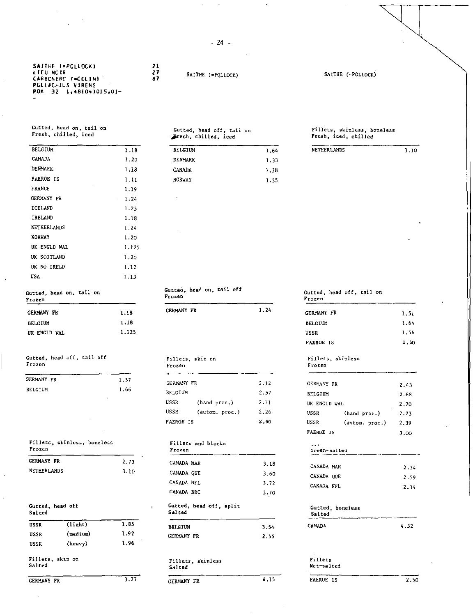-24 -

|  |           | SAITHE I=PGLLDCKI        |  |                        |  |  |
|--|-----------|--------------------------|--|------------------------|--|--|
|  | LIEU NOIR |                          |  |                        |  |  |
|  |           | CARBONERC (=CCLIN)       |  |                        |  |  |
|  |           | <b>PCLLACHIUS VIRENS</b> |  |                        |  |  |
|  |           |                          |  | POK 32 1.48(04)015.01- |  |  |
|  |           |                          |  |                        |  |  |

FRANCE 1.19 GERMANY FR 1.24 ICELAND 1.25 IRELAND 1.18 NETHERLANDS 1.24 NORWAY 1.20 UK ENGLD WAL 1.125 UK SCOTLAND 1.20 UK NO IRELD 1.12 USA 1.13

Gutted, head on, tail on Fresh, chilled, iced

**21**  *27*  **87** 

SAITHE (=POLLOCK) SAITHE (=POLLOCK)

Gutted, head off, tail on<br>Fresh, chilled, iced,

## Fillets, skinless, boneless<br>Fresh, iced, chilled

## Gutted, bead on, tail on Frozen Frozen

| 1.18  |
|-------|
| 1.18  |
| 1.125 |
|       |

### Gutted, head off, tail off Frozen

| GERMANY FR | 1.57 |
|------------|------|
| BELGIUM    | 1.66 |
|            |      |

## Fillets, skinless, boneless Fillets and blocks<br>Frozen Frozen Frozen Frozen Green-salted

| GERMANY FR         | 2.73 |  |
|--------------------|------|--|
| <b>NETHERLANDS</b> | 3.10 |  |

| Gutted, head off<br>Salted |          |      | Gutted, head off, split<br>Salted |      | Gutted, boneless<br>Salted |      |
|----------------------------|----------|------|-----------------------------------|------|----------------------------|------|
| <b>USSR</b>                | (light)  | 1.85 | <b>BELGIUM</b>                    | 3.54 | <b>CANADA</b>              | 4.32 |
| USSR                       | (medium) | 1.92 | <b>GERMANY FR</b>                 | 2.55 |                            |      |
| USSR                       | (heavy)  | 1.96 |                                   |      |                            |      |
| Fillets, skin on<br>Salted |          |      | Fillets, skinless<br>Salted       |      | Fillets<br>Wet-salted      |      |
| <b>GERMANY FR</b>          |          | 3.77 | GERMANY FR                        | 4.15 | <b>FAEROE IS</b>           | 2.50 |

Gutted, head on, tail off Frozen

| <b>GERMANY FR</b> |  |  | 1.24 |
|-------------------|--|--|------|

## Fillets, skin on Fillets, skinless<br>Frozen Frozen

| CERMANY FR       |                | 2.12 | <b>GERMANY FR</b> |                | 2.43 |
|------------------|----------------|------|-------------------|----------------|------|
| BELGIUM          |                | 2.57 | <b>BELGIUM</b>    |                | 2.68 |
| USSR             | (hand proc.)   | 211  | UK ENGLD WAL      |                | 2.70 |
| USSR             | (autom. proc.) | 2.26 | USSR              | (hand proc.)   | 2.23 |
| <b>FAEROE IS</b> |                | 2.60 | USSR              | (autom. proc.) | 2.39 |

| Frozen         |                         |
|----------------|-------------------------|
| CANADA MAR     | 3.18                    |
| CANADA QUE     | 3.60                    |
| CANADA NFL     | 3.72                    |
| CANADA BRC     | 3.70                    |
| Salted         | Gutted, head off, split |
|                |                         |
| <b>BELGIUM</b> | 3.54                    |

### Fillets, skinless Salted

| GERMANY FR |  | 4.15 |  |
|------------|--|------|--|
|            |  |      |  |

## Gutted, head off, tail on<br>Frozen

| <b>GERMANY FR</b> | 1.24 | <b>GERMANY FR</b> | $\sim$<br>1.51 |
|-------------------|------|-------------------|----------------|
|                   |      | <b>BELGIUM</b>    | 1.64           |
|                   |      | <b>USSR</b>       | 1.56           |
|                   |      | <b>FAEROE IS</b>  | 1,50           |

## Frozen Frozen

| GERMANY FR       |                    | 2.12 | <b>GERMANY FR</b>        |                | 2.43 |
|------------------|--------------------|------|--------------------------|----------------|------|
| BELGIUM          |                    | 2.57 | <b>BELGIUM</b>           |                | 2.68 |
| USSR             | (hand proc.)       | 2.11 | UK ENGLD WAL             |                | 2,70 |
| USSR             | (autom. proc.)     | 2.26 | USSR                     | (hand proc.)   | 2.23 |
| <b>FAEROE IS</b> |                    | 2.60 | USSR                     | (autom. proc.) | 2.39 |
|                  |                    |      | <b>FAEROL IS</b>         |                | 3.00 |
| Frozen           | Fillets and blocks |      | $\cdots$<br>Green-salted |                |      |
| CANADA MAR       |                    | 3.18 | CANADA MAR               |                | 2.34 |
| CANADA QUE       |                    | 3.60 | CANADA QUE               |                | 2.59 |
| CANADA NFL       |                    | 3.72 | CANADA NFL               |                | 2.34 |
| CANADA BRC       |                    | 3.70 |                          |                |      |

## Gutted, boneless Salted CANADA 4.32

### Fillets Wet-salted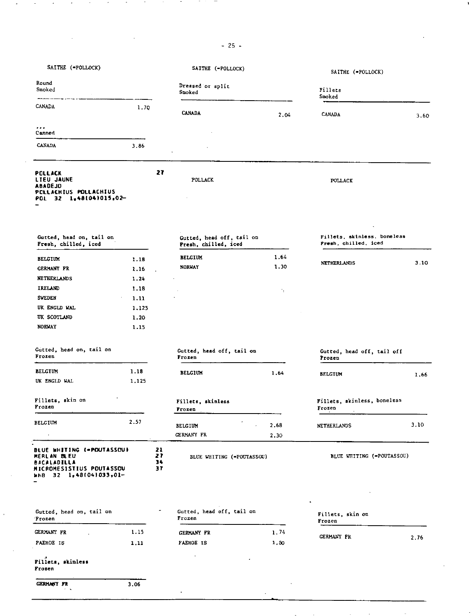-25-

 $\mathbf{I}$ 

| SAITHE (=POLLOCK)                                                                                                    |       |                      | SAITHE (=POLLOCK)                                 |              | SAITHE (=POLLOCK)                                   |      |
|----------------------------------------------------------------------------------------------------------------------|-------|----------------------|---------------------------------------------------|--------------|-----------------------------------------------------|------|
| Round<br>Smoked                                                                                                      |       |                      | Dressed or split<br>Smoked                        |              | Fillets<br>Smoked                                   |      |
| CANADA                                                                                                               | 1.7Q  |                      | <b>CANADA</b>                                     | 2.04         | <b>CANADA</b>                                       | 3.60 |
| .<br>Canned                                                                                                          |       |                      |                                                   |              |                                                     |      |
| <b>CANADA</b>                                                                                                        | 3.86  |                      |                                                   |              |                                                     |      |
| <b>POLLACK</b><br><b>LIEU JAUNE</b><br>ABADEJO<br>PCLLACHIUS POLLACHIUS<br>POL 32 1,48(04)015,02-                    |       | 27                   | POLLACK                                           |              | POLLACK                                             |      |
| Gutted, head on, tail on<br>Fresh, chilled, iced                                                                     |       |                      | Gutted, head off, tail on<br>Fresh, chilled, iced |              | Fillets, skinless, boneless<br>Fresh, chilled, iced |      |
| <b>BELGIUM</b>                                                                                                       | 1.18  |                      | <b>BELGIUM</b>                                    | 1.64         |                                                     |      |
| <b>GERMANY FR</b>                                                                                                    | 1.16  |                      | <b>NORUAY</b>                                     | 1.30         | <b>NETHERLANDS</b>                                  | 3.10 |
| <b>NETHERLANDS</b>                                                                                                   | 1.24  |                      |                                                   |              |                                                     |      |
| IRELAND                                                                                                              | 1.18  |                      |                                                   |              |                                                     |      |
| <b>SWEDEN</b>                                                                                                        | 1.11  |                      |                                                   | Λ.           |                                                     |      |
| UK ENGLD WAL                                                                                                         | 1.125 |                      |                                                   |              |                                                     |      |
| <b>IK SCOTLAND</b>                                                                                                   | 1.20  |                      |                                                   |              |                                                     |      |
| <b>NORVAY</b>                                                                                                        | 1.15  |                      |                                                   |              |                                                     |      |
| Gutted, head on, tail on<br>Frozen                                                                                   |       |                      | Gutted, head off, tail on<br>Frozen               |              | Gutted, head off, tail off<br>Frozen                |      |
| <b>BELGIUM</b>                                                                                                       | 1.18  |                      | <b>BELGIUM</b>                                    |              |                                                     |      |
| UK ENGLD WAL                                                                                                         | 1.125 |                      |                                                   | 1,64         | <b>BELGIUM</b>                                      | 1.66 |
| Fillets, skin on<br>Frozen                                                                                           |       |                      | Fillets, skinless<br>Frozen                       |              | Fillets, skinless, boneless<br>Frozen               |      |
| BELGIUM                                                                                                              | 2.57  |                      | BELGIUM<br>GERMANY FR                             | 2.68<br>2.30 | <b>NETHERLANDS</b>                                  | 3.10 |
| BLUE WHITING (=POUTASSOU)<br>MERLAN BLEU<br>BACALADILLA<br><b>MICROMESISTIUS POUTASSOU</b><br>WHB 32 1,48(04)033,01- |       | 21<br>21<br>34<br>37 | BLUE WHITING (=POUTASSOU)                         |              | BLUE WHITING (=POUTASSOU)                           |      |
| Gutted, head on, tail on                                                                                             |       |                      | Gutted, head off, tail on                         |              |                                                     |      |
| Frozen                                                                                                               |       |                      | Frozen                                            |              | Fillets, skin on<br>Frozen                          |      |
| GERMANY FR                                                                                                           | 1.15  |                      | GERMANY FR                                        | 1.74         | <b>GERMANY FR</b>                                   | 2.76 |
| PAEROE IS                                                                                                            | 1.11  |                      | <b>FAEROE IS</b>                                  | 1.50         |                                                     |      |
| Fillets, skinless<br>Frozen                                                                                          |       |                      | $\cdot$                                           |              |                                                     |      |

GERMANY FR 3.06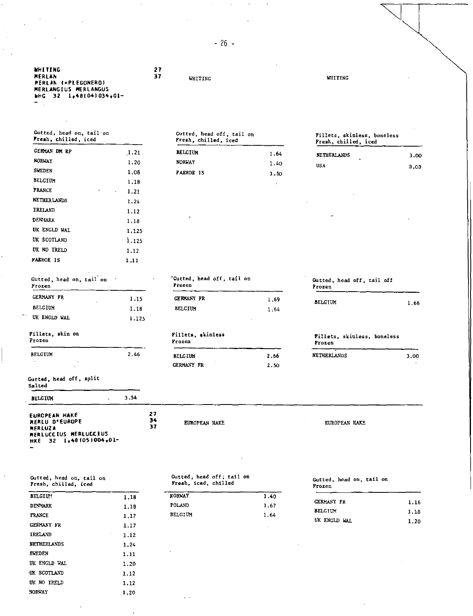| MHITING.                             | 27 |         |  |
|--------------------------------------|----|---------|--|
| MERLAN<br><b>MERLAN (=PLEGONERO)</b> | 37 | WHITING |  |
| MERLANGIUS MERLANGUS                 |    |         |  |
| №HG 32 1,48(04)034.01-               |    |         |  |
| -                                    |    |         |  |

| Gutted, head on, tail on |  |  |
|--------------------------|--|--|
| Fresh, chilled, iced     |  |  |
|                          |  |  |

| GERMAN DM RP     | 1.21                   | <b>BELGIUM</b>   | 1.64    | <b>NETHERLANDS</b> |
|------------------|------------------------|------------------|---------|--------------------|
| <b>NORWAY</b>    | 1.20                   | <b>NORWAY</b>    | 1.40    | <b>USA</b>         |
| SWEDEN           | 1.08                   | <b>FAEROE IS</b> | 1.50    |                    |
| <b>BELGIUM</b>   | 1.18                   |                  | $\cdot$ |                    |
| <b>FRANCE</b>    | ٠<br>1.21<br>$\bullet$ |                  |         |                    |
| NETHERLANDS      | 1.24                   |                  |         | ٠                  |
| IRELAND          | 1.12                   |                  |         |                    |
| <b>DENMARK</b>   | 1.18                   | ۰                |         | -                  |
| UK ENGLD WAL     | 1,125                  |                  |         |                    |
| UK SCOTLAND      | 1.125                  |                  |         |                    |
| UK NO IRELD      | 1.12                   |                  |         |                    |
| <b>FAEROE IS</b> | 1.11                   |                  |         |                    |
|                  |                        |                  |         |                    |

UK ENGLD WAL 1.125

| Gutted, head on, tail on<br>Fresh, chilled, iced | Gutted, head off, tail on<br>Fresh, chilled, iced | Fillets, skinless, boneless<br>Fresh, chilled, iced |
|--------------------------------------------------|---------------------------------------------------|-----------------------------------------------------|
| GERMAN DM RP                                     | <b>PELCTIN</b>                                    |                                                     |

| NORWAY  |  | 1.20 | <b>NORWAY</b>    | 1.40 | <b>USA</b> |
|---------|--|------|------------------|------|------------|
| SWEDEN  |  | 1.08 | <b>FAEROE IS</b> | 1.50 |            |
| BELGIUM |  | 1.18 |                  |      |            |
| FRANCE  |  | 1.21 |                  |      |            |
|         |  |      |                  |      |            |

| Fillets, skinless, boneless<br>Fresh, chilled, iced |      |
|-----------------------------------------------------|------|
|                                                     |      |
| <b>NETHERLANDS</b>                                  | 3.00 |

|            | . .<br>__<br>٠ | - - - - |
|------------|----------------|---------|
| <b>USA</b> |                | 3.03    |
|            |                |         |

| Gutted, head on, tail on<br>Frozen |        | Gutted, head off, tail on<br><b>Frozen</b> |      | Gutted, head off, tail off<br>Frozen |
|------------------------------------|--------|--------------------------------------------|------|--------------------------------------|
| <b>CERMANY FR</b>                  | 1.15   | <b>CERMANY FR</b>                          | 1.69 | <b>BELGTUM</b>                       |
| BELGIUM                            | 1.18   | <b>BELGIUM</b>                             | 1.64 |                                      |
| UK ENGLD WAL                       | I. 125 |                                            |      |                                      |

## Fillets, skin on Fillets, skinless<br>Frozen Frozen Frozen Frozen Frozen

| <b>BELGIUM</b> | 2.46 | <b>BELGIUM</b>    | 2.66 | NETHERLANDS |
|----------------|------|-------------------|------|-------------|
| . .            |      | <b>GERMANY FR</b> | 2.50 |             |

EUROPEAN HAKE EUROPEAN HAKE

# 1.66

| Frozen             | Fillets, skinless, boneless |      |
|--------------------|-----------------------------|------|
| <b>NETHERLANDS</b> |                             | 3.00 |
|                    |                             |      |

## Gutted, head off, split Salted

| <b>BELGIUM</b> |  |  |
|----------------|--|--|
|                |  |  |

| <b>EUROPEAN HAKE</b>   | 27  |
|------------------------|-----|
| MERLU D'EUROPE         | -34 |
| <b>MFRLUZA</b>         | 37  |
| MERLUCCIUS MERLUCCIUS  |     |
| HKE 32 1-481051004.01- |     |
|                        |     |

 $3.54$ 

Gutted, head on, Gutted, head on, tail on<br>Fresh, chilled, iced

| <b>BELGIUM</b>    | 1.18 |
|-------------------|------|
| <b>DENMARK</b>    | 1.18 |
| <b>FRANCE</b>     | 1.17 |
| <b>GERMANY FR</b> | 1.17 |
| <b>IRELAND</b>    | 1.12 |
| NETHERLANDS       | 1.24 |
| <b>SUEDEN</b>     | 1.11 |
| UK ENGLD WAL      | 1.20 |
| UK SCOTLAND       | 1.12 |
| UK NO IRELD       | 1.12 |
| <b>NORVAY</b>     | 1.20 |
|                   |      |

## Gutted, head off; tail Fresh, iced, chilled

| <b>NORWAY</b>  | 1.40 |
|----------------|------|
| POLAND.        | 1.67 |
| <b>BELGIUM</b> | 1.64 |

| on   | Gutted, head on, tail on<br>Frozen |      |
|------|------------------------------------|------|
| 1.40 |                                    |      |
| 1.67 | GERMANY FR                         | 1.16 |
| 1.64 | <b>BELGIUM</b>                     | 1.18 |
|      | UK ENGLD WAL                       | 1.20 |

-26-

**WHITING**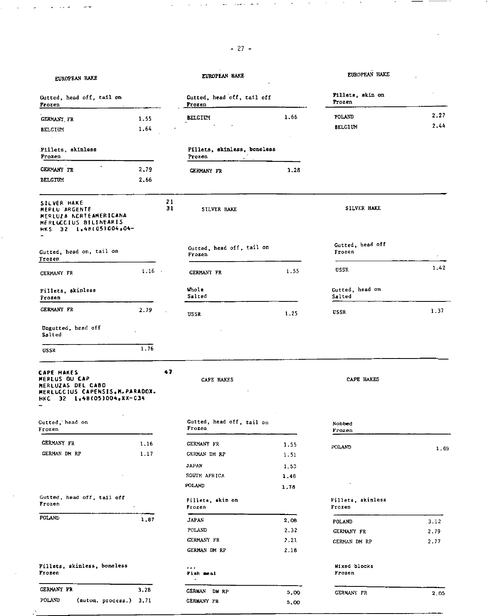## $-27-$

٠.

 $\sim$   $\sim$ 

| EUROPEAN HAKE                                                                                                            |          |          | EUROPEAN BAKE                         |      | EUROPEAN HAKE               |      |
|--------------------------------------------------------------------------------------------------------------------------|----------|----------|---------------------------------------|------|-----------------------------|------|
| Gutted, head off, tail on<br>Frozen                                                                                      |          |          | Gutted, head off, tail off<br>Frozen  |      | Fillets, skin on<br>Frozen  |      |
| <b>GERMANY FR</b>                                                                                                        | 1.55     |          | <b>BELGIUM</b>                        | 1.66 | POLAND                      | 2,27 |
| <b>BELGIUM</b><br>$\ddot{\phantom{1}}$                                                                                   | 1.64     |          |                                       |      | <b>BELGIUM</b>              | 2.44 |
| <b>Fillets, skinless</b><br>Frozen                                                                                       |          |          | Fillets, skinless, boneless<br>Frozen |      |                             |      |
| <b>GERMANY FR</b>                                                                                                        | 2.79     |          | GERMANY FR                            | 3.28 |                             |      |
| BELGIUM                                                                                                                  | 2.66     |          |                                       |      |                             |      |
| <b>SILVER HAKE</b><br>MERLU ARGENTE<br>MERLUZA NORTEAMERICANA<br>MERLUCCIUS BILINEARIS<br>HKS 32 1,48(05)004,04-         |          | 21<br>31 | SILVER HAKE                           |      | SILVER HAKE                 |      |
| Gutted, head on, tail on<br>Frozen                                                                                       |          |          | Gutted, head off, tail on<br>Frozen   |      | Gutted, head off<br>Frozen  |      |
| GERMANY FR                                                                                                               | $1.16 -$ |          | <b>GERMANY FR</b>                     | 1.55 | USSR                        | 1.42 |
| Fillets, skinless<br>Frozen                                                                                              |          |          | Whole<br>Salted                       |      | Gutted, head on<br>Salted   |      |
| <b>GERMANY FR</b>                                                                                                        | 2.79     |          | USSR                                  | 1.25 | USSR                        | 1.37 |
| Ungutted, head off<br>Salted                                                                                             |          |          |                                       |      |                             |      |
| USSR                                                                                                                     | 1.76     |          |                                       |      |                             |      |
| <b>CAPE HAKES</b><br>MERLUS OU CAP<br>MERLUZAS DEL CABO<br>MERLUCCIUS CAPENSIS, M. PARADOX.<br>HKC 32 1,48(05)004,XX-034 |          | 47       | CAPE HAKES                            |      | CAPE HAKES                  |      |
| Gutted, head on<br>Frozen                                                                                                |          |          | Gutted, head off, tail on<br>Frozen   |      | Nobbed<br>rrozen            |      |
| <b>GERMANY FR</b>                                                                                                        | 1.16     |          | GERMANY FR                            | 1.55 | POLAND                      |      |
| GERMAN DM RP                                                                                                             | 1.17     |          | GERMAN DM RP                          | 1.51 |                             | 1.69 |
|                                                                                                                          |          |          | JAPAN                                 | 1.53 |                             |      |
|                                                                                                                          |          |          | SOUTH AFRICA                          | 1.46 |                             |      |
|                                                                                                                          |          |          | POLAND                                | 1,78 |                             |      |
| Gutted, head off, tail off<br>Frozen                                                                                     |          |          | Fillets, skin on<br>Frozen            |      | Fillets, skinless<br>Frozen |      |
| POLAND                                                                                                                   | 1.87     |          | <b>JAPAN</b>                          | 2.08 | POLAND                      | 3.12 |
|                                                                                                                          |          |          | POLAND                                | 2.32 | GERMANY FR                  | 2.79 |
|                                                                                                                          |          |          | GERMANY FR                            | 2.21 | GERMAN DM RP                | 2.77 |
|                                                                                                                          |          |          | GERMAN DM RP                          | 2.18 |                             |      |
| Fillets, skinless, boneless<br>Frozen                                                                                    |          |          | $\sim$ $\sim$ $\sim$<br>Fish meal     |      | Mixed blocks<br>Frozen      |      |
| GERMANY FR                                                                                                               | 3.28     |          | <b>GERMAN DM RP</b>                   | 5,00 | GERMANY FR                  | 2.05 |

POLAND (autom. process.) 3.71 GERMANY FR 5.00

h,

 $\sim$   $\sim$ 

 $\sim 10$   $\mu$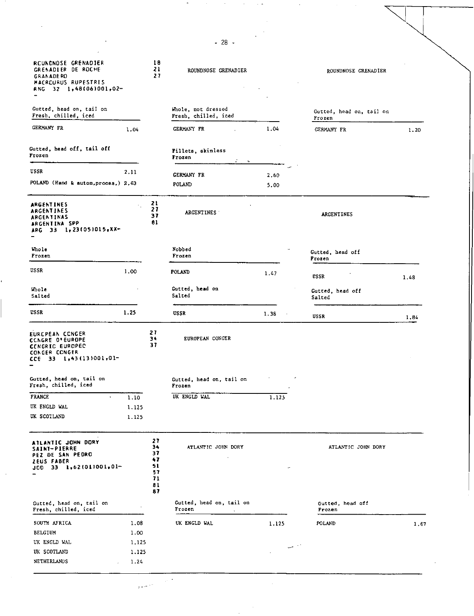| <b>RCUNONOSE GRENADIER</b><br>GRENADIER DE ROCHE<br><b>GRANADERD</b><br>MACRCURUS RUPESTRIS<br>RNG 32 1,48(06)001,02- |       | 16<br>21<br>27                                     | ROUNDNOSE GRENADIER                        |                         | ROUNDNOSE GRENADIER                |      |
|-----------------------------------------------------------------------------------------------------------------------|-------|----------------------------------------------------|--------------------------------------------|-------------------------|------------------------------------|------|
| Gutted, head on, tail on<br>Fresh, chilled, iced                                                                      |       |                                                    | Whole, not dressed<br>Fresh, chilled, iced |                         | Gutted, head on, tail on<br>Frozen |      |
| <b>GERMANY FR</b>                                                                                                     | 1.04  |                                                    | GERMANY FR                                 | 1.04                    | <b>GERMANY FR</b>                  | 1.20 |
| Gutted, head off, tail off<br>Frozen                                                                                  |       |                                                    | Fillets, skinless<br>Irozen                |                         |                                    |      |
| USSR                                                                                                                  | 2.11  |                                                    |                                            |                         |                                    |      |
| POLAND (Hand & autom, proces,) 2,63                                                                                   |       |                                                    | <b>GERMANY FR</b><br>POLAND                | 2.60<br>5,00            |                                    |      |
| ARGENTINES<br>ARGENTINES<br>ARGENTINAS<br><b>ARGENTINA SPP</b><br>ARG 33 1,23(05)015,XX-                              |       | Z1<br>27<br>37<br>01                               | <b>ARGENTINES</b>                          |                         | <b>ARGENTINES</b>                  |      |
| Whole<br>Frozen                                                                                                       |       |                                                    | Nobbed<br>Frozen                           |                         | Gutted, head off<br>Frozen         |      |
| USSR                                                                                                                  | 1.00  |                                                    | POLAND                                     | 1.47                    | USSR                               | 1.48 |
| Whole<br>Salted                                                                                                       |       |                                                    | Gutted, head on<br>Salted                  |                         | Gutted, head off<br>Salted         |      |
| USSR                                                                                                                  | 1.25  |                                                    | <b>USSR</b>                                | 1.38                    | USSR                               | 1.84 |
| EURCPEAN CONGER<br>CCNGRE O'EUROPE<br><b>CENGRIC EUROPED</b><br>CONGER CONGER<br>CCE 33 1,43(13)001,01-               |       | 21<br>34<br>37                                     | EUROPEAN CONCER                            |                         |                                    |      |
| Gutted, head on, tail on<br>Fresh, chilled, iced                                                                      |       |                                                    | Gutted, head on, tail on<br>Frozen         |                         |                                    |      |
| <b>FRANCE</b><br>٠                                                                                                    | 1.10  |                                                    | UK ENGLD WAL                               | 1.125                   |                                    |      |
| UK ENCLD WAL                                                                                                          | 1.125 |                                                    |                                            |                         |                                    |      |
| UK SCOTLAND                                                                                                           | 1.125 |                                                    |                                            |                         |                                    |      |
| ATLANTIC JOHN DORY<br><b>SAINT-PIERRE</b><br><b>PEZ DE SAN PEDRO</b><br><b>ZEUS FABER</b><br>$J00$ 33 1,62(01)001,01- |       | 27<br>34<br>37<br>47<br>51<br>57<br>71<br>81<br>87 | ATLANTIC JOHN DORY                         |                         | ATLANTIC JOHN DORY                 |      |
| Gutted, head on, tail on<br>Fresh, chilled, iced                                                                      |       |                                                    | Gutted, head on, tail on<br>Frozen         |                         | Gutted, head off<br>Frozen         |      |
| SOUTH AFRICA                                                                                                          | 1.08  |                                                    | UK ENGLD WAL                               | 1.125                   | POLAND                             | 1.67 |
| <b>BELGIUM</b>                                                                                                        | 1.00  |                                                    |                                            |                         |                                    |      |
| UK ENGLD WAL                                                                                                          | 1,125 |                                                    |                                            |                         |                                    |      |
| UK SCOTLAND                                                                                                           | 1.125 |                                                    |                                            | $\sim$ $\sim$<br>$\sim$ |                                    |      |
| NETHERLANDS                                                                                                           | 1.24  |                                                    |                                            |                         |                                    |      |
|                                                                                                                       |       |                                                    |                                            |                         |                                    |      |

-28-

N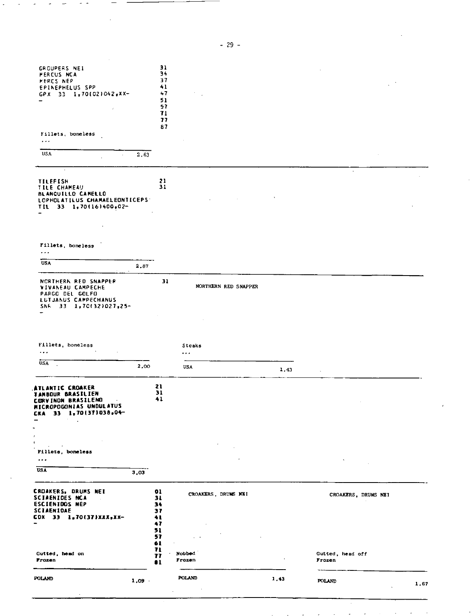| POLAND                                                                                                                                                       | 1.09 |                                        | POLAND               | 1.43 | <b>POLAND</b>              | 1.67 |
|--------------------------------------------------------------------------------------------------------------------------------------------------------------|------|----------------------------------------|----------------------|------|----------------------------|------|
| Gutted, head on<br>Frozen                                                                                                                                    |      | 57<br>61<br>71<br>77<br>$\bullet$      | Nobbed<br>Frozen     |      | Gutted, head off<br>Frozen |      |
| CROAKERS, DRUMS NET<br><b>SCIAENIDES NCA</b><br><b>ESCIENIDOS NEP</b><br><b>SCIAENIDAE</b><br>CDX 33 1,70(37)XXX,Xx-                                         |      | 01<br>31<br>34<br>37<br>41<br>47<br>51 | CROAKERS, DRUMS NEI  |      | CROAKERS, DRUMS NEI        |      |
| <b>USA</b>                                                                                                                                                   | 3,03 |                                        |                      |      |                            |      |
| Ŧ.<br>$\blacksquare$<br>Fillets, boneless<br>$\ddotsc$                                                                                                       |      |                                        |                      |      |                            |      |
| ANTIC CROAKER<br><b>TAMBOUR BRASILIEN</b><br><b>CORVINON BRASILENO</b><br>$\bullet$<br>MICROPOGONIAS UNDULATUS<br>33 1,70(37)038,04-<br><b>CKA</b><br>-<br>٠ |      | 21<br>31<br>41                         |                      |      |                            |      |
| <b>USA</b>                                                                                                                                                   | 2,00 |                                        | <b>USA</b>           | 1,43 |                            |      |
| Fillets, boneless<br>$\cdots$                                                                                                                                |      |                                        | Steaks<br>.          |      |                            |      |
| NCRTHERN RED SNAPPER<br>VIVANEAU CAMPECHE<br>PARGO DEL GOLFO<br>LUTJANUS CAMPECHANUS<br>SNR 33 1,70(32)027,25-                                               |      | 31                                     | NORTHERN RED SNAPPER |      |                            |      |
| <b>USA</b>                                                                                                                                                   | 2,87 |                                        |                      |      |                            |      |
| Fillets, boneless<br>$\sim$ $\sim$                                                                                                                           |      |                                        |                      |      |                            |      |
| <b>TILEFISH</b><br><b>TILE CHAMEAU</b><br><b>BLANQUILLO CAMELLO</b><br>LOPHOLATILUS CHAMAELEONTICEPS:<br>TIL 33 1,70(16)400,02-                              |      | 21<br>31                               |                      |      |                            |      |
| USA                                                                                                                                                          | 2.63 |                                        |                      |      |                            |      |
| Fillets, boneless<br>$\sim$ $\sim$                                                                                                                           |      | 71<br>77<br>87                         |                      |      |                            |      |
| GROUPERS NEI<br><b>PERCUS NCA</b><br>MERCS NEP<br><b>EPINEPHELUS SPP</b><br>GPX 33 1,701021042,XX-                                                           |      | 31<br>34<br>37<br>41<br>47<br>51<br>57 |                      |      |                            |      |

-29-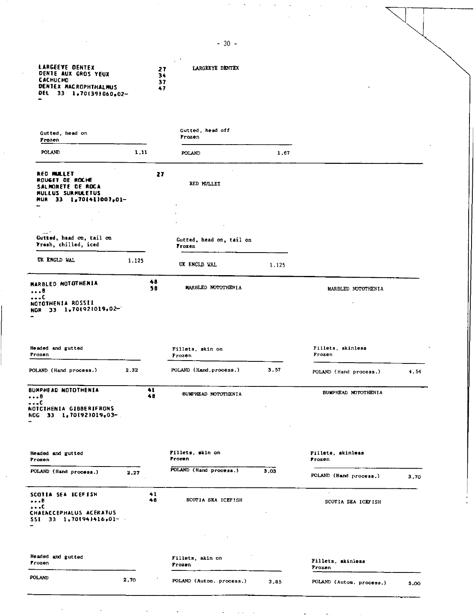*27*  **34 DENTE AUX GROS YEUX CACH0C140 37 47 CENTEX MACROPHTHALMUS** DEL 33 1,70(39)060<sub>0</sub>02-Gutted, head off Gutted, heed on Frozen Frozen POLAND 1.11 POLAND 1.67 **RED BULLET ROUSET DE ROCtE 27**  RED MULLET **SALNONETE DE ROCA MULL/A SURMULETUS MUR 33 1.70141/007.01— Gutted, head** on, tail **on**  Gutted, head on, tail on **Fresh, chilled, iced**  Frozen UK ENGLD WAL 1.125 UK ENGLD WAL 1.125 **48 MARBLED NOTOTHENIA 58**  MARBLED NOTOTHENIA MARBLED NOTOTHENIA **NOTOTHENIA ROSSI! NOR 33 1.701921019.02—.**  Headed and gutted Fillets, skin on Fillets, skinless<br>Frozen<br>Frozen Frozen Frozen Frozen POLAND (Hand process.) 2.32 POLAND (Hand.process.) 3.57 POLAND (Hand process.) 4.54 SUMPHEAD NOTOTHENIA 41 **41** BUMPHEAD NOTOTHENIA **BUMPHEAD NOTOTHENIA 48**   $\cdots c$ **NOTCTHENIA GIBBERIFRONS NUG 33 1.70192)019.03—.**  Fillets, skin on Fillets, skinless<br>Frozen Frozen Headed end gutted Frozen Frozen Frozen POLAND (Hand process.) **2.27** POLAND (Hand process.) 3.03 POLAND (Hand process.) 3.70 **SCOTIA SEA ICEFISH 41**<br>  $\bullet\bullet\bullet$ <br>
48 **48** SCOTIA SEA ICEFISH SCOTIA SEA ICEFISH **...0 CHAEACCEPHAWS ACERATUS SSI 33 1.70194/416.01— Headed and** gutted Fillets, skin on Fillets, skinless Frozen Frozen POLAND 2,70 3.00 POLAND (Autom. process.) 3.85 POLAND (Autom. process.) 5.00

-30-

N

 $\searrow$ 

**LARGEEYE DENTEX** *27* **LARGEEYE DENTEX**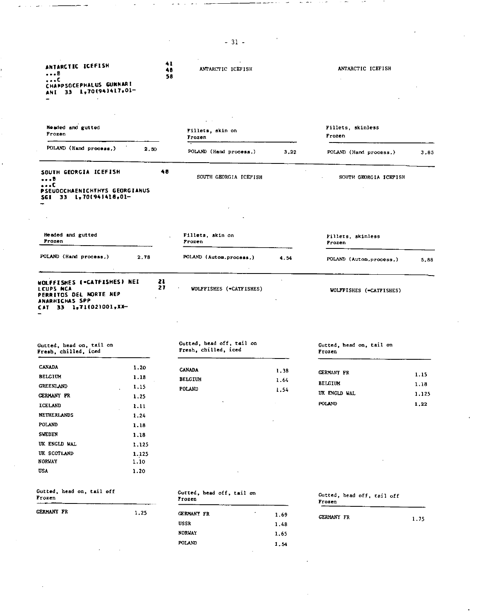| ANTARCTIC ICEFISH<br>- 8<br>. с                                                                                                                                                                                                                                                                                                                                                                                     | 41                                       | ANTARCTIC ICEFISH<br>48<br>58                     |              | ANTARCTIC ICEFISH                    |       |
|---------------------------------------------------------------------------------------------------------------------------------------------------------------------------------------------------------------------------------------------------------------------------------------------------------------------------------------------------------------------------------------------------------------------|------------------------------------------|---------------------------------------------------|--------------|--------------------------------------|-------|
| CHAMPSOCEPHALUS GUNNARI<br>33 1,70(94)417,01-<br>ANT.                                                                                                                                                                                                                                                                                                                                                               |                                          |                                                   |              |                                      |       |
|                                                                                                                                                                                                                                                                                                                                                                                                                     |                                          |                                                   |              |                                      |       |
| Headed and gutted<br>Frozen                                                                                                                                                                                                                                                                                                                                                                                         |                                          | Fillets, skin on<br>Frozen                        |              | Fillets, skinless<br>Frozen          |       |
| POLAND (Hand process.)                                                                                                                                                                                                                                                                                                                                                                                              | 2.50                                     | POLAND (Hand process.)                            | 3.22         | POLAND (Hand process.)               | 3.85  |
| SOUTH GEORGIA ICEFISH<br>8<br>c                                                                                                                                                                                                                                                                                                                                                                                     | 48                                       | SOUTH GEORGIA ICEFISH                             |              | SOUTH GEORGIA ICEPISH                |       |
| PSEUDOCHAENICHTHYS GEORGIANUS<br>SGI 33 1,701941418,01-                                                                                                                                                                                                                                                                                                                                                             |                                          |                                                   |              |                                      |       |
|                                                                                                                                                                                                                                                                                                                                                                                                                     |                                          |                                                   |              |                                      |       |
| Headed and gutted<br>Frozen                                                                                                                                                                                                                                                                                                                                                                                         |                                          | Fillets, skin on<br>Prozen                        |              | Fillets, skinless<br>Frozen          |       |
| POLAND (Hand process,)                                                                                                                                                                                                                                                                                                                                                                                              | 2,78                                     | POLAND (Autom.process.)                           | 4.54         | POLAND (Autom.process.)              | 5.88  |
|                                                                                                                                                                                                                                                                                                                                                                                                                     | <b>WOLFFISHES (=CATFISHES) NEI</b><br>21 | VOLFFISHES (=CATFISHES)                           |              | WOLFFISHES (=CATTISHES)              |       |
|                                                                                                                                                                                                                                                                                                                                                                                                                     |                                          | Gutted, head off, tail on<br>Fresh, chilled, iced |              | Gutted, head on, tail on<br>Frozen   |       |
|                                                                                                                                                                                                                                                                                                                                                                                                                     | 1.20                                     | <b>CANADA</b>                                     |              |                                      |       |
|                                                                                                                                                                                                                                                                                                                                                                                                                     | 1.18                                     | <b>BELGIUM</b>                                    | 1.38         | <b>GERMANY FR</b>                    | 1.15  |
|                                                                                                                                                                                                                                                                                                                                                                                                                     | 1.15                                     | POLAND                                            | 1.64         | <b>BELGIUM</b>                       | 1.18  |
|                                                                                                                                                                                                                                                                                                                                                                                                                     | 1.25                                     |                                                   | 1.54         | UK ENGLD WAL                         |       |
|                                                                                                                                                                                                                                                                                                                                                                                                                     | 1.11                                     | $\bullet$                                         |              | POLAND                               | 1.22  |
|                                                                                                                                                                                                                                                                                                                                                                                                                     | 1.24                                     |                                                   |              |                                      |       |
|                                                                                                                                                                                                                                                                                                                                                                                                                     | 1.18                                     |                                                   |              |                                      |       |
|                                                                                                                                                                                                                                                                                                                                                                                                                     | 1.18                                     |                                                   |              |                                      |       |
|                                                                                                                                                                                                                                                                                                                                                                                                                     | 1.125                                    |                                                   |              |                                      |       |
|                                                                                                                                                                                                                                                                                                                                                                                                                     | 1.125                                    |                                                   |              |                                      |       |
|                                                                                                                                                                                                                                                                                                                                                                                                                     | 1.10                                     |                                                   |              |                                      | 1.125 |
|                                                                                                                                                                                                                                                                                                                                                                                                                     | 1.20                                     |                                                   |              |                                      |       |
|                                                                                                                                                                                                                                                                                                                                                                                                                     |                                          | Gutted, head off, tail on<br>Frozen               |              | Gutted, head off, tail off<br>Frozen |       |
|                                                                                                                                                                                                                                                                                                                                                                                                                     | 1.25                                     |                                                   |              |                                      |       |
|                                                                                                                                                                                                                                                                                                                                                                                                                     |                                          | GERMANY FR                                        | 1.69         | GERMANY FR                           | 1.75  |
|                                                                                                                                                                                                                                                                                                                                                                                                                     |                                          | USSR                                              | 1.48         |                                      |       |
| LCUPS NCA<br><b>PERRITOS DEL NORTE NEP</b><br>ANARHICHAS SPP<br>CAT 33 1,71(02)001,XX-<br>Gutted, head on, tail on<br>Fresh, chilled, iced<br><b>CANADA</b><br><b>BELGIUM</b><br><b>GREENLAND</b><br><b>CERMANY FR</b><br><b>ICELAND</b><br><b>NETHERLANDS</b><br>POLAND<br><b>SWEDEN</b><br>UK ENGLD WAL<br>UK SCOTLAND<br><b>NORVAY</b><br><b>USA</b><br>Gutted, head on, tail off<br>Frozen<br><b>GERMANY FR</b> |                                          | <b>NORWAY</b><br>POLAND                           | 1.65<br>1,54 |                                      |       |

 $- 31 -$ 

Î,

 $\frac{1}{2}$ 

 $\sim$   $\sim$ 

 $\sim 10^6$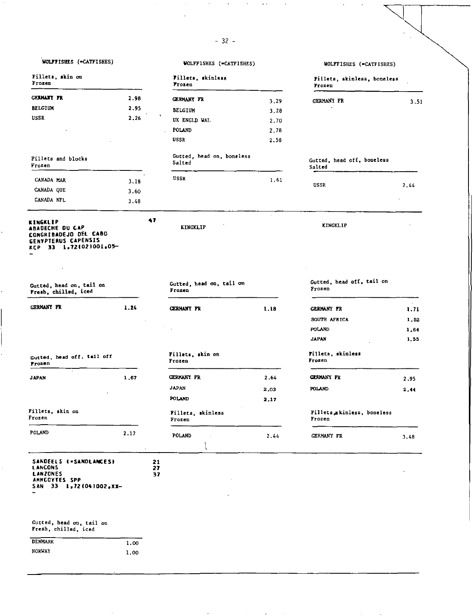## -32-

 $\ddot{\phantom{1}}$  .

l,

 $\overline{\phantom{a}}$ 

ï

| WOLFFISHES (-CATFISHES) | WOLFFISHES (=CATFISHES) | WOLFFISHES (=CATFISHES) |  |
|-------------------------|-------------------------|-------------------------|--|
|                         |                         |                         |  |

t,

 $\overline{\phantom{a}}$ 

| Fillets, skin on<br>Frozen                                                                            |      |                | Fillets, skinless<br>Frozen         |         | Fillets, skinless, boneless<br>Frozen |                |
|-------------------------------------------------------------------------------------------------------|------|----------------|-------------------------------------|---------|---------------------------------------|----------------|
| <b>GERMANY FR</b>                                                                                     | 2.98 |                | <b>CERMANY FR</b>                   | 3,29    | <b>GERMANY FR</b>                     | 3.51           |
| <b>BELGIUM</b>                                                                                        | 2.95 |                | <b>BELGIUM</b>                      | 3.28    |                                       |                |
| USSR                                                                                                  | 2,26 |                | UK ENGLD WAL                        | 2.70    |                                       |                |
|                                                                                                       |      |                | POLAND                              | 2.78    |                                       |                |
|                                                                                                       |      |                | <b>USSR</b>                         | 2.58    |                                       |                |
| Fillets and blocks<br>Frozen                                                                          |      |                | Gutted, head on, boneless<br>Salted |         | Gutted, head off, boneless<br>Salted  |                |
| CANADA MAR                                                                                            | 3.18 |                | USSR                                | 1.61    | USSR                                  | 2.44           |
| CANADA QUE                                                                                            | 3.60 |                |                                     |         |                                       |                |
| CANADA NTL                                                                                            | 3.48 |                |                                     |         |                                       |                |
| KINGKLIP<br>ABADECHE DU CAP<br>CONGRIBADEJO DEL CABO<br>GENYPTERUS CAPENSIS<br>KCP 33 1,72(02)001,05- |      | 47             | <b>KINGKLIP</b>                     | $\cdot$ | KINGKLIP                              |                |
|                                                                                                       |      |                |                                     |         |                                       |                |
| Gutted, head on, tail on<br>Fresh, chilled, iced                                                      |      |                | Gutted, head on, tail on<br>Frozen  |         | Gutted, head off, tail on<br>Frozen   |                |
| <b>CERMANY PR</b>                                                                                     | 1.24 |                | <b>GERMANY FR</b>                   | 1.18    | <b>GERMANY FR</b>                     | $\sim$<br>1.71 |
|                                                                                                       |      |                |                                     |         | SOUTH AFRICA                          | 1.52           |
|                                                                                                       |      |                |                                     |         | POLAND                                | 1,64           |
|                                                                                                       |      |                |                                     |         | <b>JAPAN</b>                          | 1.55           |
| Gutted, head off, tail off<br>Prozen                                                                  |      |                | Fillets, skin on<br>Frozen          |         | Fillets, skinless<br>Frozen           |                |
| <b>JAPAN</b>                                                                                          | 1,67 |                | GERMANY FR                          | 2.64    | <b>CERMANY FR</b>                     | 2.95           |
|                                                                                                       |      |                | <b>JAPAN</b>                        | 2.03    | POLAND                                | 2,44           |
|                                                                                                       |      |                | <b>POLAND</b>                       | 2,17    |                                       |                |
| Fillets, skin on<br>Frozen                                                                            |      |                | Fillets, skinless<br>Frozen         |         | Fillets akinless, boneless<br>Frozen  |                |
| POLAND                                                                                                | 2.17 |                | POLAND                              | 2.44    | <b>GERMANY FR</b>                     | 3.48           |
| SANDEELS (=SANDLANCES)<br>LANCONS<br><b>LANZONES</b><br>AMMCOYTES SPP<br>$SAN = 33 - 1,72(04)002,XX$  |      | 21<br>27<br>37 |                                     |         |                                       |                |
| Gutted, head on, tail on<br>Fresh, chilled, iced                                                      |      |                |                                     |         |                                       |                |
| DENMARK                                                                                               | 1.00 |                |                                     |         |                                       |                |
| NORWAY                                                                                                | 1.00 |                |                                     |         |                                       |                |

 $\ddot{\phantom{0}}$ 

and the control of the state

 $\sim 100$ 

 $\sim$ 

 $\sim$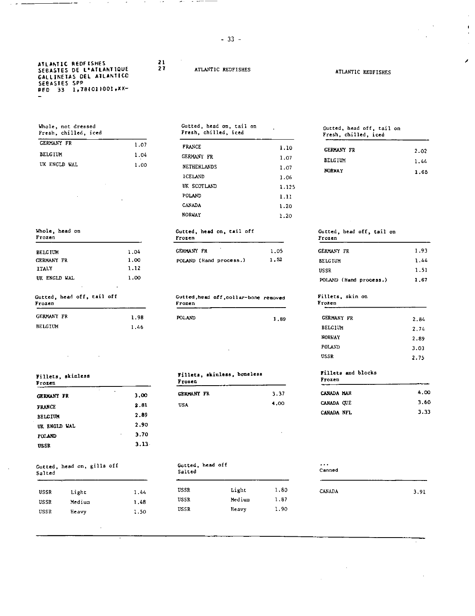ATLANTIC REDFISHES SEBASTES DE L'ATLANTIQUE GALLINEIAS DEL AILANTICC SEBASTES SPP<br>RED 33 1,781011001,XX--

| <b>GERMANY FR</b> | 1.07 |
|-------------------|------|
| <b>BELGTIN</b>    | 1.04 |
| UK ENGLD WAL      | 1.00 |

BELGIUM 1.04 GERMANY FR 1.00 ITALY 1.12 UK ENGLD WAL 1.00 1.98 1.46 GERMANY FR BELGIUM Whole, head on Frozen Gutted, head off, tail off Frozen

| Fillets, skinless<br>Frozen |                   | Fillets, skinless, boneless<br>Frozen |  |
|-----------------------------|-------------------|---------------------------------------|--|
| ٠<br><b>GERMANY FR</b>      | $\bullet$<br>3.00 | <b>GERMANY FR</b>                     |  |
| <b>FRANCE</b>               | 2.81              | <b>USA</b>                            |  |
| <b>BELGIUM</b>              | 2.89              |                                       |  |
| UK ENGLD WAL                | 2.90              |                                       |  |
| <b>POLAND</b>               | 3.70<br>×.        |                                       |  |
| <b>USSR</b>                 | $3.13 -$          |                                       |  |

| Gutted, head off<br>.<br>Canned |
|---------------------------------|
| Salted                          |

| USSR | Light  | $1.4 -$ |
|------|--------|---------|
| USSR | Medium | 1.48    |
| USSR | Heavy  | 1.50    |

*21*  27

## ATLANTIC REDFISHES ATLANTIC REDFISHES

 $\cdots$ 

## Whole, not dressed Gutted, head on, tail on Fresh, chilled, iced Fresh, chilled, iced

| <b>FRANCE</b>  | 1.10  |
|----------------|-------|
| GERMANY FR     | 1.07  |
| NETHERLANDS    | 1.07  |
| <b>ICELAND</b> | 1.06  |
| IJK SCOTLAND   | 1.125 |
| POLAND         | 1.11  |
| CANADA         | 1.20  |
| NORVAY         | 1.20  |
|                |       |

 $\ddot{\phantom{a}}$ 

## Frozen Frozen eta aldera eta aldera eta aldera eta aldera eta aldera eta aldera eta aldera eta aldera eta alde

| <b>GERMANY FR</b>      | 1.05 |
|------------------------|------|
| POLAND (Hand process.) | 1.52 |

## Gutted, head *off*, collar-bone removed<br>Frozen

| POLAND | 1.89 |
|--------|------|
|        |      |

| 3.37 |
|------|
| 4.00 |
|      |

## Gutted, head off<br>Salted

| USSR | Light  | 1.80 |
|------|--------|------|
| USSR | Medium | 1.87 |
| USSR | Heavy  | 1.90 |

 $\mathbf{I}$  $\hat{\mathbf{r}}$ 

í

Gutted, head off, tail on Fresh, chilled, iced

| <b>GERMANY FR</b> | 2.02 |
|-------------------|------|
| <b>BELGIUM</b>    | 1.44 |
| <b>NORWAY</b>     | 1.65 |

## GERMANY FR 1.93 1.52 BELGIUM 1.44 USSR 1.51 POLAND (Hand **process.) 1.67**  Gutted, head on, tail off **Gutted**, head off, tail on

### Frozen Fillets, skin on

| 1.89 | GERMANY FR    | 2.84 |
|------|---------------|------|
|      | BELGIUM       | 2.74 |
|      | <b>NORWAY</b> | 2.89 |
|      | POLAND        | 3.03 |
|      | <b>USSR</b>   | 2.75 |

### **Fillets and blocks Frozen**

| <i>I LULEN</i> |      |
|----------------|------|
| CANADA HAR     | 4.00 |
| CANADA OUE     | 3.60 |
| CANADA NFL     | 3.33 |
|                |      |

## . . . CANADA 3.91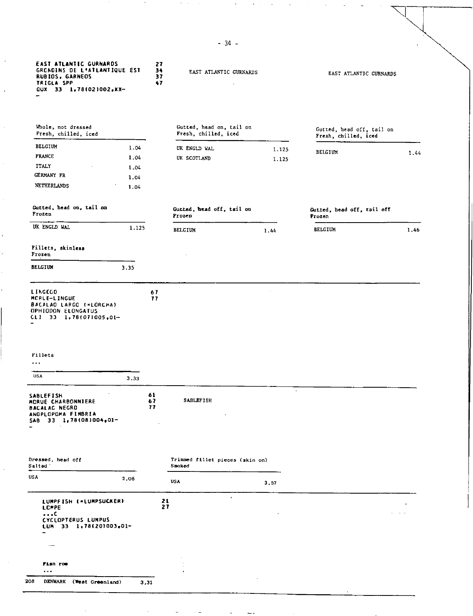| <b>EAST ATLANTIC GURNARDS</b><br>GRONDINS DE L'ATLANTIQUE EST<br><b>RUBIOS, GARNEOS</b><br>TRIGLA SPP<br>GUX 33 1,78(02)002,XX-<br>-                                       |       | 27<br>34<br>37<br>47 | EAST ATLANTIC GURNARDS                           |         | EAST ATLANTIC GURNARDS                            |           |
|----------------------------------------------------------------------------------------------------------------------------------------------------------------------------|-------|----------------------|--------------------------------------------------|---------|---------------------------------------------------|-----------|
| Whole, not dressed<br>Fresh, chilled, iced                                                                                                                                 |       |                      | Gutted, head on, tail on<br>Fresh, chilled, iced |         | Gutted, head off, tail on<br>Fresh, chilled, iced |           |
| <b>BELGIUM</b>                                                                                                                                                             | 1.04  |                      | UK ENGLD WAL                                     | 1.125   | BELGIUM                                           |           |
| <b>FRANCE</b>                                                                                                                                                              | 1.04  |                      | UK SCOTLAND                                      | 1.125   |                                                   | 1.44      |
| <b>ITALY</b>                                                                                                                                                               | 1.04  |                      |                                                  |         |                                                   |           |
| GERMANY FR                                                                                                                                                                 | 1.04  |                      |                                                  |         |                                                   |           |
| <b>NETHERLANDS</b>                                                                                                                                                         | 1.04  |                      |                                                  |         |                                                   |           |
| Gutted, head on, tail on<br>Frozen                                                                                                                                         |       |                      | Gutted, head off, tail on<br>Frozen              |         | Gutted, head off, tail off<br>Frozen              |           |
| UK ENGLD WAL                                                                                                                                                               | 1.125 |                      | <b>BELGIUM</b>                                   | 1.44    | <b>BELGIUM</b>                                    | 1,46      |
| Fillets, skinless<br>Frozen                                                                                                                                                |       |                      |                                                  |         |                                                   |           |
| <b>BELGIUM</b>                                                                                                                                                             | 3.35  |                      |                                                  |         |                                                   |           |
| LINGCOD<br>MORLE-LINGUE<br>BACALAO LARGO (=LORCHA)<br>OPHIODON ELONGATUS<br>CLI 33 1,78(07)005,01-                                                                         |       | 67<br>77             |                                                  |         |                                                   |           |
| Fillets<br>$\ldots$                                                                                                                                                        |       |                      |                                                  |         |                                                   |           |
| <b>USA</b>                                                                                                                                                                 | 3.33  |                      |                                                  |         |                                                   |           |
|                                                                                                                                                                            |       | 61<br>67<br>77       | <b>SABLEFISH</b>                                 | $\cdot$ |                                                   |           |
|                                                                                                                                                                            |       |                      | Trimmed fillet pieces (skin on)<br>Smoked        |         |                                                   |           |
| <b>SABLEFISH</b><br>MCRUE CHARBONNIERE<br><b>BACALAC NEGRO</b><br>ANOPLOPOMA FIMBRIA<br>$5AB$ 33 1.78(08)004.01-<br>Dressed, head off<br>Salted <sup>3</sup><br><b>USA</b> | 2,08  |                      | USA                                              | 3.57    |                                                   |           |
| LUMPFISH (=LUMPSUCKER)<br><b>LCHPE</b><br>$\cdots$<br><b>CYCLOPTERUS LUMPUS</b><br>$LUM = 33 - 1,78(20)003,01 -$                                                           |       | 21<br>27             | $\mathbf{r}$ .                                   |         | $\sim$                                            | $\sim 10$ |
|                                                                                                                                                                            |       |                      |                                                  |         |                                                   |           |
| Fish ros                                                                                                                                                                   |       |                      |                                                  |         |                                                   |           |

-34-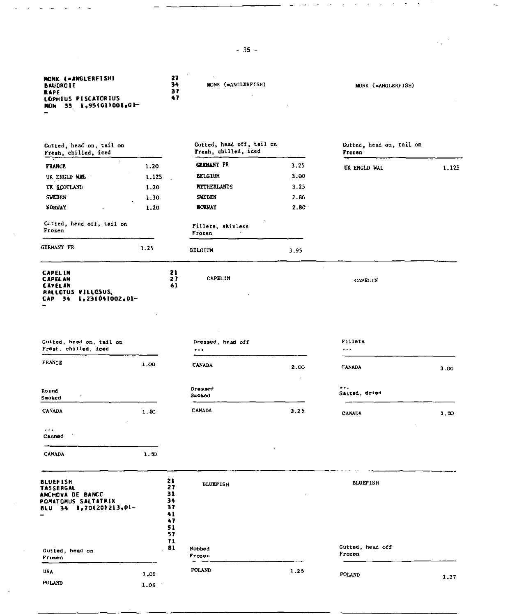-35-

 $\lambda$ 

 $\sim$ 

MONK (=ANGLERFISH) MONK (=ANGLERFISH)

المناول سالسا متناصر كمشا

 $\sim$  $\sim$   $\mathcal{A}=\mathcal{A}=\mathcal{A}=\mathcal{A}$ 

 $\frac{1}{2}$  ,  $\frac{1}{2}$ 

 $\bar{\phantom{a}}$ 

**RONK I•ANGLERFISH1 27 BAUDROIE 34** 

÷,

 $\sim$ 

 $\sim$ 

 $\ddot{\phantom{a}}$ 

 $\bar{ }$ 

جارح المراضرين

| Gutted, head on, tail on<br>Fresh, chilled, iced                                                         |       |                                        | Gutted, head off, tail on<br>Fresh, chilled, iced |                   | Gutted, head on, tail on<br>Frozen |       |
|----------------------------------------------------------------------------------------------------------|-------|----------------------------------------|---------------------------------------------------|-------------------|------------------------------------|-------|
| 77<br><b>FRANCE</b>                                                                                      | 1.20  |                                        | <b>GERMANY FR</b>                                 | 3.25              | UK ENGLD WAL                       | 1.125 |
| UK ENGLD WAL                                                                                             | 1.125 |                                        | <b>BELGIUM</b>                                    | 3.00              |                                    |       |
| UK SCOTLAND                                                                                              | 1.20  |                                        | <b>NETHERLANDS</b>                                | 3,25              |                                    |       |
| <b>SWEDEN</b>                                                                                            | 1.30  |                                        | <b>SWEDEN</b>                                     | 2.86              |                                    |       |
| <b>NORVAY</b>                                                                                            | 1.20  |                                        | <b>BORVAY</b>                                     | 2.80 <sup>°</sup> |                                    |       |
| Gutted, head off, tail on<br>Frozen                                                                      |       |                                        | Fillets, skinless<br>Frozen                       |                   |                                    |       |
| GERMANY FR                                                                                               | 3.25  |                                        | <b>BELGIUM</b>                                    | 3.95              |                                    |       |
| <b>CAPELIN</b><br><b>CAPELAN</b><br>CAPELAN<br><b>MALLOTUS VILLOSUS,</b><br>$CAP$ 34 $1, 231041002, 01-$ |       | 21<br>27<br>61                         | <b>CAPELIN</b>                                    |                   | CAPELIN                            |       |
| Gutted, head on, tail on<br>Fresh, chilled, iced                                                         |       |                                        | Dressed, head off<br>                             |                   | Fillets<br>$\bullet$ .<br><br>.    |       |
| <b>FRANCE</b>                                                                                            | 1.00  |                                        | <b>CANADA</b>                                     | 2.00              | <b>CANADA</b>                      | 3.00  |
| Round<br>Smoked                                                                                          |       |                                        | Dressed<br>Suoked                                 |                   | $\cdots$<br>Salted, dried          |       |
| <b>CANADA</b>                                                                                            | 1.50  |                                        | CANADA                                            | 3.25              | <b>CANADA</b>                      | 1,50  |
| $\cdots$<br>Canned                                                                                       |       |                                        |                                                   |                   |                                    |       |
| CANADA                                                                                                   | 1.50  |                                        |                                                   |                   |                                    |       |
| <b>BLUEFISH</b><br>TASSERGAL<br>ANCHOVA DE BANCO<br>POMATOMUS SALTATRIX<br>BLU 34 1,70(20)213,01-        |       | 21<br>27<br>31<br>34<br>37<br>41<br>47 | <b>BLUEF ISH</b>                                  |                   | <b>BLUEFISH</b>                    |       |
|                                                                                                          |       | 51<br>57<br>71                         |                                                   |                   | Gutted, head off                   |       |
| Gutted, head on<br>Prozen                                                                                |       | 81                                     | Nobbed<br>Frozen                                  |                   | Frozen                             |       |
| <b>USA</b>                                                                                               | 1,09  |                                        | POLAND                                            | 1.25              | POLAND                             |       |
| POLAND                                                                                                   | 1.06  |                                        |                                                   |                   |                                    | 1,37  |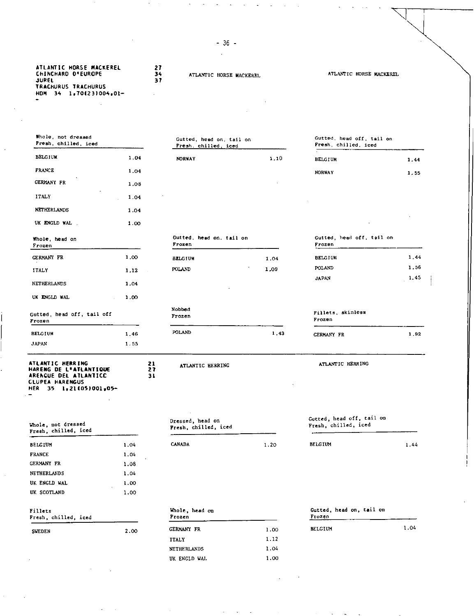| ATLANTIC HORSE MACKEREL | 27             |
|-------------------------|----------------|
| CHINCHARD D'EUROPE      | 34             |
| <b>JUREL</b>            | 37             |
| TRACHURUS TRACHURUS     |                |
| HDM 34 1,70(23)004,01-  | $\blacksquare$ |

 $\overline{a}$ 

ATLANTIC HORSE MACKEREL

### ATLANTIC HORSE MACKEREL

Whole, not dressed Fresh, chilled, iced Gutted, head on, tail on Fresh. chilled, iced Gutted, head off, tail on Fresh, chilled, iced BELGIUM 1.04 FRANCE 1.04 GERMANY FR 1.08 ITALY 1.04 NETHERLANDS 1.04 UK ENGLD WAL . 1.00 Whole, head on Frozen NORWAY 1.10 BELGIUM 1.44 NORWAY 1.55 Gutted, head on, tail on Gutted, head off, tail on Frozen Frozen GERMANY FR 1.00 BELGIUM 1.04 BELGIUM 1.44 ITALY 1.12 POLAND 1.09 POLAND 1.56 JAPAN 1.45 NETHERLANDS 1.04 UK ENGLD WAL 1.00 Gutted, head off, tail off Frozen Mobbed Frozen Fillets, skinless Frozen BELGIUM JAPAN 1.46 1.55 POLAND 1,43 GERMANY FR 1,92 **ATLANTIC HERRING HARENG DE VATLANTIOUE ARENCUE DEL ATLANTICC CLUPEA HARENGUS HER 35 1.211051001,05- 21 27 31**  ATLANTIC HERRING ATLANTIC HERRING Whole, not dressed Fresh, chilled, iced Dressed, head on Fresh, chilled, iced Gutted, head off, tail on Fresh, chilled, iced BELGIUM 1.04 FRANCE 1.04 GERMANY FR 1.08 NETHERLANDS 1.04 UK ENGLD WAL 1.00 UK SCOTLAND 1.00 CANADA 1.20 BELGIUM 1.44

| Fillets<br>Fresh, chilled, iced |      | Whole, head on<br>Frozen |        |
|---------------------------------|------|--------------------------|--------|
| <b>SVEDEN</b>                   | 2.00 | GERMANY FR               | 1.00   |
|                                 |      | --------                 | $\sim$ |

|      | Frozen         |
|------|----------------|
| 1.00 | <b>BELGIUN</b> |
| 1.12 |                |
| 1.04 |                |
| 1.00 |                |
|      |                |

| Frozen     | Whole, head on |                        | Gutted, head on, tail on<br>Frozen |  |      |  |
|------------|----------------|------------------------|------------------------------------|--|------|--|
| GERMANY FR |                | <b>BELGIUM</b><br>1.00 |                                    |  | 1.04 |  |

-36 l,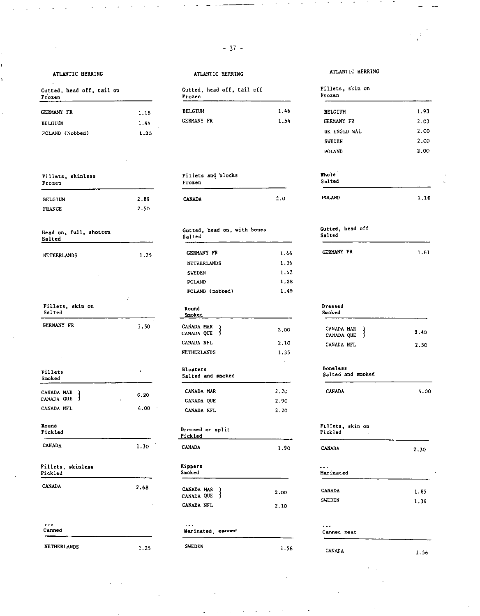|--|--|

 $\ddot{\phantom{a}}$ 

<sup>1</sup>

| Gutted, head off, tail on<br>Frozen |      | Gutted, head off, tail off<br>Frozen | Fillets, skin on<br>Frozen |                   |
|-------------------------------------|------|--------------------------------------|----------------------------|-------------------|
| GERMANY FR                          | 1.18 | <b>BELGIUM</b>                       | 1.46                       | <b>BELGIUM</b>    |
| <b>BELGIUM</b>                      | 1.44 | <b>GERMANY FR</b>                    | 1.54                       | <b>GERMANY FR</b> |
| POLAND (Nobbed)                     | 1.35 |                                      |                            | UK ENGLD WAL      |
|                                     |      |                                      |                            | SWEDEN            |
|                                     |      |                                      |                            | POLAND.           |

| Fillets, skinless<br>Frozen |      | Fillets and blocks<br>Frozen |     |               | Whole<br>Salted |  |
|-----------------------------|------|------------------------------|-----|---------------|-----------------|--|
| <b>BELGIUM</b>              | 2.89 | <b>CANADA</b>                | 2.0 | <b>POLAND</b> | 1.16            |  |
| <b>FRANCE</b>               | 2.50 |                              |     |               |                 |  |

| Head on, full, shotten<br>Salted |      | Gutted, head on, with bones<br>Salted | Gutted, head off<br>Salted |                                      |
|----------------------------------|------|---------------------------------------|----------------------------|--------------------------------------|
| NETHERLANDS                      | 1.25 | GERMANY FR                            | 1.46                       | <b>GERMANY FR</b>                    |
|                                  |      | NETHERLANDS                           | 1.36                       |                                      |
|                                  |      | SWEDEN                                | 1.42                       |                                      |
|                                  |      | POLAND                                | 1.28                       |                                      |
|                                  |      | POLAND (nobbed)                       | 1,49                       |                                      |
| Fillets, skin on<br>Salted       |      | Round<br>Smoked                       |                            | Dressed<br>Smoked                    |
| <b>CERMANY FR</b>                | 3,50 | CANADA MAR<br>CANADA QUE<br>- 3       | 2.00                       | CANADA MAR<br>CANADA QUE             |
|                                  |      | CANADA NFL                            | 2.10                       | CANADA NFL                           |
|                                  |      | <b>NETHERLANDS</b>                    | 1.35                       |                                      |
| Fillets<br>Smoked                |      | Bloaters<br>Salted and smoked         |                            | <b>Boneless</b><br>Salted and smoked |
| CANADA MAR                       | 6.20 | CANADA MAR                            | 2.20                       | CANADA                               |
| CANADA QUE<br>J.                 |      | CANADA QUE                            | 2.90                       |                                      |
| CANADA NFL                       | 4.00 | CANADA NFL                            | 2.20                       |                                      |
| Round<br>Pickled                 |      | Dressed or split<br>Pickled           |                            | Fillets, skin on<br>Pickled          |
| <b>CANADA</b>                    | 1.30 | CANADA                                | 1.90                       | <b>CANADA</b>                        |
| Fillets, skinless<br>Pickled     |      | Kippers<br>Smoked                     |                            | .<br>Marinated                       |
| <b>CANADA</b>                    | 2.68 | CANADA MAR<br>3<br>CANADA QUE         | 2.00                       | <b>CANADA</b>                        |
|                                  |      | CANADA NFL                            | 2.10                       | <b>SWEDEN</b>                        |
| $\cdots$<br>Canned               |      | Marinated, canned                     |                            | $\ddotsc$<br>Canned meat             |

 $\mathcal{L}_{\mathcal{A}}$ 

| Frozen         | Gutted, head off, tail on |      | Gutted, head off, tail off<br>Frozen |      | Fillets<br>Frozen |
|----------------|---------------------------|------|--------------------------------------|------|-------------------|
| GERMANY FR     |                           | 1.18 | <b>BELGIUM</b>                       | 1.46 | <b>BELGII</b>     |
| <b>BELGIUM</b> |                           | 1.44 | <b>GERMANY FR</b>                    | 1.54 | <b>GERMAN</b>     |

| illets and blocks? |  |  |
|--------------------|--|--|
| <b>Tozen</b>       |  |  |
|                    |  |  |

## Gutted, head on, with bones Gutted, head off Salted

| NETHERLANDS | 1.25                     | GERMANY FR      | 1.46 |
|-------------|--------------------------|-----------------|------|
|             |                          | NETHERLANDS     | 1.36 |
| ×           | $\overline{\phantom{a}}$ | <b>SWEDEN</b>   | 1.42 |
|             |                          | POLAND          | 1.28 |
|             |                          | POLAND (nobbed) | 1.49 |
|             |                          |                 |      |

### Round **Smoked**

| CERMANY FR | $\hat{\phantom{a}}$<br>3.50 | CANADA MAR<br>CANADA QUE | 2.00 |
|------------|-----------------------------|--------------------------|------|
|            |                             | CANADA NFL               | 2.10 |
|            |                             | <b>NETHERLANDS</b>       | 1.35 |

| SAILEG AND BOOKED |      |
|-------------------|------|
| CANADA MAR        | 2.20 |
| CANADA QUE        | 2.90 |
| CANADA NFL        | 2.20 |

## Dressed or split Pickled

| CANADA | 1.9 |
|--------|-----|
|        |     |

## Kippers Smoked CANADA MAR CANADA QUE 2.00

| ------------ |      |
|--------------|------|
| CANADA NFL   | 2.10 |
|              |      |

## Marinated, *canned*

## NETHERLANDS 1.25 SWEDEN 1.56 CANADA 1.56 1.56

## ATLANTIC HERRING ATLANTIC HERRING ATLANTIC HERRING ATLANTIC HERRING

|          | Fillets, skin on<br>Frozen |        |
|----------|----------------------------|--------|
|          |                            |        |
| 1.46     | <b>BELGIUM</b>             | 1.93   |
| 1.54     | <b>GERMANY FR</b>          | 2.03   |
|          | UK ENGLD WAL               | 2.00   |
|          | SWEDEN                     | 2.00   |
|          | POLAND                     | 2.00   |
|          | mole                       |        |
|          | Salted                     |        |
|          |                            |        |
| $\Omega$ | POLAND                     | 1. 1.G |

GERMANY FR 1.61

## Dressed Smoked

| CANADA MAR<br>CANADA QUE | 2.40  |
|--------------------------|-------|
| CANADA NFL               | -2.50 |

CANADA 4.00

### Fillets, skin on Pickled

| - 10<br>1.30 | <b>CANADA</b>            | 1.90       | <b>CANADA</b>                  | 2.30         |
|--------------|--------------------------|------------|--------------------------------|--------------|
|              | Kippers<br>Smoked        |            | $\cdots$<br>Marinated          |              |
| 2.68         | CANADA MAR<br>CANADA QUE | 2.00       | <b>CANADA</b><br><b>SWEDEN</b> | 1.85<br>1.36 |
|              |                          | CANADA NFL | 2.10                           |              |

### . . . Canned meat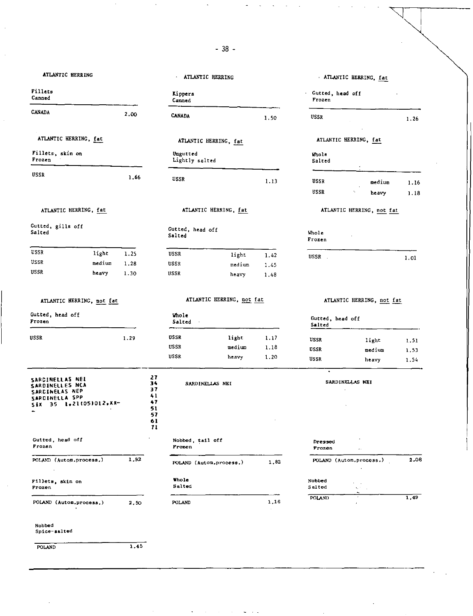-38-

| ATLANTIC HERRING                                                                                             |      |                                                    | <b>ATLANTIC HERRING</b>    |                           |      |                            | ATLANTIC HERRING, fat        |              |
|--------------------------------------------------------------------------------------------------------------|------|----------------------------------------------------|----------------------------|---------------------------|------|----------------------------|------------------------------|--------------|
| Fillets<br>Canned                                                                                            |      |                                                    | Kippers<br>Canned          |                           |      | Gutted, head off<br>Frozen |                              |              |
| <b>CANADA</b>                                                                                                | 2.00 |                                                    | <b>CANADA</b>              |                           | 1.50 | USSR                       |                              | 1.26         |
| ATLANTIC HERRING, fat                                                                                        |      |                                                    | ATLANTIC HERRING, fat      |                           |      |                            | ATLANTIC HERRING, fat        |              |
| Fillets, skin on<br>Frozen                                                                                   |      |                                                    | Ungutted<br>Lightly salted |                           |      | Whole<br>Salted            |                              |              |
| USSR                                                                                                         | 1.66 |                                                    | <b>USSR</b>                |                           | 1.13 | <b>USSR</b><br><b>USSR</b> | medium<br>heavy              | 1.16<br>1.18 |
| ATLANTIC HERRING, fat                                                                                        |      |                                                    |                            | ATLANTIC HERRING, fat     |      |                            | ATLANTIC HERRING, not fat    |              |
| Gutted, gills off<br>Salted                                                                                  |      |                                                    | Gutted, head off<br>Salted |                           |      | Whole<br>Frozen            |                              |              |
| USSR<br>light                                                                                                | 1.25 |                                                    | <b>USSR</b>                | light                     | 1.42 |                            |                              |              |
| USSR<br>medium                                                                                               | 1.28 |                                                    | USSR                       | medium                    | 1.45 | USSR.                      |                              | 1.01         |
| USSR<br>heavy                                                                                                | 1.30 |                                                    | <b>USSR</b>                | heavy                     | 1.48 |                            |                              |              |
| ATLANTIC HERRING, not fat                                                                                    |      |                                                    |                            | ATLANTIC HERRING, not fat |      |                            | ATLANTIC HERRING, not fat    |              |
| Gutted, head off<br><b>Frozen</b>                                                                            |      |                                                    | Vhole<br>Salted<br>$\sim$  |                           |      | Gutted, head off<br>Salted |                              |              |
| <b>USSR</b>                                                                                                  | 1.29 |                                                    | <b>USSR</b>                | light                     | 1.17 | USSR                       | light                        | 1,51         |
|                                                                                                              |      |                                                    | <b>USSR</b>                | medium                    | 1.18 | <b>USSR</b>                | medium                       | 1.53         |
|                                                                                                              |      |                                                    | <b>USSR</b>                | heavy                     | 1.20 | USSR                       | heavy                        | 1.54         |
| SARCINELLAS NEI<br><b>SARDINELLES NCA</b><br>SARCINELAS NEP<br>SARDINELLA SPP<br>$S4X - 35 - 1*211051012*XX$ |      | 27<br>34<br>37<br>41<br>47<br>51<br>57<br>61<br>71 | SARDINELLAS NEI            |                           |      | $\bullet$                  | SARDINELLAS NEI<br>$\bullet$ |              |
| Gutted, head off<br>Frozen                                                                                   |      |                                                    | Nobbed, tail off<br>Frozen |                           |      | Dressed<br>Frozen          | χ.                           |              |
| POLAND (Autom.process.)<br>$\bullet$                                                                         | 1,92 |                                                    | POLAND (Autom.process.)    |                           | 1,82 |                            | POLAND (Autom.process.)      | 2,08         |
| Fillets, skin on<br>Frozen                                                                                   |      |                                                    | Whole<br>Salted            |                           |      | Nobbed<br>Salted           |                              |              |
| POLAND (Autom.process.)                                                                                      | 2.50 |                                                    | POLAND                     |                           | 1,16 | POLAND                     |                              | 1,49         |
| Nobbed<br>Spice-salted                                                                                       |      |                                                    |                            |                           |      |                            |                              |              |
|                                                                                                              |      |                                                    |                            |                           |      |                            |                              |              |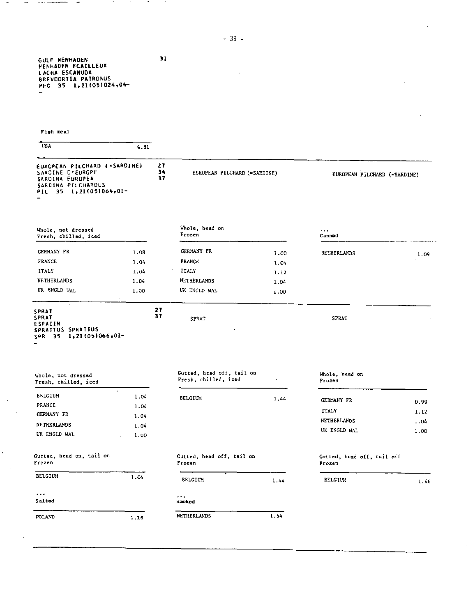-39-

 $\cdot$ 

**31** 

 $\sim$ 

 $\mathcal{A}$ 

-----

**GULF MENHADEN MENHADEN ECAILLEUX LACHA ESCAMUDA BREVOORTIA PATRONUS MFG 35 1.21105)02404-** 

 $\sim$ 

 $\sim$ 

 $\sim$ 

### Fish meal

÷,  $\overline{\phantom{a}}$  $\overline{\phantom{a}}$ 

ï

 $\sim$   $\sim$   $-$ 

| EURCPEAN PILCHARD (=SARDINE)<br>SARCINE D'EUROPE<br>SARDINA FUROPEA<br>SARDINA PILCHARDUS<br>PIL 35 1,21(05)064,01- |      | 21<br>34<br>37 | EUROPEAN PILCHARD (=SARDINE)                      |      | EUROPEAN PILCHARD (=SARDINE)         |      |
|---------------------------------------------------------------------------------------------------------------------|------|----------------|---------------------------------------------------|------|--------------------------------------|------|
| Whole, not dressed<br>Fresh, chilled, iced                                                                          |      |                | Whole, head on<br>Frozen                          |      | $\ddotsc$<br>Cannod                  |      |
| <b>GERMANY FR</b>                                                                                                   | 1.08 |                | GERMANY FR                                        | 1.00 | NETHERLANDS                          |      |
| <b>FRANCE</b>                                                                                                       | 1.04 |                | <b>FRANCE</b>                                     | 1.04 |                                      | 1.09 |
| <b>ITALY</b>                                                                                                        | 1.04 |                | <b>ITALY</b>                                      | 1.12 |                                      |      |
| NETHERLANDS                                                                                                         | 1.04 |                | NE THERLANDS                                      | 1.04 |                                      |      |
| UK ENGLD WAL                                                                                                        | 1.00 |                | UK ENGLD WAL                                      | 1.00 |                                      |      |
| SPRAT<br>SPRAT                                                                                                      |      | 37             | <b>SPRAT</b>                                      |      | <b>SPRAT</b>                         |      |
| ESPADIN<br>SPRATTUS SPRATTUS<br>sPR 35 1,21ł05)066,01−<br>Whole, not dressed<br>Fresh, chilled, iced                |      |                | Gutted, head off, tail on<br>Fresh, chilled, iced |      | Whole, head on<br>Frozen             |      |
| $\blacksquare$<br><b>BELGIUM</b>                                                                                    | 1.04 |                |                                                   |      |                                      |      |
| <b>FRANCE</b>                                                                                                       | 1.04 |                | <b>BELCIUM</b>                                    | 1.44 | <b>GERMANY FR</b>                    | 0.99 |
| <b>GERMANY FR</b>                                                                                                   | 1.04 |                |                                                   |      | <b>ITALY</b>                         | 1.12 |
| NETHERLANDS                                                                                                         | 1.04 |                |                                                   |      | NETHERLANDS                          | 1.04 |
| UK ENGLD WAL                                                                                                        | 1.00 |                |                                                   |      | UK ENGLD WAL                         | 1,00 |
| Gutted, head on, tail on<br>Frozen                                                                                  |      |                | Gutted, head off, tail on<br>Frozen               |      | Gutted, head off, tail off<br>Frozen |      |
| BELCIUM                                                                                                             | 1.04 |                | <b>BELGIUM</b>                                    | 1.44 | <b>BELGIUM</b>                       | 1,46 |
| .<br>Salted                                                                                                         |      |                | $\cdots$<br>Smoked                                |      |                                      |      |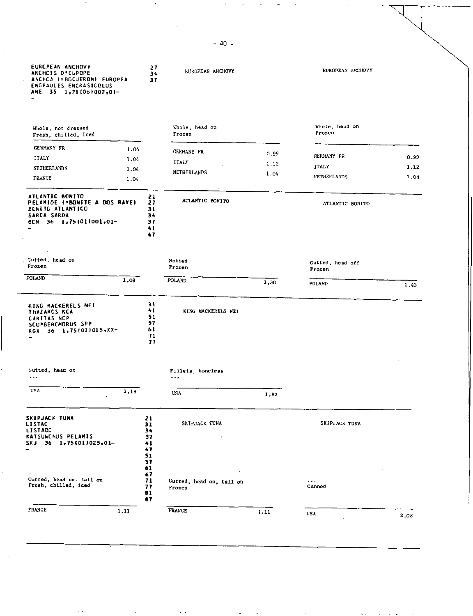| EURCPEAN ANCHOVY<br>ANCHOIS D'EUROPE<br>ANCECA (=BGQUERON) EUROPEA<br>ENGRAULIS ENCRASICOLUS<br>ANE 35 1,211061002,01- | 27<br>34<br>37                               | EUROPEAN ANCHOVY                   |      | EUROPEAN ANCHOVY               |      |
|------------------------------------------------------------------------------------------------------------------------|----------------------------------------------|------------------------------------|------|--------------------------------|------|
| Whole, not dressed<br>Fresh, chilled, iced                                                                             |                                              | Whole, head on<br>Frozen           |      | Whole, head on<br>Frozen       |      |
| <b>GERMANY FR</b><br>1.04                                                                                              |                                              |                                    |      |                                |      |
| ITALY<br>1.04                                                                                                          |                                              | GERMANY FR                         | 0.99 | <b>GERMANY FR</b>              | 0.99 |
| <b>NETHERLANDS</b><br>1.04                                                                                             |                                              | <b>ITALY</b>                       | 1.12 | <b>ITALY</b>                   | 1,12 |
| <b>FRANCE</b><br>1.04                                                                                                  |                                              | NETHERLANDS                        | 1.04 | NETHERLANDS                    | 1.04 |
| ATLANTIC BONITO<br>PELANIDE (=BONITE A DOS RAYE)<br><b>BENITE ATLANTICO</b><br>SARCA SARDA<br>BCN 36 1,75(01)001,01-   | 21<br>27<br>31<br>34<br>37<br>41<br>47       | ATLANTIC BONITO                    |      | ATLANTIC BONITO                |      |
| Gutted, head on<br>Frozen                                                                                              |                                              | Nobbed<br>Frozen                   |      | Gutted, head off<br>Frozen     |      |
| <b>POLAND</b><br>1,09                                                                                                  |                                              | <b>POLAND</b>                      | 1,30 | POLAND                         | 1.43 |
| KING MACKERELS NEI<br>THAZARCS NCA<br><b>CARITAS NEP</b><br>SCOPBERCMORUS SPP<br>KGX 36 1,75(011015,XX-                | 31<br>41<br>51<br>57<br>61<br>71<br>77       | KING MACKERELS NEI                 |      |                                |      |
| Gutted, head on                                                                                                        |                                              | Fillets, boneless                  |      |                                |      |
| $\sim$ $\sim$ $\sim$                                                                                                   |                                              | $\cdots$                           |      |                                |      |
| <b>USA</b><br>1,18                                                                                                     |                                              | USA                                | 1,82 |                                |      |
| <b>SKIPJACK TUNA</b><br><b>LISTAC</b><br><b>LISTACO</b><br>KATSUWONUS PELAMIS<br>$1,75(01)025,01-$<br>SKJ 36           | 21<br>31<br>34<br>37<br>41<br>47             | SKIPJACK TUNA                      |      | SKIPJACK TUNA                  |      |
| Gutted, head on. tail on<br>Fresh, chilled, iced                                                                       | 51<br>57<br>61<br>67<br>71<br>77<br>81<br>87 | Gutted, head on, tail on<br>Frozen |      | $\sim$ $\sim$ $\sim$<br>Canned |      |
| <b>FRANCE</b><br>1.11                                                                                                  |                                              | <b>FRANCE</b>                      | 1.11 | <b>USA</b>                     |      |

-40-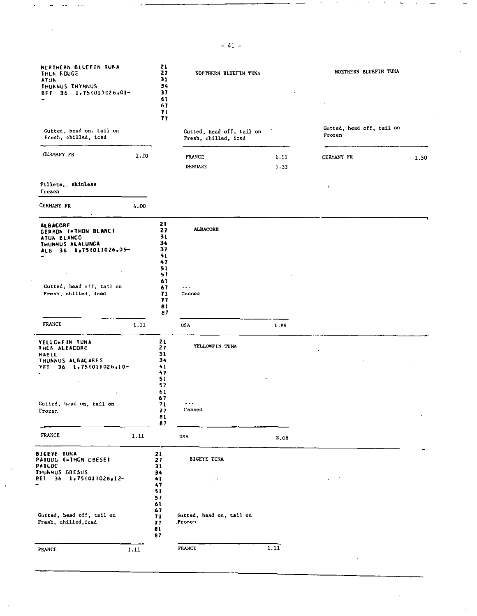| NERTHERN BLUEFIN TUNA<br>THEN ROUGE<br>ATUN<br>THUNNUS THYNNUS<br>BFT 36 1.75(01)026,01-                                          |      | 21<br>27<br>31<br>34<br>37<br>61<br>67<br>71<br>77             | NOPTHERN BLUEFIN TUNA                             |              | NORTHERN BLUEFIN TUNA               |
|-----------------------------------------------------------------------------------------------------------------------------------|------|----------------------------------------------------------------|---------------------------------------------------|--------------|-------------------------------------|
| Gutted, head on. tail on<br>Fresh, chilled, iced                                                                                  |      |                                                                | Gutted, head off, tail on<br>Fresh, chilled, iced |              | Gutted, head off, tail on<br>Frozen |
| <b>GERMANY FR</b>                                                                                                                 | 1.20 |                                                                | <b>FRANCE</b><br>DEN: IAP.K                       | 1.11<br>1.33 | <b>CERMANY FR</b><br>1.50           |
| Fillets, skinless<br>Trozen                                                                                                       |      |                                                                |                                                   |              | $\mathbf{I}$                        |
| <b>CERMANY FR</b>                                                                                                                 | 4.00 |                                                                |                                                   |              |                                     |
| <b>ALBACORE</b><br>GERMON (=THON BLANC)<br>ATUN BLANCO<br>THUNNUS ALALUNGA<br>ALB 36 1,75(01)026,05-<br>Cutted, head off, tail on |      | 21<br>27<br>31<br>34<br>37<br>41<br>47<br>51<br>57<br>61<br>67 | <b>ALBACORE</b><br>$\cdots$                       |              |                                     |
| Fresh, chilled, iced<br><b>FRANCE</b>                                                                                             |      | 71<br>77<br>81<br>87                                           | Canned                                            |              |                                     |
| YELLOWEIN TUNA<br>THEN ALBACORE<br><b>RABIL</b><br>THUNNUS ALBACARES<br>36 1,751011026,10-<br>YFT                                 | 1.11 | 21<br>27<br>31<br>34<br>41<br>47<br>51<br>57<br>61             | USA<br>YELLOWFIN TUNA                             | 1.89         |                                     |
| Gutted, head on, tail on<br>Frozen                                                                                                |      | 67<br>71<br>77<br>81<br>87                                     | $\cdots$<br>Canned                                |              |                                     |
| FRANCE                                                                                                                            | 1.11 |                                                                | USA                                               | 2,08         |                                     |
| BIGEYE IUNA<br>PATUDG (=THON OBESE)<br>PAIUDC<br>THUNNUS CBESUS<br><b>BET 36 1,75(011026,12-</b>                                  |      | 21<br>27<br>31<br>34<br>41<br>47<br>51<br>57                   | BIGEYE TUNA<br>$\sim 100$                         |              | $\cdot$ .                           |
| Gutted, head off, tail on<br>Fresh, chilled, iced                                                                                 |      | 61<br>67<br>71<br>77<br>81<br>87                               | Gutted, head on, tail on<br>Frozen                |              |                                     |
| <b>FRANCE</b>                                                                                                                     | 1.11 |                                                                | <b>FRANCE</b>                                     | 1.11         |                                     |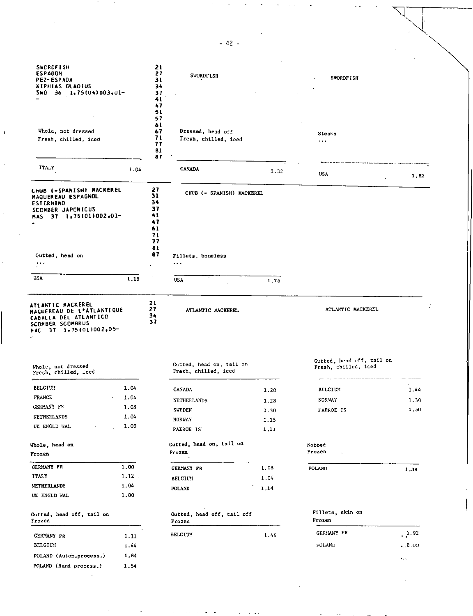| <b>SWORDFISH</b><br><b>ESPADON</b>         |      | 21<br>27 | <b>SWORDFISH</b>                                 |      |                            |                               |
|--------------------------------------------|------|----------|--------------------------------------------------|------|----------------------------|-------------------------------|
| <b>PEZ-ESPADA</b>                          |      | 31       |                                                  |      | <b>SWORDFISH</b>           |                               |
| XIPHIAS GLADIUS<br>SWG 36 1,75(04)003,01-  |      | 34<br>37 |                                                  |      |                            |                               |
|                                            |      | 41       |                                                  |      |                            |                               |
|                                            |      | 47       |                                                  |      |                            |                               |
|                                            |      | 51       |                                                  |      |                            |                               |
|                                            |      | 57<br>61 |                                                  |      |                            |                               |
| Whole, not dressed                         |      | 67       | Dressed, head off                                |      | Steaks                     |                               |
| Fresh, chilled, iced                       |      | 71       | Fresh, chilled, iced                             |      | $\cdots$                   |                               |
|                                            |      | 77<br>81 |                                                  |      |                            |                               |
|                                            |      | 87       |                                                  |      |                            |                               |
| ITALY                                      | 1.04 |          | <b>CANADA</b>                                    | 1.32 | <b>USA</b>                 | 1.52                          |
| CHUB (=SPANISH) MACKEREL                   |      | 27       |                                                  |      |                            |                               |
| MAQUEREAU ESPAGNOL                         |      | 31       | CHUB (= SPANISH) MACKEREL                        |      |                            |                               |
| ESTERNINO                                  |      | 34       |                                                  |      |                            |                               |
| <b>SCOMBER JAPONICUS</b>                   |      | 37<br>41 |                                                  |      |                            |                               |
| $37 \quad 1.75(01)002.01$<br>MAS           |      | 47       |                                                  |      |                            |                               |
|                                            |      | 61       |                                                  |      |                            |                               |
|                                            |      | 71       |                                                  |      |                            |                               |
|                                            |      | 77<br>81 |                                                  |      |                            |                               |
| Gutted, head on                            |      | 87       | Fillets, boneless                                |      |                            |                               |
| $\ldots$                                   |      |          | $\sim$ $\sim$ $\sim$                             |      |                            |                               |
|                                            |      |          |                                                  |      |                            |                               |
| USA                                        | 1,19 |          | USA                                              | 1,75 |                            |                               |
|                                            |      |          |                                                  |      |                            |                               |
| MAC 37 1,75 (01) 002, 05-                  |      |          |                                                  |      | Gutted, head off, tail on  |                               |
| Whole, not dressed<br>Fresh, chilled, iced |      |          | Gutted, head on, tail on<br>Fresh, chilled, iced |      | Fresh, chilled, iced       |                               |
| <b>BELGIUM</b>                             | 1,04 |          | <b>CANADA</b>                                    | 1.20 | <b>BELGIUM</b>             | 1.44                          |
| FRANCE                                     | 1.04 |          | <b>NETHERLANDS</b>                               | 1.28 | <b>NOTIVAY</b>             | 1.30                          |
| <b>GERMANY FR</b>                          | 1.08 |          | <b>SWEDEN</b>                                    | 1.30 | <b>FAEROE IS</b>           | 1,50                          |
| <b>NETHERLANDS</b>                         | 1.04 |          | <b>NORWAY</b>                                    | 1.15 |                            |                               |
| UK ENGLD WAL                               | 1.00 |          | FAEROE IS                                        | 1,11 |                            |                               |
| Whole, head on                             |      |          | Gutted, head on, tail on                         |      | Nobbed                     |                               |
| Frozen                                     |      |          | Frozen                                           |      | Frozen                     |                               |
| <b>GERMANY FR</b>                          | 1.00 |          | <b>GERMANY FR</b>                                | 1.08 | POLAND                     | 1,39                          |
| <b>ITALY</b>                               | 1.12 |          | <b>BELGIUM</b>                                   | 1.04 |                            |                               |
| NETHERLANDS                                | 1.04 |          | POLAND                                           | 1,14 |                            |                               |
| UK ENGLD WAL                               | 1.00 |          |                                                  |      |                            |                               |
| Gutted, head off, tail on<br>Frozen        |      |          | Gutted, head off, tail off<br>Frozen             |      | Fillets, skin on<br>Frozen |                               |
| GERMANY FR                                 | 1.11 |          | BELGIUM                                          | 1.46 | CERMANY FR                 | .1.92                         |
| <b>BELGIUM</b>                             | 1.44 |          |                                                  |      | POLAND                     | $\sim 2.00$                   |
|                                            | 1,64 |          |                                                  |      |                            |                               |
| POLAND (Autom.process.)                    |      |          |                                                  |      |                            | $\mathbf{A}_{\mathcal{G}}(t)$ |
| POLAND (Hand process.)                     | 1,54 |          |                                                  |      |                            |                               |

 $\sim$ 

 $\sim 10^{-1}$ 

-42-

 $\mathbf{I}$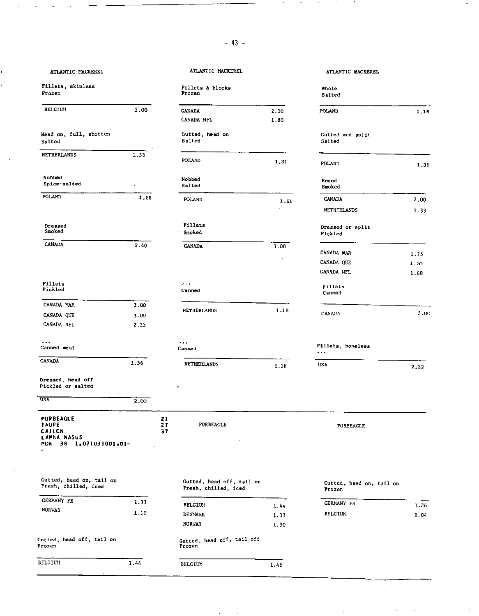## Fillets, skinless **Fillets** A blocks a blocks and the A blocks and A blocks and A blocks and A blocks and A blocks a blocks and A blocks and A blocks and A blocks and A blocks and A blocks and A blocks and A blocks and A b Frozen Frozen

| <b>BELGIUM</b>         | 2.00 | <b>CANADA</b> |
|------------------------|------|---------------|
|                        |      | <b>CANADA</b> |
| Head on, full, shotten |      | Cutted        |
| Salted                 |      | Salted        |
| <b>NETHERLANDS</b>     | 1.33 | POLAND        |
| Nobbed                 |      | Nobbed        |
| Spice-salted           |      | Salted        |
| POLAND                 | 1.56 | POLANT        |
| Dressed                |      | Fillet        |
| Smoked                 |      | Smoked        |
|                        |      |               |

| <b>CANADA</b> |  |  |
|---------------|--|--|
|               |  |  |
|               |  |  |

| Fillets |  |
|---------|--|
| Pickled |  |

| CANADA MAR        | 2.00 |
|-------------------|------|
| CANADA QUE        | 3.00 |
| CANADA NFL        | 2.25 |
| Canned meat       |      |
| <b>CANADA</b>     | 1.56 |
| Dressed, head off |      |

Pickled or salted

 $\overline{a}$ 

| <b>USA</b>                                                                                 | 2.00           |           |           |
|--------------------------------------------------------------------------------------------|----------------|-----------|-----------|
| <b>PORBEAGLE</b><br><b>TAUPE</b><br><b>CAILON</b><br>LAMNA NASUS<br>PDR 38 1,07(03)001,01- | 21<br>27<br>37 | PORBEAGLE | PORBEAGLE |

| Gutted, head on, tail on<br>Fresh, chilled, iced | Gutted, head off, tail on<br>Fresh, chilled, iced |                                      |  |
|--------------------------------------------------|---------------------------------------------------|--------------------------------------|--|
| <b>GERMANY FR</b>                                | 1.33                                              | <b>BELGIUM</b>                       |  |
| <b>NORWAY</b>                                    | 1.10                                              | <b>DENMARK</b>                       |  |
|                                                  |                                                   | <b>NORWAY</b>                        |  |
| Gutted, head off, tail on<br>Frozen              |                                                   | Gutted, head off, tail off<br>Frozen |  |

| .<br>BELGIUM | 1.44 | BELCIUM | . 46 |
|--------------|------|---------|------|
|              |      |         |      |

| ATLANTIC MACKEREL              |      | ATLANTIC MACKEREL          |      | ATLANTIC MACKEREL            |
|--------------------------------|------|----------------------------|------|------------------------------|
| illets, skinless<br>rozen      |      | Fillets & blocks<br>Frozen |      | Whole<br>Salted              |
| <b>BELGIUM</b>                 | 2.00 | <b>CANADA</b>              | 2.00 | POLAND                       |
|                                |      | CANADA NFL                 | 1.80 |                              |
| ead on, full, shotten<br>alted |      | Gutted, head on<br>Salted  |      | Gutted and split<br>Salted   |
| <b>ETHERLANDS</b>              | 1.33 | POLAND                     | 1,31 | POLAND                       |
| iobbed                         |      | Nobbed                     |      | Round                        |
| Spice-salted                   | ٠    | Salted                     |      | Smoked                       |
| <b>OLAND</b>                   | 1.56 | POLAND                     | 1.61 | <b>CANADA</b><br>NETHERLANDS |
| Dressed<br>Smoked              |      | <b>Fillets</b><br>Smoked   |      | Dressed or split<br>Pickled  |
| <b>CANADA</b>                  | 2.40 | <b>CANADA</b>              | 3.00 |                              |
|                                |      |                            |      | CANADA MAR                   |
|                                |      |                            |      | CANADA QUE                   |

| <b>Fillets</b><br>Pickled |      | $\cdots$<br>Canned | Fillets<br>Canned |
|---------------------------|------|--------------------|-------------------|
| CANADA MAR                | 2.00 |                    |                   |
|                           |      | NETHERLANDS        | 18                |

| ------------ | - - - - |
|--------------|---------|
|              |         |
|              |         |
|              |         |
|              |         |
|              |         |

 $\ddotsc$ Canned

| 1.56 | NETHERI ANDS |  |
|------|--------------|--|
|      |              |  |

BELGIUM 1.44 DENMARK 1.33<br>NORWAY 1.30

1.30

-,

|          | Frozen                    |      | Salted                      |      |
|----------|---------------------------|------|-----------------------------|------|
| .00      | CANADA                    | 2.00 | POLAND                      | 1.16 |
|          | CANADA NFL                | 1.80 |                             |      |
|          | Gutted, head on<br>Salted |      | Gutted and split<br>Salted  |      |
| 33       | POLAND                    | 1,31 | POLAND                      | 1.39 |
|          | Nobbed<br>Salted          |      | Round<br>Smoked             |      |
| 1.56     | POLAND                    | 1,61 | <b>CANADA</b>               | 2.00 |
|          |                           |      | NETHERLANDS                 | 1.33 |
|          | Fillets<br>Smoked         |      | Dressed or split<br>Pickled |      |
| 40       | <b>CANADA</b>             | 3.00 | CANADA MAR                  | 1.75 |
|          |                           |      | CANADA QUE                  | 1.50 |
|          |                           |      | CANADA HFL                  | 1.68 |
|          | .<br>Canned               |      | Fillets<br>Canned           |      |
| 00<br>00 | <b>NETHERLANDS</b>        | 1.18 | CANADA                      | 3.00 |
| 25       |                           |      |                             |      |

## Fillets, boneless

| 1.18 | USA |  | 2.22 |
|------|-----|--|------|

Gutted, head off, tail on Fresh, control Gutted, head on, tail on Fresh, childed, iced and an Frozen

| <b>GERMANY FR</b> | ٠ | 1.36 |
|-------------------|---|------|
| <b>BELGIIN</b>    |   | 1.04 |

 $\ddot{\phantom{a}}$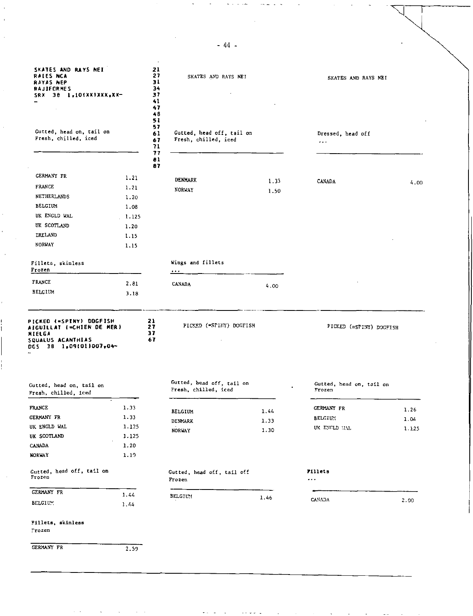| <b>RAIES NCA</b><br><b>RAYAS NEP</b><br><b>RAJIFORMES</b><br>SRX 38 L.10(XX)XXX.XX-                                                                                                                                                                     |               | 21<br>27<br>31<br>34<br>37<br>41<br>47<br>48 | SKATES AND RAYS NEI                               |      | SKATES AND RAYS NEI                |       |
|---------------------------------------------------------------------------------------------------------------------------------------------------------------------------------------------------------------------------------------------------------|---------------|----------------------------------------------|---------------------------------------------------|------|------------------------------------|-------|
| Gutted, head on, tail on<br>Fresh, chilled, iced                                                                                                                                                                                                        |               | 51<br>57<br>61<br>67<br>71                   | Gutted, head off, tail on<br>Fresh, chilled, iced |      | Dressed, head off<br>$\sim$ $\sim$ |       |
|                                                                                                                                                                                                                                                         |               | 77<br>81<br>87                               |                                                   |      |                                    |       |
| GERMANY FR                                                                                                                                                                                                                                              | 1.21          |                                              |                                                   |      |                                    |       |
| <b>FRANCE</b>                                                                                                                                                                                                                                           | 1.21          |                                              | DENMARK                                           | 1.33 | CANADA                             | 4.00  |
| NETHERLANDS                                                                                                                                                                                                                                             | 1.20          |                                              | <b>NORWAY</b>                                     | 1.50 |                                    |       |
| <b>BELCIUM</b>                                                                                                                                                                                                                                          | 1.08          |                                              |                                                   |      |                                    |       |
| UK ENGLD WAL                                                                                                                                                                                                                                            | 1.125         |                                              |                                                   |      |                                    |       |
| UK SCOTLAND                                                                                                                                                                                                                                             | 1.20          |                                              |                                                   |      |                                    |       |
| IRELAND                                                                                                                                                                                                                                                 | 1.15          |                                              |                                                   |      |                                    |       |
| NORWAY                                                                                                                                                                                                                                                  | 1.15          |                                              |                                                   |      |                                    |       |
| Fillets, skinless<br>Frozen                                                                                                                                                                                                                             |               |                                              | Wings and fillets<br>$\cdots$                     |      |                                    |       |
| <b>FRANCE</b>                                                                                                                                                                                                                                           | 2.81          |                                              | CANADA                                            | 4.00 |                                    |       |
| BELGIUM                                                                                                                                                                                                                                                 | 3.18          |                                              |                                                   |      |                                    |       |
| PICKED (*SPINY) DOGFISH<br>AIGUILLAT (=CHIEN DE MER)<br><b>MIELGA</b>                                                                                                                                                                                   |               | 21<br>27<br>37                               | PICKED ("SPINY) DOGFISH                           |      | PICKED (=SPINY) DOCFISH            |       |
| SQUALUS ACANTHIAS<br>DGS 38 1,09(01)007,04-                                                                                                                                                                                                             |               | 67                                           |                                                   |      |                                    |       |
|                                                                                                                                                                                                                                                         |               |                                              | Gutted, head off, tail on<br>Fresh, chilled, iced |      | Gutted, head on, tail on<br>Frozen |       |
|                                                                                                                                                                                                                                                         |               |                                              |                                                   |      |                                    |       |
|                                                                                                                                                                                                                                                         | 1.33          |                                              | <b>BELGIUM</b>                                    | 1.44 | <b>GERMANY FR</b>                  | 1.26  |
|                                                                                                                                                                                                                                                         | 1.33<br>1.125 |                                              | DENMARK                                           | 1.33 | BELGIUM                            | 1.04  |
|                                                                                                                                                                                                                                                         | 1.125         |                                              | NORVAY                                            | 1.30 | UK ENGLD HAL                       | 1.125 |
|                                                                                                                                                                                                                                                         | 1.20          |                                              |                                                   |      |                                    |       |
|                                                                                                                                                                                                                                                         | 1.19          |                                              |                                                   |      |                                    |       |
|                                                                                                                                                                                                                                                         |               |                                              | Gutted, head off, tail off<br>Frozen              |      | Fillets<br>                        |       |
|                                                                                                                                                                                                                                                         | 1.44          |                                              |                                                   |      |                                    |       |
|                                                                                                                                                                                                                                                         | 1.44          |                                              | BELGIU!                                           | 1.46 | CANADA                             | 2.00  |
| Gutted, head on, tail on<br>Fresh, chilled, iced<br><b>FRANCE</b><br>GERMANY FR<br>UK ENGLD WAL<br>UK SCOTLAND<br><b>CANADA</b><br><b>NORWAY</b><br>Gutted, head off, tail on<br>Frozen<br><b>GERMANY FR</b><br>BELGIUM.<br>Fillets, skinless<br>Frozen |               |                                              |                                                   |      |                                    |       |
| GERMANY FR                                                                                                                                                                                                                                              | 2.59          |                                              |                                                   |      |                                    |       |

-44-

 $\mathcal{A}$